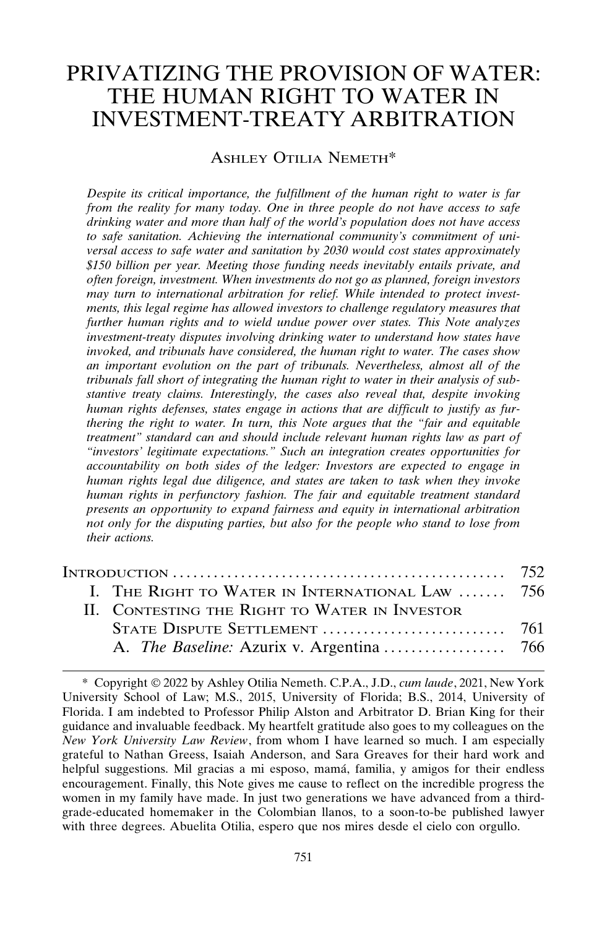# PRIVATIZING THE PROVISION OF WATER: THE HUMAN RIGHT TO WATER IN INVESTMENT-TREATY ARBITRATION

#### ASHLEY OTILIA NEMETH\*

*Despite its critical importance, the fulfillment of the human right to water is far from the reality for many today. One in three people do not have access to safe drinking water and more than half of the world's population does not have access to safe sanitation. Achieving the international community's commitment of universal access to safe water and sanitation by 2030 would cost states approximately \$150 billion per year. Meeting those funding needs inevitably entails private, and often foreign, investment. When investments do not go as planned, foreign investors may turn to international arbitration for relief. While intended to protect investments, this legal regime has allowed investors to challenge regulatory measures that further human rights and to wield undue power over states. This Note analyzes investment-treaty disputes involving drinking water to understand how states have invoked, and tribunals have considered, the human right to water. The cases show an important evolution on the part of tribunals. Nevertheless, almost all of the tribunals fall short of integrating the human right to water in their analysis of substantive treaty claims. Interestingly, the cases also reveal that, despite invoking human rights defenses, states engage in actions that are difficult to justify as furthering the right to water. In turn, this Note argues that the "fair and equitable treatment" standard can and should include relevant human rights law as part of "investors' legitimate expectations." Such an integration creates opportunities for accountability on both sides of the ledger: Investors are expected to engage in human rights legal due diligence, and states are taken to task when they invoke human rights in perfunctory fashion. The fair and equitable treatment standard presents an opportunity to expand fairness and equity in international arbitration not only for the disputing parties, but also for the people who stand to lose from their actions.*

| I. THE RIGHT TO WATER IN INTERNATIONAL LAW  756 |  |
|-------------------------------------------------|--|
| II. CONTESTING THE RIGHT TO WATER IN INVESTOR   |  |
|                                                 |  |
|                                                 |  |
|                                                 |  |

<sup>\*</sup> Copyright 2022 by Ashley Otilia Nemeth. C.P.A., J.D., *cum laude*, 2021, New York University School of Law; M.S., 2015, University of Florida; B.S., 2014, University of Florida. I am indebted to Professor Philip Alston and Arbitrator D. Brian King for their guidance and invaluable feedback. My heartfelt gratitude also goes to my colleagues on the *New York University Law Review*, from whom I have learned so much. I am especially grateful to Nathan Greess, Isaiah Anderson, and Sara Greaves for their hard work and helpful suggestions. Mil gracias a mi esposo, mamá, familia, y amigos for their endless encouragement. Finally, this Note gives me cause to reflect on the incredible progress the women in my family have made. In just two generations we have advanced from a thirdgrade-educated homemaker in the Colombian llanos, to a soon-to-be published lawyer with three degrees. Abuelita Otilia, espero que nos mires desde el cielo con orgullo.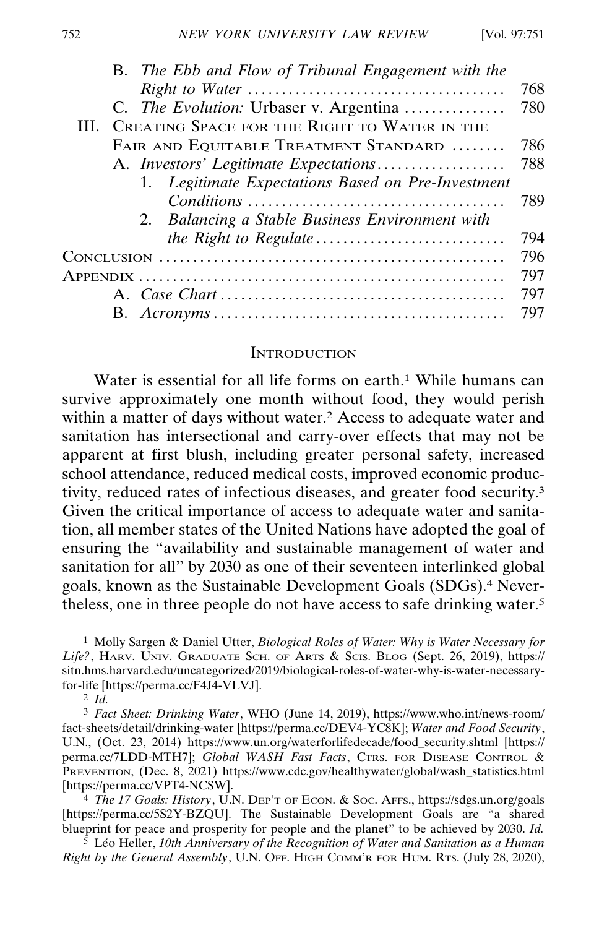| B. The Ebb and Flow of Tribunal Engagement with the |      |
|-----------------------------------------------------|------|
|                                                     | 768  |
| C. <i>The Evolution:</i> Urbaser v. Argentina       | 780  |
| III. CREATING SPACE FOR THE RIGHT TO WATER IN THE   |      |
| FAIR AND EQUITABLE TREATMENT STANDARD               | 786  |
| A. Investors' Legitimate Expectations               | -788 |
| 1. Legitimate Expectations Based on Pre-Investment  |      |
|                                                     | -789 |
| 2. Balancing a Stable Business Environment with     |      |
|                                                     | 794  |
|                                                     | 796  |
|                                                     | 797  |
|                                                     | 797  |
|                                                     |      |

#### **INTRODUCTION**

B. *Acronyms* . . . . . . . . . . . . . . . . . . . . . . . . . . . . . . . . . . . . . . . . . . . 797 **R**

Water is essential for all life forms on earth.<sup>1</sup> While humans can survive approximately one month without food, they would perish within a matter of days without water.<sup>2</sup> Access to adequate water and sanitation has intersectional and carry-over effects that may not be apparent at first blush, including greater personal safety, increased school attendance, reduced medical costs, improved economic productivity, reduced rates of infectious diseases, and greater food security.3 Given the critical importance of access to adequate water and sanitation, all member states of the United Nations have adopted the goal of ensuring the "availability and sustainable management of water and sanitation for all" by 2030 as one of their seventeen interlinked global goals, known as the Sustainable Development Goals (SDGs).4 Nevertheless, one in three people do not have access to safe drinking water.5

4 *The 17 Goals: History*, U.N. DEP'T OF ECON. & SOC. AFFS., https://sdgs.un.org/goals [https://perma.cc/5S2Y-BZQU]. The Sustainable Development Goals are "a shared blueprint for peace and prosperity for people and the planet" to be achieved by 2030. *Id.*

<sup>5</sup> Léo Heller, *10th Anniversary of the Recognition of Water and Sanitation as a Human Right by the General Assembly*, U.N. OFF. HIGH COMM'R FOR HUM. RTS. (July 28, 2020),

<sup>1</sup> Molly Sargen & Daniel Utter, *Biological Roles of Water: Why is Water Necessary for Life?*, HARV. UNIV. GRADUATE SCH. OF ARTS & SCIS. BLOG (Sept. 26, 2019), https:// sitn.hms.harvard.edu/uncategorized/2019/biological-roles-of-water-why-is-water-necessaryfor-life [https://perma.cc/F4J4-VLVJ].

<sup>2</sup> *Id.*

<sup>3</sup> *Fact Sheet: Drinking Water*, WHO (June 14, 2019), https://www.who.int/news-room/ fact-sheets/detail/drinking-water [https://perma.cc/DEV4-YC8K]; *Water and Food Security*, U.N., (Oct. 23, 2014) https://www.un.org/waterforlifedecade/food\_security.shtml [https:// perma.cc/7LDD-MTH7]; *Global WASH Fast Facts*, CTRS. FOR DISEASE CONTROL & PREVENTION, (Dec. 8, 2021) https://www.cdc.gov/healthywater/global/wash\_statistics.html [https://perma.cc/VPT4-NCSW].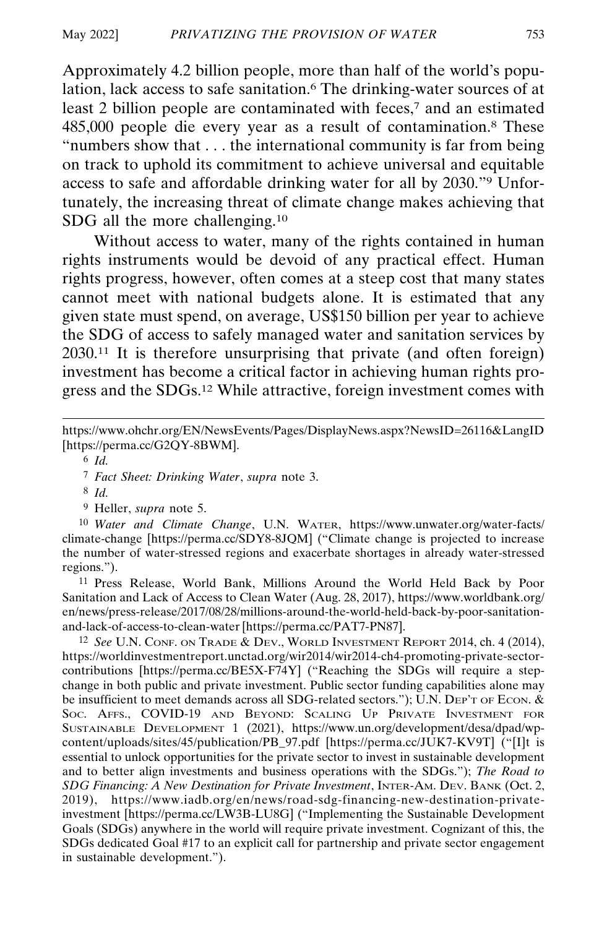Approximately 4.2 billion people, more than half of the world's population, lack access to safe sanitation.<sup>6</sup> The drinking-water sources of at least 2 billion people are contaminated with feces,<sup>7</sup> and an estimated 485,000 people die every year as a result of contamination.8 These "numbers show that . . . the international community is far from being on track to uphold its commitment to achieve universal and equitable access to safe and affordable drinking water for all by 2030."9 Unfortunately, the increasing threat of climate change makes achieving that SDG all the more challenging.10

Without access to water, many of the rights contained in human rights instruments would be devoid of any practical effect. Human rights progress, however, often comes at a steep cost that many states cannot meet with national budgets alone. It is estimated that any given state must spend, on average, US\$150 billion per year to achieve the SDG of access to safely managed water and sanitation services by 2030.11 It is therefore unsurprising that private (and often foreign) investment has become a critical factor in achieving human rights progress and the SDGs.12 While attractive, foreign investment comes with

9 Heller, *supra* note 5.

10 *Water and Climate Change*, U.N. WATER, https://www.unwater.org/water-facts/ climate-change [https://perma.cc/SDY8-8JQM] ("Climate change is projected to increase the number of water-stressed regions and exacerbate shortages in already water-stressed regions.").

11 Press Release, World Bank, Millions Around the World Held Back by Poor Sanitation and Lack of Access to Clean Water (Aug. 28, 2017), https://www.worldbank.org/ en/news/press-release/2017/08/28/millions-around-the-world-held-back-by-poor-sanitationand-lack-of-access-to-clean-water [https://perma.cc/PAT7-PN87].

12 *See* U.N. CONF. ON TRADE & DEV., WORLD INVESTMENT REPORT 2014, ch. 4 (2014), https://worldinvestmentreport.unctad.org/wir2014/wir2014-ch4-promoting-private-sectorcontributions [https://perma.cc/BE5X-F74Y] ("Reaching the SDGs will require a stepchange in both public and private investment. Public sector funding capabilities alone may be insufficient to meet demands across all SDG-related sectors."); U.N. DEP'T OF ECON. & SOC. AFFS., COVID-19 AND BEYOND: SCALING UP PRIVATE INVESTMENT FOR SUSTAINABLE DEVELOPMENT 1 (2021), https://www.un.org/development/desa/dpad/wpcontent/uploads/sites/45/publication/PB\_97.pdf [https://perma.cc/JUK7-KV9T] ("[I]t is essential to unlock opportunities for the private sector to invest in sustainable development and to better align investments and business operations with the SDGs."); *The Road to SDG Financing: A New Destination for Private Investment*, INTER-AM. DEV. BANK (Oct. 2, 2019), https://www.iadb.org/en/news/road-sdg-financing-new-destination-privateinvestment [https://perma.cc/LW3B-LU8G] ("Implementing the Sustainable Development Goals (SDGs) anywhere in the world will require private investment. Cognizant of this, the SDGs dedicated Goal #17 to an explicit call for partnership and private sector engagement in sustainable development.").

https://www.ohchr.org/EN/NewsEvents/Pages/DisplayNews.aspx?NewsID=26116&LangID [https://perma.cc/G2QY-8BWM].

<sup>6</sup> *Id.*

<sup>7</sup> *Fact Sheet: Drinking Water*, *supra* note 3.

<sup>8</sup> *Id.*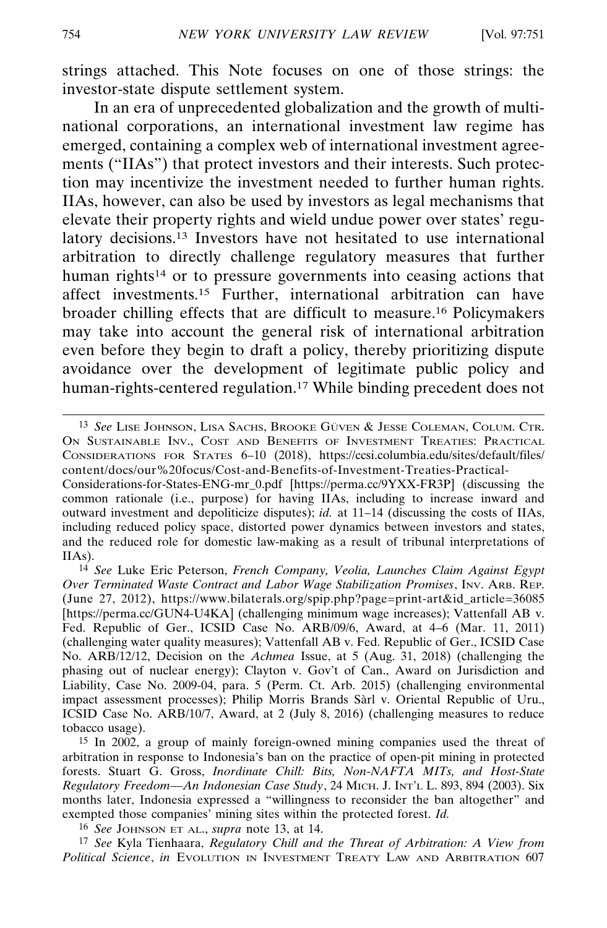strings attached. This Note focuses on one of those strings: the investor-state dispute settlement system.

In an era of unprecedented globalization and the growth of multinational corporations, an international investment law regime has emerged, containing a complex web of international investment agreements ("IIAs") that protect investors and their interests. Such protection may incentivize the investment needed to further human rights. IIAs, however, can also be used by investors as legal mechanisms that elevate their property rights and wield undue power over states' regulatory decisions.13 Investors have not hesitated to use international arbitration to directly challenge regulatory measures that further human rights<sup>14</sup> or to pressure governments into ceasing actions that affect investments.15 Further, international arbitration can have broader chilling effects that are difficult to measure.16 Policymakers may take into account the general risk of international arbitration even before they begin to draft a policy, thereby prioritizing dispute avoidance over the development of legitimate public policy and human-rights-centered regulation.<sup>17</sup> While binding precedent does not

14 *See* Luke Eric Peterson, *French Company, Veolia, Launches Claim Against Egypt Over Terminated Waste Contract and Labor Wage Stabilization Promises*, INV. ARB. REP. (June 27, 2012), https://www.bilaterals.org/spip.php?page=print-art&id\_article=36085 [https://perma.cc/GUN4-U4KA] (challenging minimum wage increases); Vattenfall AB v. Fed. Republic of Ger., ICSID Case No. ARB/09/6, Award, at 4–6 (Mar. 11, 2011) (challenging water quality measures); Vattenfall AB v. Fed. Republic of Ger., ICSID Case No. ARB/12/12, Decision on the *Achmea* Issue, at 5 (Aug. 31, 2018) (challenging the phasing out of nuclear energy); Clayton v. Gov't of Can., Award on Jurisdiction and Liability, Case No. 2009-04, para. 5 (Perm. Ct. Arb. 2015) (challenging environmental impact assessment processes); Philip Morris Brands Sàrl v. Oriental Republic of Uru., ICSID Case No. ARB/10/7, Award, at 2 (July 8, 2016) (challenging measures to reduce tobacco usage).

15 In 2002, a group of mainly foreign-owned mining companies used the threat of arbitration in response to Indonesia's ban on the practice of open-pit mining in protected forests. Stuart G. Gross, *Inordinate Chill: Bits, Non-NAFTA MITs, and Host-State Regulatory Freedom—An Indonesian Case Study*, 24 MICH. J. INT'L L. 893, 894 (2003). Six months later, Indonesia expressed a "willingness to reconsider the ban altogether" and exempted those companies' mining sites within the protected forest. *Id.*

16 *See* JOHNSON ET AL., *supra* note 13, at 14.

17 *See* Kyla Tienhaara, *Regulatory Chill and the Threat of Arbitration: A View from Political Science*, *in* EVOLUTION IN INVESTMENT TREATY LAW AND ARBITRATION 607

<sup>13</sup> See LISE JOHNSON, LISA SACHS, BROOKE GÜVEN & JESSE COLEMAN, COLUM. CTR. ON SUSTAINABLE INV., COST AND BENEFITS OF INVESTMENT TREATIES: PRACTICAL CONSIDERATIONS FOR STATES 6–10 (2018), https://ccsi.columbia.edu/sites/default/files/ content/docs/our%20focus/Cost-and-Benefits-of-Investment-Treaties-Practical-

Considerations-for-States-ENG-mr\_0.pdf [https://perma.cc/9YXX-FR3P] (discussing the common rationale (i.e., purpose) for having IIAs, including to increase inward and outward investment and depoliticize disputes); *id.* at 11–14 (discussing the costs of IIAs, including reduced policy space, distorted power dynamics between investors and states, and the reduced role for domestic law-making as a result of tribunal interpretations of IIAs).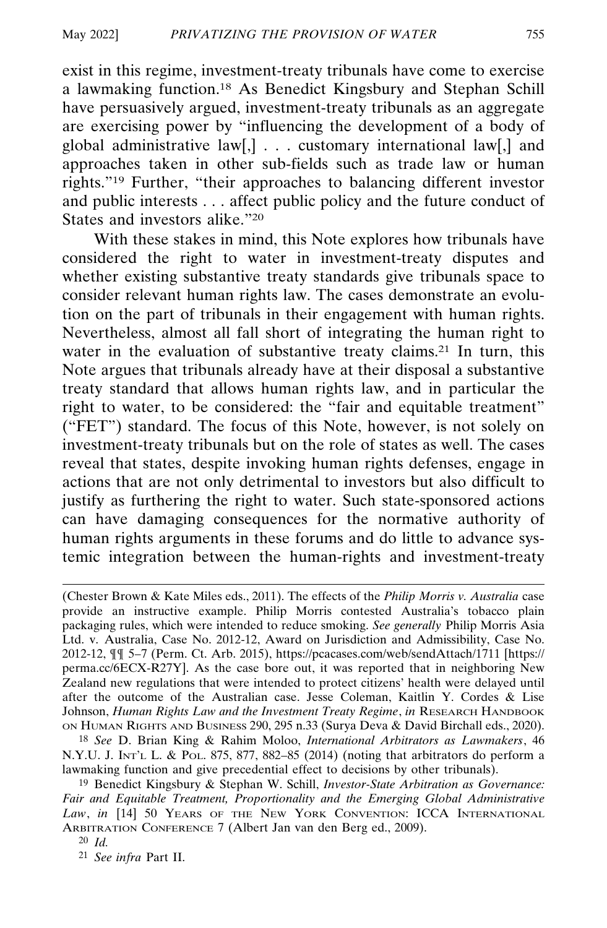exist in this regime, investment-treaty tribunals have come to exercise a lawmaking function.18 As Benedict Kingsbury and Stephan Schill have persuasively argued, investment-treaty tribunals as an aggregate are exercising power by "influencing the development of a body of global administrative law[,] . . . customary international law[,] and approaches taken in other sub-fields such as trade law or human rights."19 Further, "their approaches to balancing different investor and public interests . . . affect public policy and the future conduct of States and investors alike."20

With these stakes in mind, this Note explores how tribunals have considered the right to water in investment-treaty disputes and whether existing substantive treaty standards give tribunals space to consider relevant human rights law. The cases demonstrate an evolution on the part of tribunals in their engagement with human rights. Nevertheless, almost all fall short of integrating the human right to water in the evaluation of substantive treaty claims.<sup>21</sup> In turn, this Note argues that tribunals already have at their disposal a substantive treaty standard that allows human rights law, and in particular the right to water, to be considered: the "fair and equitable treatment" ("FET") standard. The focus of this Note, however, is not solely on investment-treaty tribunals but on the role of states as well. The cases reveal that states, despite invoking human rights defenses, engage in actions that are not only detrimental to investors but also difficult to justify as furthering the right to water. Such state-sponsored actions can have damaging consequences for the normative authority of human rights arguments in these forums and do little to advance systemic integration between the human-rights and investment-treaty

18 *See* D. Brian King & Rahim Moloo, *International Arbitrators as Lawmakers*, 46 N.Y.U. J. INT'L L. & POL. 875, 877, 882–85 (2014) (noting that arbitrators do perform a lawmaking function and give precedential effect to decisions by other tribunals).

19 Benedict Kingsbury & Stephan W. Schill, *Investor-State Arbitration as Governance: Fair and Equitable Treatment, Proportionality and the Emerging Global Administrative Law*, *in* [14] 50 YEARS OF THE NEW YORK CONVENTION: ICCA INTERNATIONAL ARBITRATION CONFERENCE 7 (Albert Jan van den Berg ed., 2009).

20 *Id.*

21 *See infra* Part II.

<sup>(</sup>Chester Brown & Kate Miles eds., 2011). The effects of the *Philip Morris v. Australia* case provide an instructive example. Philip Morris contested Australia's tobacco plain packaging rules, which were intended to reduce smoking. *See generally* Philip Morris Asia Ltd. v. Australia, Case No. 2012-12, Award on Jurisdiction and Admissibility, Case No. 2012-12, ¶¶ 5–7 (Perm. Ct. Arb. 2015), https://pcacases.com/web/sendAttach/1711 [https:// perma.cc/6ECX-R27Y]. As the case bore out, it was reported that in neighboring New Zealand new regulations that were intended to protect citizens' health were delayed until after the outcome of the Australian case. Jesse Coleman, Kaitlin Y. Cordes & Lise Johnson, *Human Rights Law and the Investment Treaty Regime*, *in* RESEARCH HANDBOOK ON HUMAN RIGHTS AND BUSINESS 290, 295 n.33 (Surya Deva & David Birchall eds., 2020).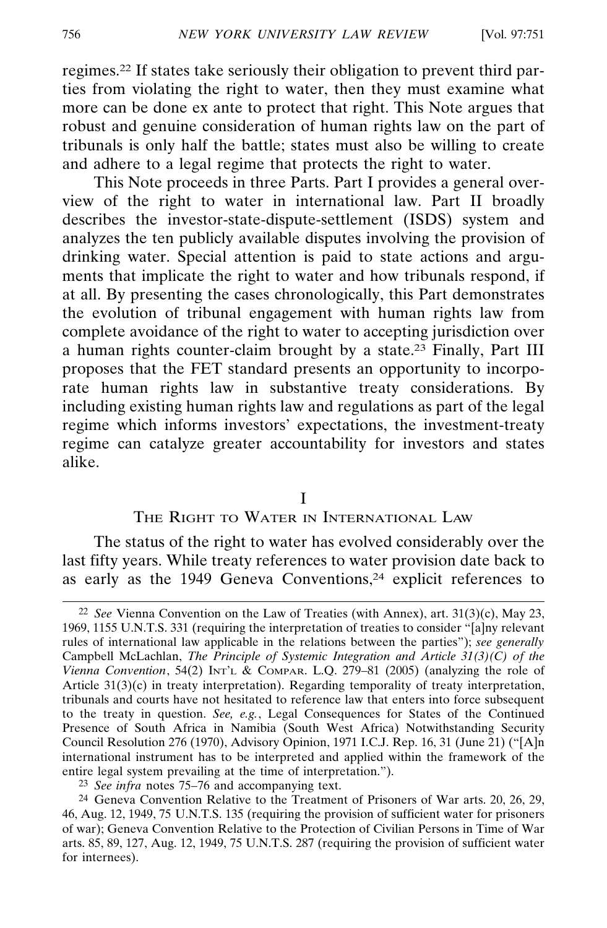regimes.22 If states take seriously their obligation to prevent third parties from violating the right to water, then they must examine what more can be done ex ante to protect that right. This Note argues that robust and genuine consideration of human rights law on the part of tribunals is only half the battle; states must also be willing to create and adhere to a legal regime that protects the right to water.

This Note proceeds in three Parts. Part I provides a general overview of the right to water in international law. Part II broadly describes the investor-state-dispute-settlement (ISDS) system and analyzes the ten publicly available disputes involving the provision of drinking water. Special attention is paid to state actions and arguments that implicate the right to water and how tribunals respond, if at all. By presenting the cases chronologically, this Part demonstrates the evolution of tribunal engagement with human rights law from complete avoidance of the right to water to accepting jurisdiction over a human rights counter-claim brought by a state.23 Finally, Part III proposes that the FET standard presents an opportunity to incorporate human rights law in substantive treaty considerations. By including existing human rights law and regulations as part of the legal regime which informs investors' expectations, the investment-treaty regime can catalyze greater accountability for investors and states alike.

I

#### THE RIGHT TO WATER IN INTERNATIONAL LAW

The status of the right to water has evolved considerably over the last fifty years. While treaty references to water provision date back to as early as the 1949 Geneva Conventions,<sup>24</sup> explicit references to

23 *See infra* notes 75–76 and accompanying text.

24 Geneva Convention Relative to the Treatment of Prisoners of War arts. 20, 26, 29, 46, Aug. 12, 1949, 75 U.N.T.S. 135 (requiring the provision of sufficient water for prisoners of war); Geneva Convention Relative to the Protection of Civilian Persons in Time of War arts. 85, 89, 127, Aug. 12, 1949, 75 U.N.T.S. 287 (requiring the provision of sufficient water for internees).

<sup>22</sup> *See* Vienna Convention on the Law of Treaties (with Annex), art. 31(3)(c), May 23, 1969, 1155 U.N.T.S. 331 (requiring the interpretation of treaties to consider "[a]ny relevant rules of international law applicable in the relations between the parties"); *see generally* Campbell McLachlan, *The Principle of Systemic Integration and Article 31(3)(C) of the Vienna Convention*, 54(2) INT'L & COMPAR. L.Q. 279–81 (2005) (analyzing the role of Article 31(3)(c) in treaty interpretation). Regarding temporality of treaty interpretation, tribunals and courts have not hesitated to reference law that enters into force subsequent to the treaty in question. *See, e.g.*, Legal Consequences for States of the Continued Presence of South Africa in Namibia (South West Africa) Notwithstanding Security Council Resolution 276 (1970), Advisory Opinion, 1971 I.C.J. Rep. 16, 31 (June 21) ("[A]n international instrument has to be interpreted and applied within the framework of the entire legal system prevailing at the time of interpretation.").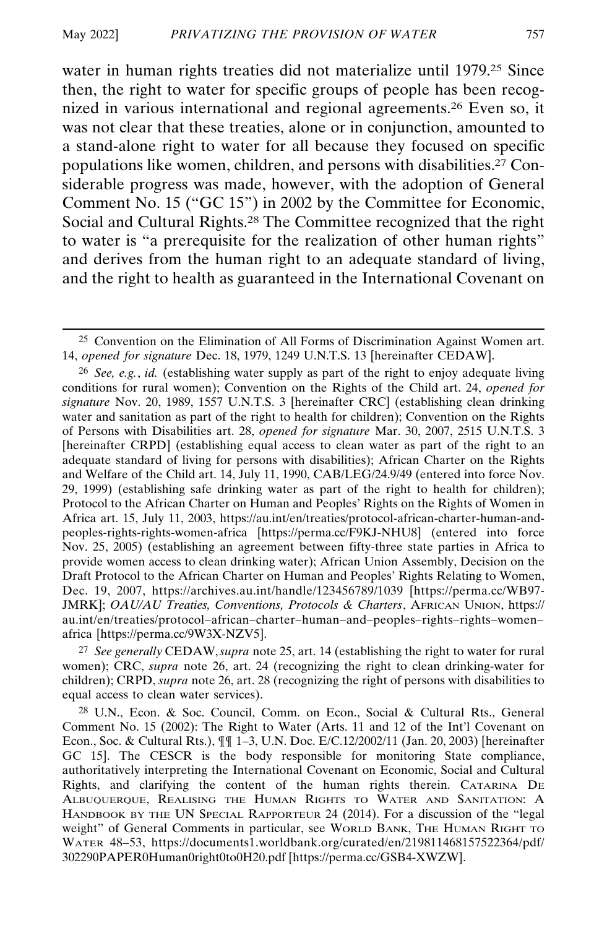water in human rights treaties did not materialize until 1979.25 Since then, the right to water for specific groups of people has been recognized in various international and regional agreements.26 Even so, it was not clear that these treaties, alone or in conjunction, amounted to a stand-alone right to water for all because they focused on specific populations like women, children, and persons with disabilities.27 Considerable progress was made, however, with the adoption of General Comment No. 15 ("GC 15") in 2002 by the Committee for Economic, Social and Cultural Rights.28 The Committee recognized that the right to water is "a prerequisite for the realization of other human rights" and derives from the human right to an adequate standard of living, and the right to health as guaranteed in the International Covenant on

27 *See generally* CEDAW, *supra* note 25, art. 14 (establishing the right to water for rural women); CRC, *supra* note 26, art. 24 (recognizing the right to clean drinking-water for children); CRPD, *supra* note 26, art. 28 (recognizing the right of persons with disabilities to equal access to clean water services).

28 U.N., Econ. & Soc. Council, Comm. on Econ., Social & Cultural Rts., General Comment No. 15 (2002): The Right to Water (Arts. 11 and 12 of the Int'l Covenant on Econ., Soc. & Cultural Rts.), ¶¶ 1–3, U.N. Doc. E/C.12/2002/11 (Jan. 20, 2003) [hereinafter GC 15]. The CESCR is the body responsible for monitoring State compliance, authoritatively interpreting the International Covenant on Economic, Social and Cultural Rights, and clarifying the content of the human rights therein. CATARINA DE ALBUQUERQUE, REALISING THE HUMAN RIGHTS TO WATER AND SANITATION: A HANDBOOK BY THE UN SPECIAL RAPPORTEUR 24 (2014). For a discussion of the "legal weight" of General Comments in particular, see WORLD BANK, THE HUMAN RIGHT TO WATER 48–53, https://documents1.worldbank.org/curated/en/219811468157522364/pdf/ 302290PAPER0Human0right0to0H20.pdf [https://perma.cc/GSB4-XWZW].

<sup>25</sup> Convention on the Elimination of All Forms of Discrimination Against Women art. 14, *opened for signature* Dec. 18, 1979, 1249 U.N.T.S. 13 [hereinafter CEDAW].

<sup>26</sup> *See, e.g.*, *id.* (establishing water supply as part of the right to enjoy adequate living conditions for rural women); Convention on the Rights of the Child art. 24, *opened for signature* Nov. 20, 1989, 1557 U.N.T.S. 3 [hereinafter CRC] (establishing clean drinking water and sanitation as part of the right to health for children); Convention on the Rights of Persons with Disabilities art. 28, *opened for signature* Mar. 30, 2007, 2515 U.N.T.S. 3 [hereinafter CRPD] (establishing equal access to clean water as part of the right to an adequate standard of living for persons with disabilities); African Charter on the Rights and Welfare of the Child art. 14, July 11, 1990, CAB/LEG/24.9/49 (entered into force Nov. 29, 1999) (establishing safe drinking water as part of the right to health for children); Protocol to the African Charter on Human and Peoples' Rights on the Rights of Women in Africa art. 15, July 11, 2003, https://au.int/en/treaties/protocol-african-charter-human-andpeoples-rights-rights-women-africa [https://perma.cc/F9KJ-NHU8] (entered into force Nov. 25, 2005) (establishing an agreement between fifty-three state parties in Africa to provide women access to clean drinking water); African Union Assembly, Decision on the Draft Protocol to the African Charter on Human and Peoples' Rights Relating to Women, Dec. 19, 2007, https://archives.au.int/handle/123456789/1039 [https://perma.cc/WB97- JMRK]; *OAU/AU Treaties, Conventions, Protocols & Charters*, AFRICAN UNION, https:// au.int/en/treaties/protocol–african–charter–human–and–peoples–rights–rights–women– africa [https://perma.cc/9W3X-NZV5].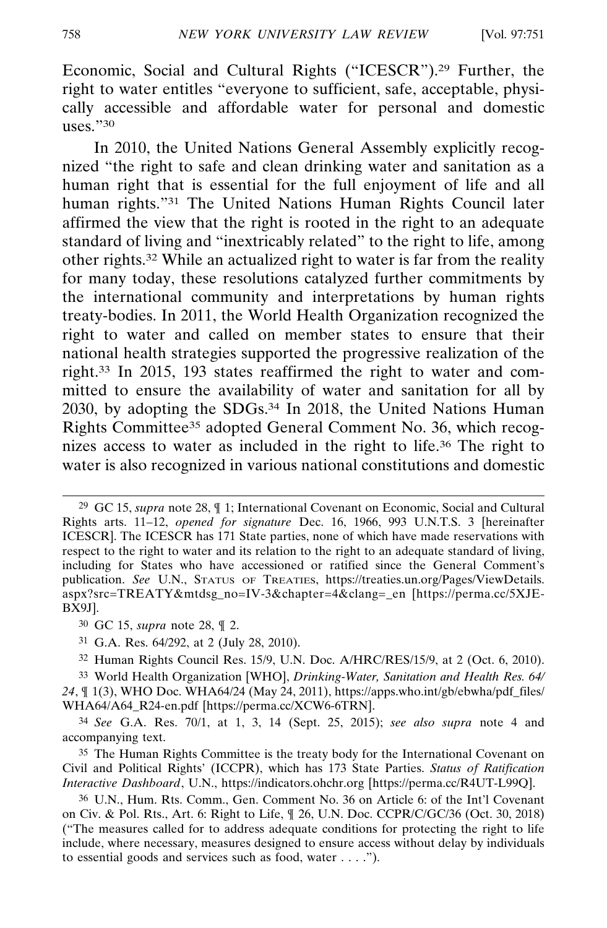Economic, Social and Cultural Rights ("ICESCR").29 Further, the right to water entitles "everyone to sufficient, safe, acceptable, physically accessible and affordable water for personal and domestic uses."30

In 2010, the United Nations General Assembly explicitly recognized "the right to safe and clean drinking water and sanitation as a human right that is essential for the full enjoyment of life and all human rights."31 The United Nations Human Rights Council later affirmed the view that the right is rooted in the right to an adequate standard of living and "inextricably related" to the right to life, among other rights.32 While an actualized right to water is far from the reality for many today, these resolutions catalyzed further commitments by the international community and interpretations by human rights treaty-bodies. In 2011, the World Health Organization recognized the right to water and called on member states to ensure that their national health strategies supported the progressive realization of the right.33 In 2015, 193 states reaffirmed the right to water and committed to ensure the availability of water and sanitation for all by 2030, by adopting the SDGs.34 In 2018, the United Nations Human Rights Committee35 adopted General Comment No. 36, which recognizes access to water as included in the right to life.36 The right to water is also recognized in various national constitutions and domestic

- 31 G.A. Res. 64/292, at 2 (July 28, 2010).
- 32 Human Rights Council Res. 15/9, U.N. Doc. A/HRC/RES/15/9, at 2 (Oct. 6, 2010).

33 World Health Organization [WHO], *Drinking-Water, Sanitation and Health Res. 64/ 24*, ¶ 1(3), WHO Doc. WHA64/24 (May 24, 2011), https://apps.who.int/gb/ebwha/pdf\_files/ WHA64/A64\_R24-en.pdf [https://perma.cc/XCW6-6TRN].

<sup>29</sup> GC 15, *supra* note 28, ¶ 1; International Covenant on Economic, Social and Cultural Rights arts. 11–12, *opened for signature* Dec. 16, 1966, 993 U.N.T.S. 3 [hereinafter ICESCR]. The ICESCR has 171 State parties, none of which have made reservations with respect to the right to water and its relation to the right to an adequate standard of living, including for States who have accessioned or ratified since the General Comment's publication. *See* U.N., STATUS OF TREATIES, https://treaties.un.org/Pages/ViewDetails. aspx?src=TREATY&mtdsg\_no=IV-3&chapter=4&clang=\_en [https://perma.cc/5XJE-BX9J].

<sup>30</sup> GC 15, *supra* note 28, ¶ 2.

<sup>34</sup> *See* G.A. Res. 70/1, at 1, 3, 14 (Sept. 25, 2015); *see also supra* note 4 and accompanying text.

<sup>35</sup> The Human Rights Committee is the treaty body for the International Covenant on Civil and Political Rights' (ICCPR), which has 173 State Parties. *Status of Ratification Interactive Dashboard*, U.N., https://indicators.ohchr.org [https://perma.cc/R4UT-L99Q].

<sup>36</sup> U.N., Hum. Rts. Comm., Gen. Comment No. 36 on Article 6: of the Int'l Covenant on Civ. & Pol. Rts., Art. 6: Right to Life, ¶ 26, U.N. Doc. CCPR/C/GC/36 (Oct. 30, 2018) ("The measures called for to address adequate conditions for protecting the right to life include, where necessary, measures designed to ensure access without delay by individuals to essential goods and services such as food, water . . . .").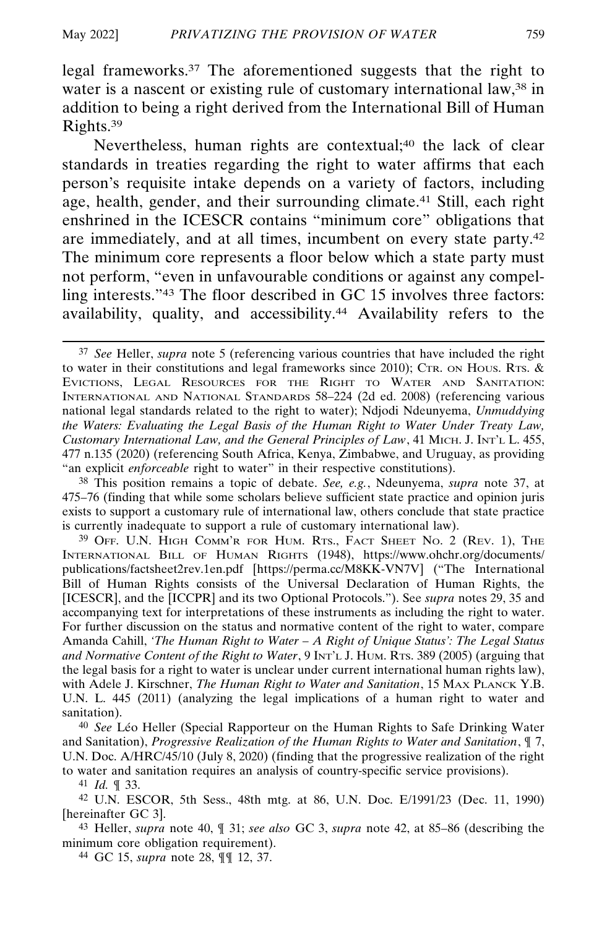legal frameworks.37 The aforementioned suggests that the right to water is a nascent or existing rule of customary international law,<sup>38</sup> in addition to being a right derived from the International Bill of Human Rights.39

Nevertheless, human rights are contextual;<sup>40</sup> the lack of clear standards in treaties regarding the right to water affirms that each person's requisite intake depends on a variety of factors, including age, health, gender, and their surrounding climate.41 Still, each right enshrined in the ICESCR contains "minimum core" obligations that are immediately, and at all times, incumbent on every state party.42 The minimum core represents a floor below which a state party must not perform, "even in unfavourable conditions or against any compelling interests."43 The floor described in GC 15 involves three factors: availability, quality, and accessibility.44 Availability refers to the

38 This position remains a topic of debate. *See, e.g.*, Ndeunyema, *supra* note 37, at 475–76 (finding that while some scholars believe sufficient state practice and opinion juris exists to support a customary rule of international law, others conclude that state practice is currently inadequate to support a rule of customary international law).

39 OFF. U.N. HIGH COMM'R FOR HUM. RTS., FACT SHEET NO. 2 (REV. 1), THE INTERNATIONAL BILL OF HUMAN RIGHTS (1948), https://www.ohchr.org/documents/ publications/factsheet2rev.1en.pdf [https://perma.cc/M8KK-VN7V] ("The International Bill of Human Rights consists of the Universal Declaration of Human Rights, the [ICESCR], and the [ICCPR] and its two Optional Protocols."). See *supra* notes 29, 35 and accompanying text for interpretations of these instruments as including the right to water. For further discussion on the status and normative content of the right to water, compare Amanda Cahill, *'The Human Right to Water – A Right of Unique Status': The Legal Status and Normative Content of the Right to Water*, 9 INT'L J. HUM. RTS. 389 (2005) (arguing that the legal basis for a right to water is unclear under current international human rights law), with Adele J. Kirschner, *The Human Right to Water and Sanitation*, 15 MAX PLANCK Y.B. U.N. L. 445 (2011) (analyzing the legal implications of a human right to water and sanitation).

<sup>40</sup> See Léo Heller (Special Rapporteur on the Human Rights to Safe Drinking Water and Sanitation), *Progressive Realization of the Human Rights to Water and Sanitation*, ¶ 7, U.N. Doc. A/HRC/45/10 (July 8, 2020) (finding that the progressive realization of the right to water and sanitation requires an analysis of country-specific service provisions).

41 *Id.* ¶ 33.

42 U.N. ESCOR, 5th Sess., 48th mtg. at 86, U.N. Doc. E/1991/23 (Dec. 11, 1990) [hereinafter GC 3].

43 Heller, *supra* note 40, ¶ 31; *see also* GC 3, *supra* note 42, at 85–86 (describing the minimum core obligation requirement).

44 GC 15, *supra* note 28, ¶¶ 12, 37.

<sup>37</sup> *See* Heller, *supra* note 5 (referencing various countries that have included the right to water in their constitutions and legal frameworks since 2010); CTR. ON HOUS. RTS. & EVICTIONS, LEGAL RESOURCES FOR THE RIGHT TO WATER AND SANITATION: INTERNATIONAL AND NATIONAL STANDARDS 58–224 (2d ed. 2008) (referencing various national legal standards related to the right to water); Ndjodi Ndeunyema, *Unmuddying the Waters: Evaluating the Legal Basis of the Human Right to Water Under Treaty Law, Customary International Law, and the General Principles of Law*, 41 MICH. J. INT'L L. 455, 477 n.135 (2020) (referencing South Africa, Kenya, Zimbabwe, and Uruguay, as providing "an explicit *enforceable* right to water" in their respective constitutions).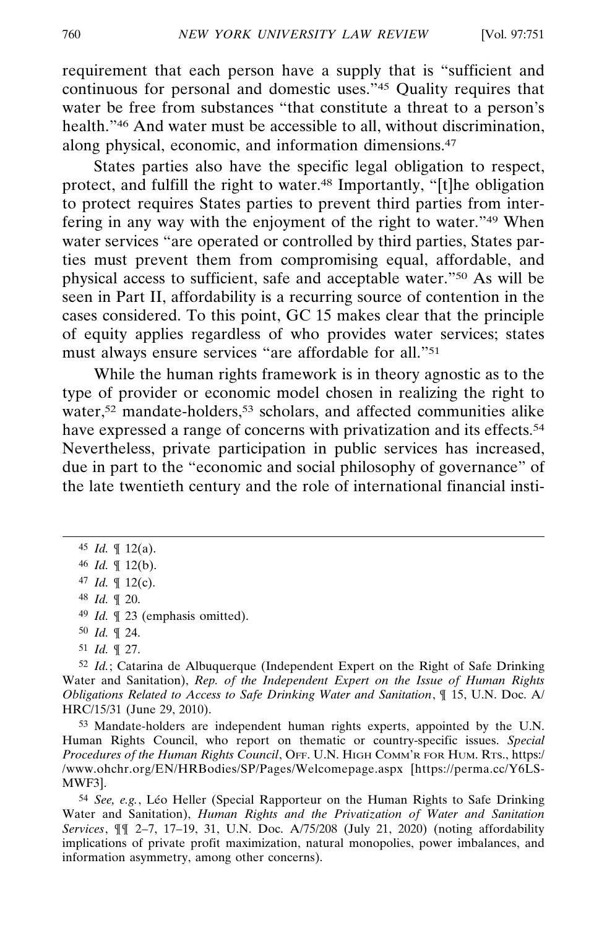requirement that each person have a supply that is "sufficient and continuous for personal and domestic uses."45 Quality requires that water be free from substances "that constitute a threat to a person's health."<sup>46</sup> And water must be accessible to all, without discrimination, along physical, economic, and information dimensions.47

States parties also have the specific legal obligation to respect, protect, and fulfill the right to water.48 Importantly, "[t]he obligation to protect requires States parties to prevent third parties from interfering in any way with the enjoyment of the right to water."49 When water services "are operated or controlled by third parties, States parties must prevent them from compromising equal, affordable, and physical access to sufficient, safe and acceptable water."50 As will be seen in Part II, affordability is a recurring source of contention in the cases considered. To this point, GC 15 makes clear that the principle of equity applies regardless of who provides water services; states must always ensure services "are affordable for all."51

While the human rights framework is in theory agnostic as to the type of provider or economic model chosen in realizing the right to water,<sup>52</sup> mandate-holders,<sup>53</sup> scholars, and affected communities alike have expressed a range of concerns with privatization and its effects.<sup>54</sup> Nevertheless, private participation in public services has increased, due in part to the "economic and social philosophy of governance" of the late twentieth century and the role of international financial insti-

51 *Id.* ¶ 27.

52 *Id.*; Catarina de Albuquerque (Independent Expert on the Right of Safe Drinking Water and Sanitation), *Rep. of the Independent Expert on the Issue of Human Rights Obligations Related to Access to Safe Drinking Water and Sanitation*, ¶ 15, U.N. Doc. A/ HRC/15/31 (June 29, 2010).

53 Mandate-holders are independent human rights experts, appointed by the U.N. Human Rights Council, who report on thematic or country-specific issues. *Special Procedures of the Human Rights Council*, OFF. U.N. HIGH COMM'R FOR HUM. RTS., https:/ /www.ohchr.org/EN/HRBodies/SP/Pages/Welcomepage.aspx [https://perma.cc/Y6LS-MWF3].

<sup>54</sup> *See, e.g.*, Léo Heller (Special Rapporteur on the Human Rights to Safe Drinking Water and Sanitation), *Human Rights and the Privatization of Water and Sanitation Services*, ¶¶ 2–7, 17–19, 31, U.N. Doc. A/75/208 (July 21, 2020) (noting affordability implications of private profit maximization, natural monopolies, power imbalances, and information asymmetry, among other concerns).

<sup>45</sup> *Id.* ¶ 12(a).

<sup>46</sup> *Id.* ¶ 12(b).

<sup>47</sup> *Id.* ¶ 12(c).

<sup>48</sup> *Id.* ¶ 20.

<sup>49</sup> *Id.* ¶ 23 (emphasis omitted).

<sup>50</sup> *Id.* ¶ 24.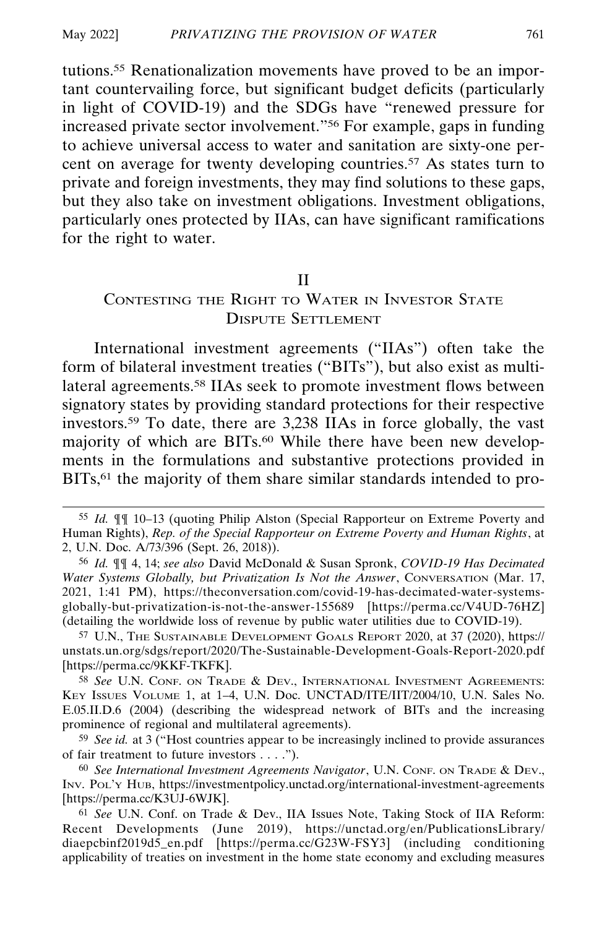tutions.55 Renationalization movements have proved to be an important countervailing force, but significant budget deficits (particularly in light of COVID-19) and the SDGs have "renewed pressure for increased private sector involvement."56 For example, gaps in funding to achieve universal access to water and sanitation are sixty-one percent on average for twenty developing countries.57 As states turn to private and foreign investments, they may find solutions to these gaps, but they also take on investment obligations. Investment obligations, particularly ones protected by IIAs, can have significant ramifications for the right to water.

#### II

## CONTESTING THE RIGHT TO WATER IN INVESTOR STATE DISPUTE SETTLEMENT

International investment agreements ("IIAs") often take the form of bilateral investment treaties ("BITs"), but also exist as multilateral agreements.58 IIAs seek to promote investment flows between signatory states by providing standard protections for their respective investors.59 To date, there are 3,238 IIAs in force globally, the vast majority of which are BITs.<sup>60</sup> While there have been new developments in the formulations and substantive protections provided in BITs,<sup>61</sup> the majority of them share similar standards intended to pro-

57 U.N., THE SUSTAINABLE DEVELOPMENT GOALS REPORT 2020, at 37 (2020), https:// unstats.un.org/sdgs/report/2020/The-Sustainable-Development-Goals-Report-2020.pdf [https://perma.cc/9KKF-TKFK].

58 *See* U.N. CONF. ON TRADE & DEV., INTERNATIONAL INVESTMENT AGREEMENTS: KEY ISSUES VOLUME 1, at 1–4, U.N. Doc. UNCTAD/ITE/IIT/2004/10, U.N. Sales No. E.05.II.D.6 (2004) (describing the widespread network of BITs and the increasing prominence of regional and multilateral agreements).

59 *See id.* at 3 ("Host countries appear to be increasingly inclined to provide assurances of fair treatment to future investors . . . .").

60 *See International Investment Agreements Navigator*, U.N. CONF. ON TRADE & DEV., INV. POL'Y HUB, https://investmentpolicy.unctad.org/international-investment-agreements [https://perma.cc/K3UJ-6WJK].

61 *See* U.N. Conf. on Trade & Dev., IIA Issues Note, Taking Stock of IIA Reform: Recent Developments (June 2019), https://unctad.org/en/PublicationsLibrary/ diaepcbinf2019d5\_en.pdf [https://perma.cc/G23W-FSY3] (including conditioning applicability of treaties on investment in the home state economy and excluding measures

<sup>55</sup> *Id.* ¶¶ 10–13 (quoting Philip Alston (Special Rapporteur on Extreme Poverty and Human Rights), *Rep. of the Special Rapporteur on Extreme Poverty and Human Rights*, at 2, U.N. Doc. A/73/396 (Sept. 26, 2018)).

<sup>56</sup> *Id.* ¶¶ 4, 14; *see also* David McDonald & Susan Spronk, *COVID-19 Has Decimated Water Systems Globally, but Privatization Is Not the Answer*, CONVERSATION (Mar. 17, 2021, 1:41 PM), https://theconversation.com/covid-19-has-decimated-water-systemsglobally-but-privatization-is-not-the-answer-155689 [https://perma.cc/V4UD-76HZ] (detailing the worldwide loss of revenue by public water utilities due to COVID-19).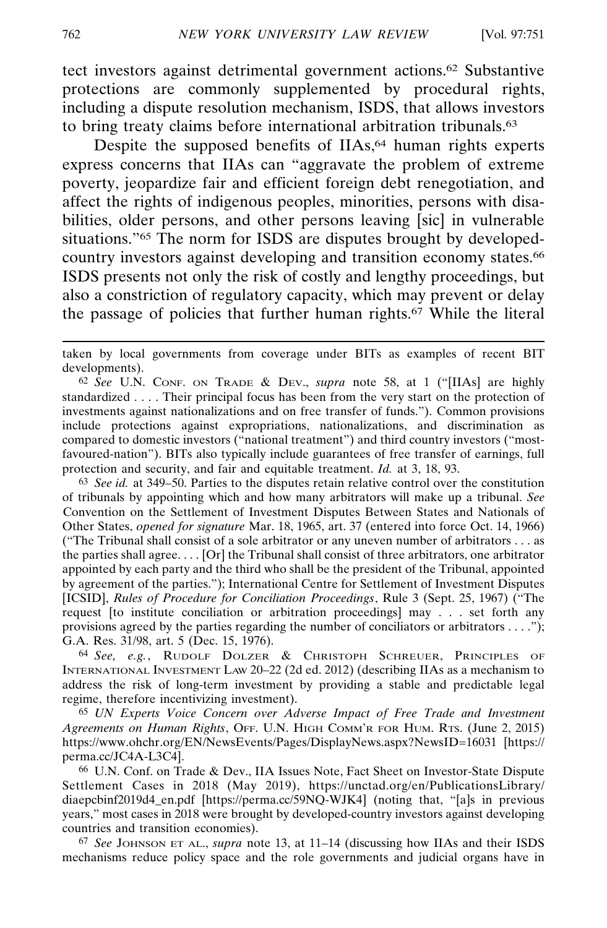tect investors against detrimental government actions.62 Substantive protections are commonly supplemented by procedural rights, including a dispute resolution mechanism, ISDS, that allows investors to bring treaty claims before international arbitration tribunals.<sup>63</sup>

Despite the supposed benefits of IIAs,<sup>64</sup> human rights experts express concerns that IIAs can "aggravate the problem of extreme poverty, jeopardize fair and efficient foreign debt renegotiation, and affect the rights of indigenous peoples, minorities, persons with disabilities, older persons, and other persons leaving [sic] in vulnerable situations."65 The norm for ISDS are disputes brought by developedcountry investors against developing and transition economy states.<sup>66</sup> ISDS presents not only the risk of costly and lengthy proceedings, but also a constriction of regulatory capacity, which may prevent or delay the passage of policies that further human rights.67 While the literal

62 *See* U.N. CONF. ON TRADE & DEV., *supra* note 58, at 1 ("[IIAs] are highly standardized . . . . Their principal focus has been from the very start on the protection of investments against nationalizations and on free transfer of funds."). Common provisions include protections against expropriations, nationalizations, and discrimination as compared to domestic investors ("national treatment") and third country investors ("mostfavoured-nation"). BITs also typically include guarantees of free transfer of earnings, full protection and security, and fair and equitable treatment. *Id.* at 3, 18, 93.

63 *See id.* at 349–50. Parties to the disputes retain relative control over the constitution of tribunals by appointing which and how many arbitrators will make up a tribunal. *See* Convention on the Settlement of Investment Disputes Between States and Nationals of Other States, *opened for signature* Mar. 18, 1965, art. 37 (entered into force Oct. 14, 1966) ("The Tribunal shall consist of a sole arbitrator or any uneven number of arbitrators . . . as the parties shall agree. . . . [Or] the Tribunal shall consist of three arbitrators, one arbitrator appointed by each party and the third who shall be the president of the Tribunal, appointed by agreement of the parties."); International Centre for Settlement of Investment Disputes [ICSID], *Rules of Procedure for Conciliation Proceedings*, Rule 3 (Sept. 25, 1967) ("The request [to institute conciliation or arbitration proceedings] may . . . set forth any provisions agreed by the parties regarding the number of conciliators or arbitrators  $\dots$ "); G.A. Res. 31/98, art. 5 (Dec. 15, 1976).

64 *See, e.g.*, RUDOLF DOLZER & CHRISTOPH SCHREUER, PRINCIPLES OF INTERNATIONAL INVESTMENT LAW 20–22 (2d ed. 2012) (describing IIAs as a mechanism to address the risk of long-term investment by providing a stable and predictable legal regime, therefore incentivizing investment).

65 *UN Experts Voice Concern over Adverse Impact of Free Trade and Investment Agreements on Human Rights*, OFF. U.N. HIGH COMM'R FOR HUM. RTS. (June 2, 2015) https://www.ohchr.org/EN/NewsEvents/Pages/DisplayNews.aspx?NewsID=16031 [https:// perma.cc/JC4A-L3C4].

66 U.N. Conf. on Trade & Dev., IIA Issues Note, Fact Sheet on Investor-State Dispute Settlement Cases in 2018 (May 2019), https://unctad.org/en/PublicationsLibrary/ diaepcbinf2019d4\_en.pdf [https://perma.cc/59NQ-WJK4] (noting that, "[a]s in previous years," most cases in 2018 were brought by developed-country investors against developing countries and transition economies).

67 *See* JOHNSON ET AL., *supra* note 13, at 11–14 (discussing how IIAs and their ISDS mechanisms reduce policy space and the role governments and judicial organs have in

taken by local governments from coverage under BITs as examples of recent BIT developments).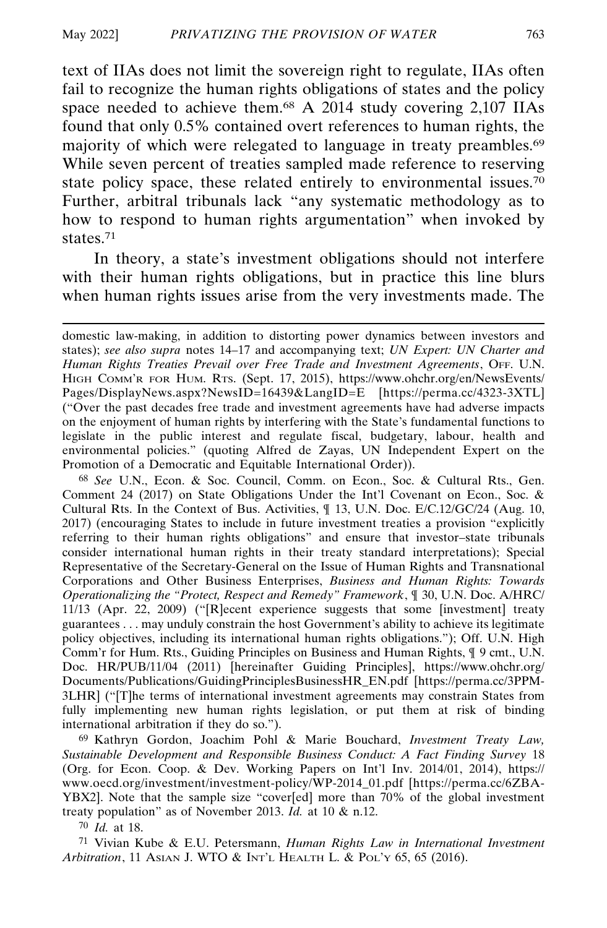text of IIAs does not limit the sovereign right to regulate, IIAs often fail to recognize the human rights obligations of states and the policy space needed to achieve them.<sup>68</sup> A 2014 study covering 2,107 IIAs found that only 0.5% contained overt references to human rights, the majority of which were relegated to language in treaty preambles.<sup>69</sup> While seven percent of treaties sampled made reference to reserving state policy space, these related entirely to environmental issues.<sup>70</sup> Further, arbitral tribunals lack "any systematic methodology as to how to respond to human rights argumentation" when invoked by states.71

In theory, a state's investment obligations should not interfere with their human rights obligations, but in practice this line blurs when human rights issues arise from the very investments made. The

68 *See* U.N., Econ. & Soc. Council, Comm. on Econ., Soc. & Cultural Rts., Gen. Comment 24 (2017) on State Obligations Under the Int'l Covenant on Econ., Soc. & Cultural Rts. In the Context of Bus. Activities, ¶ 13, U.N. Doc. E/C.12/GC/24 (Aug. 10, 2017) (encouraging States to include in future investment treaties a provision "explicitly referring to their human rights obligations" and ensure that investor–state tribunals consider international human rights in their treaty standard interpretations); Special Representative of the Secretary-General on the Issue of Human Rights and Transnational Corporations and Other Business Enterprises, *Business and Human Rights: Towards Operationalizing the "Protect, Respect and Remedy" Framework*, ¶ 30, U.N. Doc. A/HRC/ 11/13 (Apr. 22, 2009) ("[R]ecent experience suggests that some [investment] treaty guarantees . . . may unduly constrain the host Government's ability to achieve its legitimate policy objectives, including its international human rights obligations."); Off. U.N. High Comm'r for Hum. Rts., Guiding Principles on Business and Human Rights, ¶ 9 cmt., U.N. Doc. HR/PUB/11/04 (2011) [hereinafter Guiding Principles], https://www.ohchr.org/ Documents/Publications/GuidingPrinciplesBusinessHR\_EN.pdf [https://perma.cc/3PPM-3LHR] ("[T]he terms of international investment agreements may constrain States from fully implementing new human rights legislation, or put them at risk of binding international arbitration if they do so.").

69 Kathryn Gordon, Joachim Pohl & Marie Bouchard, *Investment Treaty Law, Sustainable Development and Responsible Business Conduct: A Fact Finding Survey* 18 (Org. for Econ. Coop. & Dev. Working Papers on Int'l Inv. 2014/01, 2014), https:// www.oecd.org/investment/investment-policy/WP-2014\_01.pdf [https://perma.cc/6ZBA-YBX2]. Note that the sample size "cover[ed] more than 70% of the global investment treaty population" as of November 2013. *Id.* at 10 & n.12.

70 *Id.* at 18.

71 Vivian Kube & E.U. Petersmann, *Human Rights Law in International Investment Arbitration*, 11 ASIAN J. WTO & INT'L HEALTH L. & POL'Y 65, 65 (2016).

domestic law-making, in addition to distorting power dynamics between investors and states); *see also supra* notes 14–17 and accompanying text; *UN Expert: UN Charter and Human Rights Treaties Prevail over Free Trade and Investment Agreements*, OFF. U.N. HIGH COMM'R FOR HUM. RTS. (Sept. 17, 2015), https://www.ohchr.org/en/NewsEvents/ Pages/DisplayNews.aspx?NewsID=16439&LangID=E [https://perma.cc/4323-3XTL] ("Over the past decades free trade and investment agreements have had adverse impacts on the enjoyment of human rights by interfering with the State's fundamental functions to legislate in the public interest and regulate fiscal, budgetary, labour, health and environmental policies." (quoting Alfred de Zayas, UN Independent Expert on the Promotion of a Democratic and Equitable International Order)).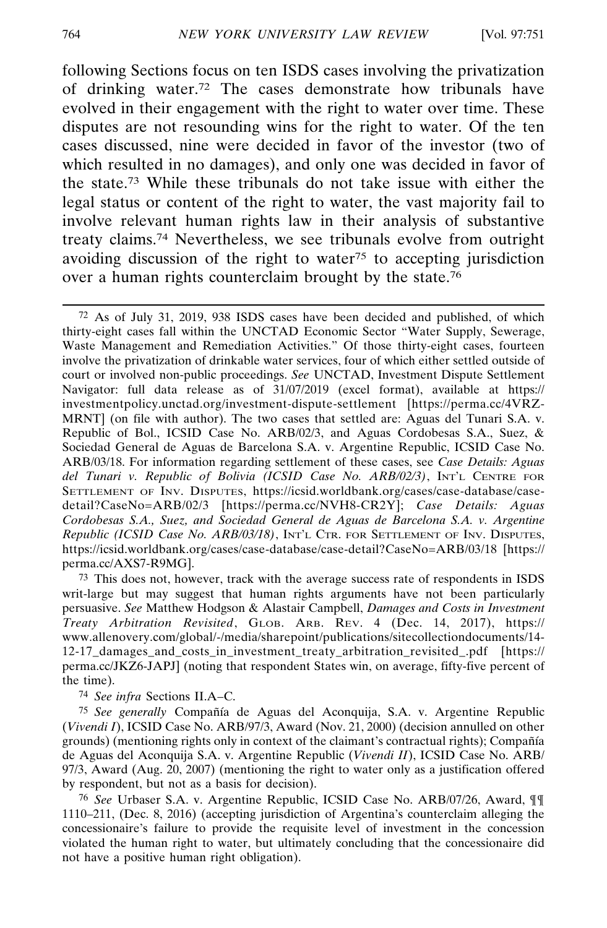following Sections focus on ten ISDS cases involving the privatization of drinking water.72 The cases demonstrate how tribunals have evolved in their engagement with the right to water over time. These disputes are not resounding wins for the right to water. Of the ten cases discussed, nine were decided in favor of the investor (two of which resulted in no damages), and only one was decided in favor of the state.73 While these tribunals do not take issue with either the legal status or content of the right to water, the vast majority fail to involve relevant human rights law in their analysis of substantive treaty claims.74 Nevertheless, we see tribunals evolve from outright avoiding discussion of the right to water<sup>75</sup> to accepting jurisdiction over a human rights counterclaim brought by the state.76

72 As of July 31, 2019, 938 ISDS cases have been decided and published, of which thirty-eight cases fall within the UNCTAD Economic Sector "Water Supply, Sewerage, Waste Management and Remediation Activities." Of those thirty-eight cases, fourteen involve the privatization of drinkable water services, four of which either settled outside of court or involved non-public proceedings. *See* UNCTAD, Investment Dispute Settlement Navigator: full data release as of 31/07/2019 (excel format), available at https:// investmentpolicy.unctad.org/investment-dispute-settlement [https://perma.cc/4VRZ-MRNT] (on file with author). The two cases that settled are: Aguas del Tunari S.A. v. Republic of Bol., ICSID Case No. ARB/02/3, and Aguas Cordobesas S.A., Suez, & Sociedad General de Aguas de Barcelona S.A. v. Argentine Republic, ICSID Case No. ARB/03/18. For information regarding settlement of these cases, see *Case Details: Aguas del Tunari v. Republic of Bolivia (ICSID Case No. ARB/02/3)*, INT'L CENTRE FOR SETTLEMENT OF INV. DISPUTES, https://icsid.worldbank.org/cases/case-database/casedetail?CaseNo=ARB/02/3 [https://perma.cc/NVH8-CR2Y]; *Case Details: Aguas Cordobesas S.A., Suez, and Sociedad General de Aguas de Barcelona S.A. v. Argentine Republic (ICSID Case No. ARB/03/18)*, INT'L CTR. FOR SETTLEMENT OF INV. DISPUTES, https://icsid.worldbank.org/cases/case-database/case-detail?CaseNo=ARB/03/18 [https:// perma.cc/AXS7-R9MG].

73 This does not, however, track with the average success rate of respondents in ISDS writ-large but may suggest that human rights arguments have not been particularly persuasive. *See* Matthew Hodgson & Alastair Campbell, *Damages and Costs in Investment Treaty Arbitration Revisited*, GLOB. ARB. REV. 4 (Dec. 14, 2017), https:// www.allenovery.com/global/-/media/sharepoint/publications/sitecollectiondocuments/14- 12-17\_damages\_and\_costs\_in\_investment\_treaty\_arbitration\_revisited\_.pdf [https:// perma.cc/JKZ6-JAPJ] (noting that respondent States win, on average, fifty-five percent of the time).

74 *See infra* Sections II.A–C.

75 See generally Compañía de Aguas del Aconquija, S.A. v. Argentine Republic (*Vivendi I*), ICSID Case No. ARB/97/3, Award (Nov. 21, 2000) (decision annulled on other grounds) (mentioning rights only in context of the claimant's contractual rights); Compañía de Aguas del Aconquija S.A. v. Argentine Republic (*Vivendi II*), ICSID Case No. ARB/ 97/3, Award (Aug. 20, 2007) (mentioning the right to water only as a justification offered by respondent, but not as a basis for decision).

76 *See* Urbaser S.A. v. Argentine Republic, ICSID Case No. ARB/07/26, Award, ¶¶ 1110–211, (Dec. 8, 2016) (accepting jurisdiction of Argentina's counterclaim alleging the concessionaire's failure to provide the requisite level of investment in the concession violated the human right to water, but ultimately concluding that the concessionaire did not have a positive human right obligation).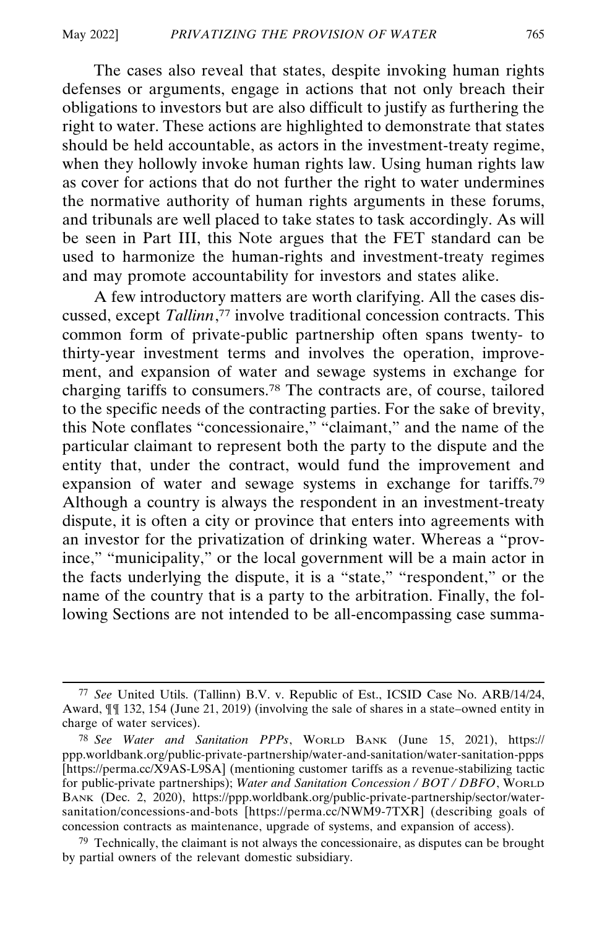The cases also reveal that states, despite invoking human rights defenses or arguments, engage in actions that not only breach their obligations to investors but are also difficult to justify as furthering the right to water. These actions are highlighted to demonstrate that states should be held accountable, as actors in the investment-treaty regime, when they hollowly invoke human rights law. Using human rights law as cover for actions that do not further the right to water undermines the normative authority of human rights arguments in these forums, and tribunals are well placed to take states to task accordingly. As will be seen in Part III, this Note argues that the FET standard can be used to harmonize the human-rights and investment-treaty regimes and may promote accountability for investors and states alike.

A few introductory matters are worth clarifying. All the cases discussed, except *Tallinn*, 77 involve traditional concession contracts. This common form of private-public partnership often spans twenty- to thirty-year investment terms and involves the operation, improvement, and expansion of water and sewage systems in exchange for charging tariffs to consumers.78 The contracts are, of course, tailored to the specific needs of the contracting parties. For the sake of brevity, this Note conflates "concessionaire," "claimant," and the name of the particular claimant to represent both the party to the dispute and the entity that, under the contract, would fund the improvement and expansion of water and sewage systems in exchange for tariffs.79 Although a country is always the respondent in an investment-treaty dispute, it is often a city or province that enters into agreements with an investor for the privatization of drinking water. Whereas a "province," "municipality," or the local government will be a main actor in the facts underlying the dispute, it is a "state," "respondent," or the name of the country that is a party to the arbitration. Finally, the following Sections are not intended to be all-encompassing case summa-

<sup>77</sup> *See* United Utils. (Tallinn) B.V. v. Republic of Est., ICSID Case No. ARB/14/24, Award, ¶¶ 132, 154 (June 21, 2019) (involving the sale of shares in a state–owned entity in charge of water services).

<sup>78</sup> *See Water and Sanitation PPPs*, WORLD BANK (June 15, 2021), https:// ppp.worldbank.org/public-private-partnership/water-and-sanitation/water-sanitation-ppps [https://perma.cc/X9AS-L9SA] (mentioning customer tariffs as a revenue-stabilizing tactic for public-private partnerships); *Water and Sanitation Concession / BOT / DBFO*, WORLD BANK (Dec. 2, 2020), https://ppp.worldbank.org/public-private-partnership/sector/watersanitation/concessions-and-bots [https://perma.cc/NWM9-7TXR] (describing goals of concession contracts as maintenance, upgrade of systems, and expansion of access).

 $79$  Technically, the claimant is not always the concessionaire, as disputes can be brought by partial owners of the relevant domestic subsidiary.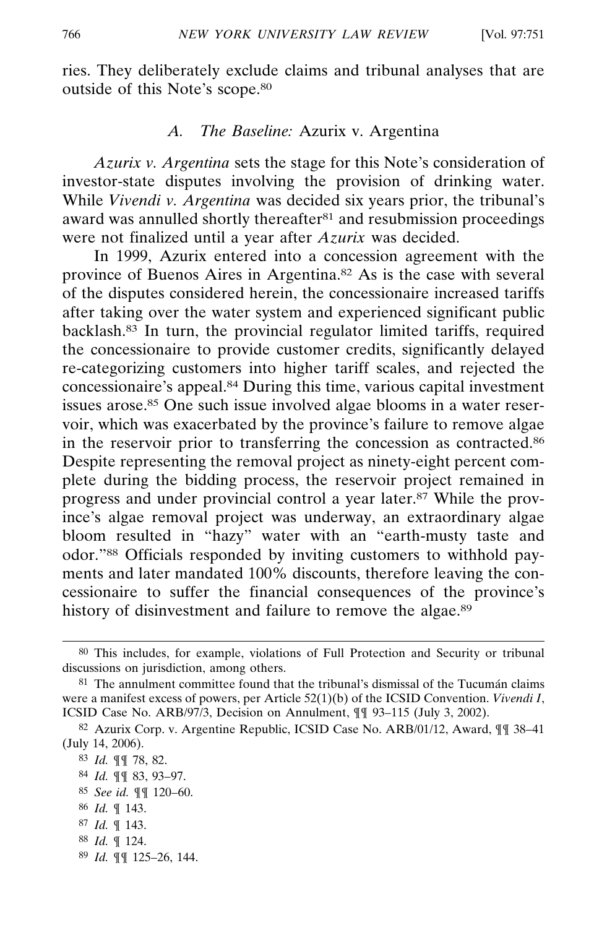ries. They deliberately exclude claims and tribunal analyses that are outside of this Note's scope.80

### *A. The Baseline:* Azurix v. Argentina

*Azurix v. Argentina* sets the stage for this Note's consideration of investor-state disputes involving the provision of drinking water. While *Vivendi v. Argentina* was decided six years prior, the tribunal's award was annulled shortly thereafter<sup>81</sup> and resubmission proceedings were not finalized until a year after *Azurix* was decided.

In 1999, Azurix entered into a concession agreement with the province of Buenos Aires in Argentina.82 As is the case with several of the disputes considered herein, the concessionaire increased tariffs after taking over the water system and experienced significant public backlash.83 In turn, the provincial regulator limited tariffs, required the concessionaire to provide customer credits, significantly delayed re-categorizing customers into higher tariff scales, and rejected the concessionaire's appeal.84 During this time, various capital investment issues arose.85 One such issue involved algae blooms in a water reservoir, which was exacerbated by the province's failure to remove algae in the reservoir prior to transferring the concession as contracted.86 Despite representing the removal project as ninety-eight percent complete during the bidding process, the reservoir project remained in progress and under provincial control a year later.87 While the province's algae removal project was underway, an extraordinary algae bloom resulted in "hazy" water with an "earth-musty taste and odor."88 Officials responded by inviting customers to withhold payments and later mandated 100% discounts, therefore leaving the concessionaire to suffer the financial consequences of the province's history of disinvestment and failure to remove the algae.<sup>89</sup>

- 85 *See id.* ¶¶ 120–60.
- 86 *Id.* ¶ 143.
- 87 *Id.* ¶ 143.
- 88 *Id.* ¶ 124.
- 89 *Id.* ¶¶ 125–26, 144.

<sup>80</sup> This includes, for example, violations of Full Protection and Security or tribunal discussions on jurisdiction, among others.

 $81$  The annulment committee found that the tribunal's dismissal of the Tucumán claims were a manifest excess of powers, per Article 52(1)(b) of the ICSID Convention. *Vivendi I*, ICSID Case No. ARB/97/3, Decision on Annulment, ¶¶ 93–115 (July 3, 2002).

<sup>82</sup> Azurix Corp. v. Argentine Republic, ICSID Case No. ARB/01/12, Award, ¶¶ 38–41 (July 14, 2006).

<sup>83</sup> *Id.* ¶¶ 78, 82.

<sup>84</sup> *Id.* ¶¶ 83, 93–97.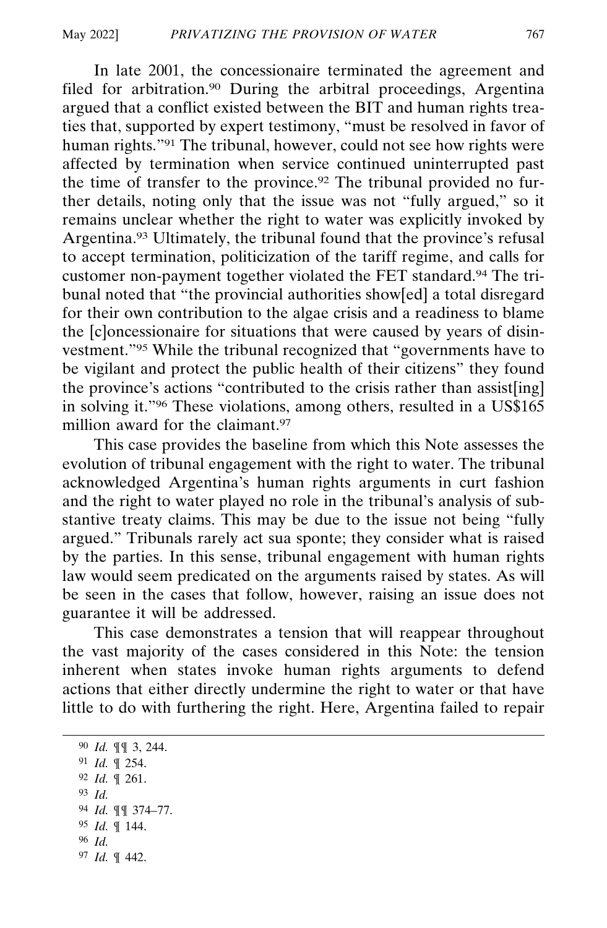In late 2001, the concessionaire terminated the agreement and filed for arbitration.<sup>90</sup> During the arbitral proceedings, Argentina argued that a conflict existed between the BIT and human rights treaties that, supported by expert testimony, "must be resolved in favor of human rights."91 The tribunal, however, could not see how rights were affected by termination when service continued uninterrupted past the time of transfer to the province.92 The tribunal provided no further details, noting only that the issue was not "fully argued," so it remains unclear whether the right to water was explicitly invoked by Argentina.93 Ultimately, the tribunal found that the province's refusal to accept termination, politicization of the tariff regime, and calls for customer non-payment together violated the FET standard.94 The tribunal noted that "the provincial authorities show[ed] a total disregard for their own contribution to the algae crisis and a readiness to blame the [c]oncessionaire for situations that were caused by years of disinvestment."95 While the tribunal recognized that "governments have to be vigilant and protect the public health of their citizens" they found the province's actions "contributed to the crisis rather than assist[ing] in solving it."96 These violations, among others, resulted in a US\$165 million award for the claimant 97

This case provides the baseline from which this Note assesses the evolution of tribunal engagement with the right to water. The tribunal acknowledged Argentina's human rights arguments in curt fashion and the right to water played no role in the tribunal's analysis of substantive treaty claims. This may be due to the issue not being "fully argued." Tribunals rarely act sua sponte; they consider what is raised by the parties. In this sense, tribunal engagement with human rights law would seem predicated on the arguments raised by states. As will be seen in the cases that follow, however, raising an issue does not guarantee it will be addressed.

This case demonstrates a tension that will reappear throughout the vast majority of the cases considered in this Note: the tension inherent when states invoke human rights arguments to defend actions that either directly undermine the right to water or that have little to do with furthering the right. Here, Argentina failed to repair

<sup>90</sup> *Id.* ¶¶ 3, 244. 91 *Id.* ¶ 254. 92 *Id.* ¶ 261. 93 *Id.* 94 *Id.* ¶¶ 374–77. 95 *Id.* ¶ 144. 96 *Id.* 97 *Id.* ¶ 442.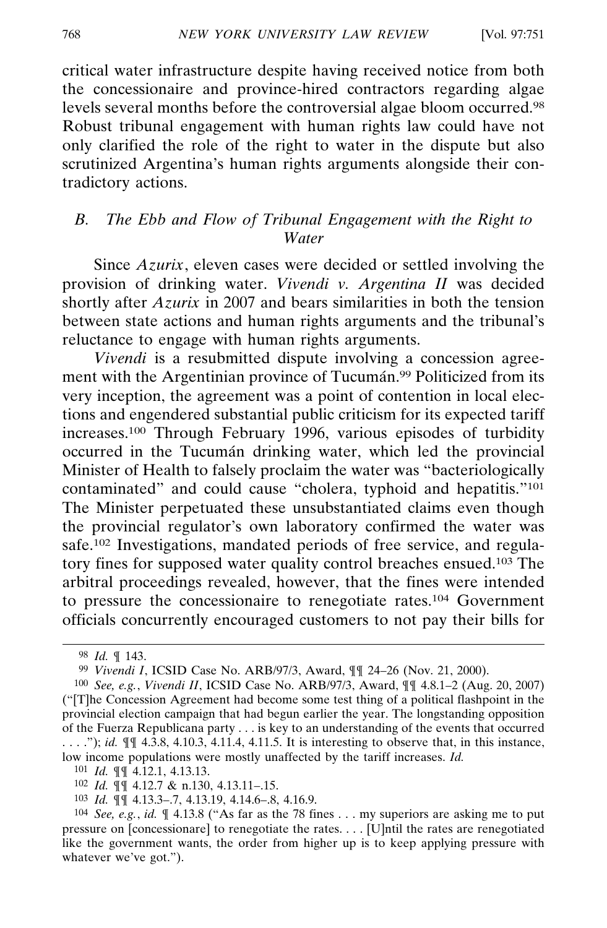critical water infrastructure despite having received notice from both the concessionaire and province-hired contractors regarding algae levels several months before the controversial algae bloom occurred.98 Robust tribunal engagement with human rights law could have not only clarified the role of the right to water in the dispute but also scrutinized Argentina's human rights arguments alongside their contradictory actions.

# *B. The Ebb and Flow of Tribunal Engagement with the Right to Water*

Since *Azurix*, eleven cases were decided or settled involving the provision of drinking water. *Vivendi v. Argentina II* was decided shortly after *Azurix* in 2007 and bears similarities in both the tension between state actions and human rights arguments and the tribunal's reluctance to engage with human rights arguments.

*Vivendi* is a resubmitted dispute involving a concession agreement with the Argentinian province of Tucum and <sup>99</sup> Politicized from its very inception, the agreement was a point of contention in local elections and engendered substantial public criticism for its expected tariff increases.100 Through February 1996, various episodes of turbidity occurred in the Tucumán drinking water, which led the provincial Minister of Health to falsely proclaim the water was "bacteriologically contaminated" and could cause "cholera, typhoid and hepatitis."101 The Minister perpetuated these unsubstantiated claims even though the provincial regulator's own laboratory confirmed the water was safe.102 Investigations, mandated periods of free service, and regulatory fines for supposed water quality control breaches ensued.103 The arbitral proceedings revealed, however, that the fines were intended to pressure the concessionaire to renegotiate rates.104 Government officials concurrently encouraged customers to not pay their bills for

<sup>98</sup> *Id.* ¶ 143.

<sup>99</sup> *Vivendi I*, ICSID Case No. ARB/97/3, Award, ¶¶ 24–26 (Nov. 21, 2000).

<sup>100</sup> *See, e.g.*, *Vivendi II*, ICSID Case No. ARB/97/3, Award, ¶¶ 4.8.1–2 (Aug. 20, 2007) ("[T]he Concession Agreement had become some test thing of a political flashpoint in the provincial election campaign that had begun earlier the year. The longstanding opposition of the Fuerza Republicana party . . . is key to an understanding of the events that occurred . . . ."); *id.* ¶¶ 4.3.8, 4.10.3, 4.11.4, 4.11.5. It is interesting to observe that, in this instance, low income populations were mostly unaffected by the tariff increases. *Id.*

<sup>101</sup> *Id.* ¶¶ 4.12.1, 4.13.13.

<sup>102</sup> *Id.* ¶¶ 4.12.7 & n.130, 4.13.11–.15.

<sup>103</sup> *Id.* ¶¶ 4.13.3–.7, 4.13.19, 4.14.6–.8, 4.16.9.

<sup>104</sup> *See, e.g.*, *id.* ¶ 4.13.8 ("As far as the 78 fines . . . my superiors are asking me to put pressure on [concessionare] to renegotiate the rates. . . . [U]ntil the rates are renegotiated like the government wants, the order from higher up is to keep applying pressure with whatever we've got.").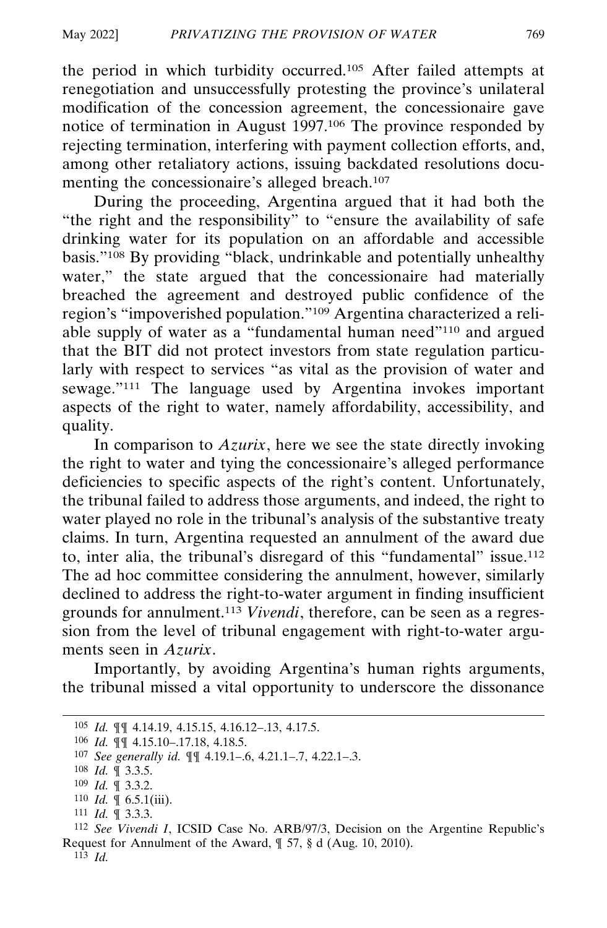the period in which turbidity occurred.105 After failed attempts at renegotiation and unsuccessfully protesting the province's unilateral modification of the concession agreement, the concessionaire gave notice of termination in August 1997.106 The province responded by rejecting termination, interfering with payment collection efforts, and, among other retaliatory actions, issuing backdated resolutions documenting the concessionaire's alleged breach.107

During the proceeding, Argentina argued that it had both the "the right and the responsibility" to "ensure the availability of safe drinking water for its population on an affordable and accessible basis."108 By providing "black, undrinkable and potentially unhealthy water," the state argued that the concessionaire had materially breached the agreement and destroyed public confidence of the region's "impoverished population."109 Argentina characterized a reliable supply of water as a "fundamental human need"110 and argued that the BIT did not protect investors from state regulation particularly with respect to services "as vital as the provision of water and sewage."111 The language used by Argentina invokes important aspects of the right to water, namely affordability, accessibility, and quality.

In comparison to *Azurix*, here we see the state directly invoking the right to water and tying the concessionaire's alleged performance deficiencies to specific aspects of the right's content. Unfortunately, the tribunal failed to address those arguments, and indeed, the right to water played no role in the tribunal's analysis of the substantive treaty claims. In turn, Argentina requested an annulment of the award due to, inter alia, the tribunal's disregard of this "fundamental" issue.112 The ad hoc committee considering the annulment, however, similarly declined to address the right-to-water argument in finding insufficient grounds for annulment.113 *Vivendi*, therefore, can be seen as a regression from the level of tribunal engagement with right-to-water arguments seen in *Azurix*.

Importantly, by avoiding Argentina's human rights arguments, the tribunal missed a vital opportunity to underscore the dissonance

<sup>105</sup> *Id.* ¶¶ 4.14.19, 4.15.15, 4.16.12–.13, 4.17.5.

<sup>106</sup> *Id.* ¶¶ 4.15.10–.17.18, 4.18.5.

<sup>107</sup> *See generally id.* ¶¶ 4.19.1–.6, 4.21.1–.7, 4.22.1–.3.

<sup>108</sup> *Id.* ¶ 3.3.5.

<sup>109</sup> *Id.* ¶ 3.3.2.

 $110$  *Id.*  $\llbracket 6.5.1(iii)$ .

<sup>111</sup> *Id.* ¶ 3.3.3.

<sup>112</sup> *See Vivendi I*, ICSID Case No. ARB/97/3, Decision on the Argentine Republic's Request for Annulment of the Award, ¶ 57, § d (Aug. 10, 2010).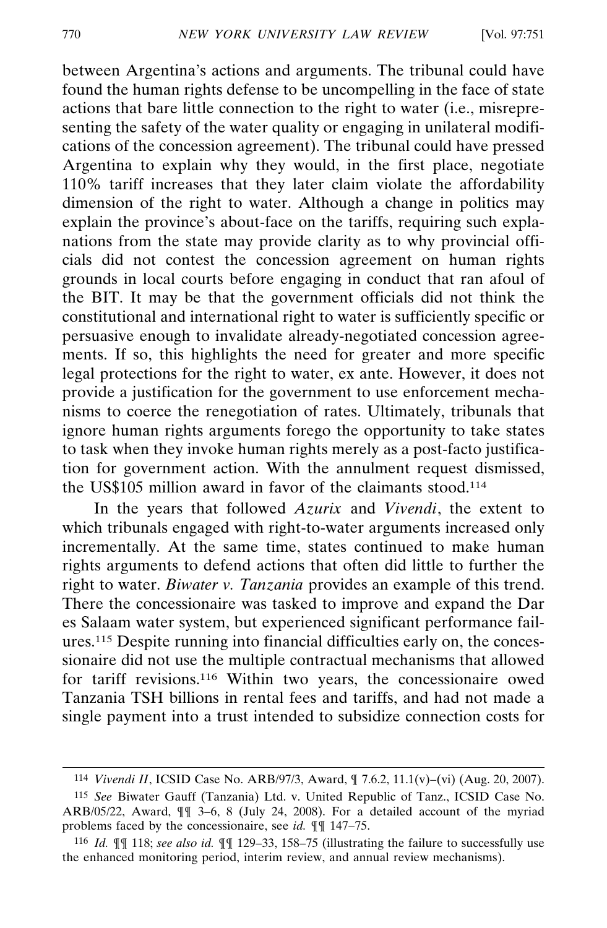between Argentina's actions and arguments. The tribunal could have found the human rights defense to be uncompelling in the face of state actions that bare little connection to the right to water (i.e., misrepresenting the safety of the water quality or engaging in unilateral modifications of the concession agreement). The tribunal could have pressed Argentina to explain why they would, in the first place, negotiate 110% tariff increases that they later claim violate the affordability dimension of the right to water. Although a change in politics may explain the province's about-face on the tariffs, requiring such explanations from the state may provide clarity as to why provincial officials did not contest the concession agreement on human rights grounds in local courts before engaging in conduct that ran afoul of the BIT. It may be that the government officials did not think the constitutional and international right to water is sufficiently specific or persuasive enough to invalidate already-negotiated concession agreements. If so, this highlights the need for greater and more specific legal protections for the right to water, ex ante. However, it does not provide a justification for the government to use enforcement mechanisms to coerce the renegotiation of rates. Ultimately, tribunals that ignore human rights arguments forego the opportunity to take states to task when they invoke human rights merely as a post-facto justification for government action. With the annulment request dismissed, the US\$105 million award in favor of the claimants stood.114

In the years that followed *Azurix* and *Vivendi*, the extent to which tribunals engaged with right-to-water arguments increased only incrementally. At the same time, states continued to make human rights arguments to defend actions that often did little to further the right to water. *Biwater v. Tanzania* provides an example of this trend. There the concessionaire was tasked to improve and expand the Dar es Salaam water system, but experienced significant performance failures.<sup>115</sup> Despite running into financial difficulties early on, the concessionaire did not use the multiple contractual mechanisms that allowed for tariff revisions.116 Within two years, the concessionaire owed Tanzania TSH billions in rental fees and tariffs, and had not made a single payment into a trust intended to subsidize connection costs for

<sup>114</sup> *Vivendi II*, ICSID Case No. ARB/97/3, Award, ¶ 7.6.2, 11.1(v)–(vi) (Aug. 20, 2007).

<sup>115</sup> *See* Biwater Gauff (Tanzania) Ltd. v. United Republic of Tanz., ICSID Case No. ARB/05/22, Award,  $\P$   $\tilde{J}$  -6, 8 (July 24, 2008). For a detailed account of the myriad problems faced by the concessionaire, see *id.* ¶¶ 147–75.

<sup>116</sup> *Id.* ¶¶ 118; *see also id.* ¶¶ 129–33, 158–75 (illustrating the failure to successfully use the enhanced monitoring period, interim review, and annual review mechanisms).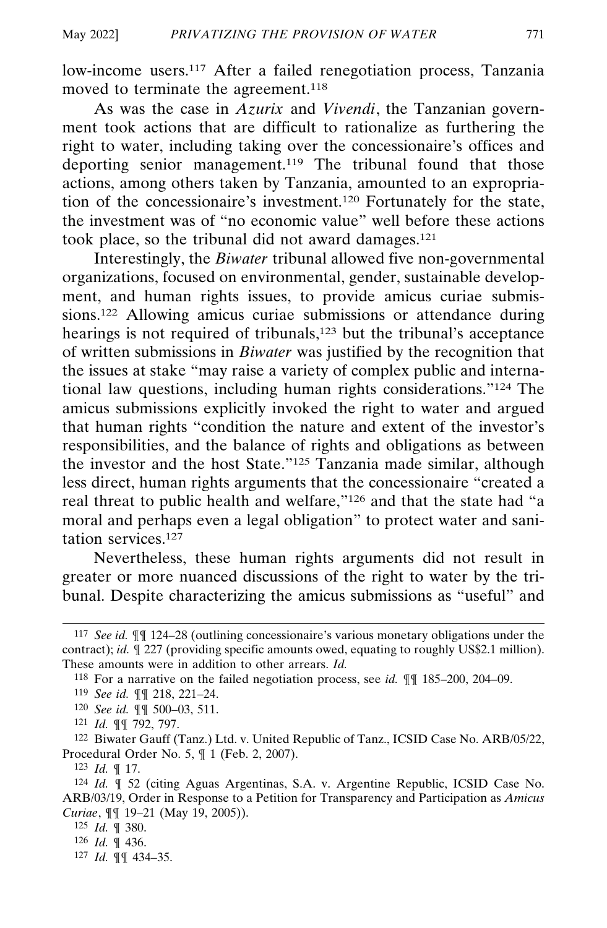low-income users.<sup>117</sup> After a failed renegotiation process, Tanzania moved to terminate the agreement.<sup>118</sup>

As was the case in *Azurix* and *Vivendi*, the Tanzanian government took actions that are difficult to rationalize as furthering the right to water, including taking over the concessionaire's offices and deporting senior management.<sup>119</sup> The tribunal found that those actions, among others taken by Tanzania, amounted to an expropriation of the concessionaire's investment.120 Fortunately for the state, the investment was of "no economic value" well before these actions took place, so the tribunal did not award damages.121

Interestingly, the *Biwater* tribunal allowed five non-governmental organizations, focused on environmental, gender, sustainable development, and human rights issues, to provide amicus curiae submissions.122 Allowing amicus curiae submissions or attendance during hearings is not required of tribunals,<sup>123</sup> but the tribunal's acceptance of written submissions in *Biwater* was justified by the recognition that the issues at stake "may raise a variety of complex public and international law questions, including human rights considerations."124 The amicus submissions explicitly invoked the right to water and argued that human rights "condition the nature and extent of the investor's responsibilities, and the balance of rights and obligations as between the investor and the host State."125 Tanzania made similar, although less direct, human rights arguments that the concessionaire "created a real threat to public health and welfare,"126 and that the state had "a moral and perhaps even a legal obligation" to protect water and sanitation services.127

Nevertheless, these human rights arguments did not result in greater or more nuanced discussions of the right to water by the tribunal. Despite characterizing the amicus submissions as "useful" and

122 Biwater Gauff (Tanz.) Ltd. v. United Republic of Tanz., ICSID Case No. ARB/05/22, Procedural Order No. 5, ¶ 1 (Feb. 2, 2007).

123 *Id.* ¶ 17.

124 *Id.* ¶ 52 (citing Aguas Argentinas, S.A. v. Argentine Republic, ICSID Case No. ARB/03/19, Order in Response to a Petition for Transparency and Participation as *Amicus Curiae*, ¶¶ 19–21 (May 19, 2005)).

127 *Id.* ¶¶ 434–35.

<sup>117</sup> *See id.* ¶¶ 124–28 (outlining concessionaire's various monetary obligations under the contract); *id.*  $\sqrt{227}$  (providing specific amounts owed, equating to roughly US\$2.1 million). These amounts were in addition to other arrears. *Id.*

<sup>118</sup> For a narrative on the failed negotiation process, see *id.* ¶¶ 185–200, 204–09.

<sup>119</sup> *See id.* ¶¶ 218, 221–24.

<sup>120</sup> *See id.* ¶¶ 500–03, 511.

<sup>121</sup> *Id.* ¶¶ 792, 797.

<sup>125</sup> *Id.* ¶ 380.

<sup>126</sup> *Id.* ¶ 436.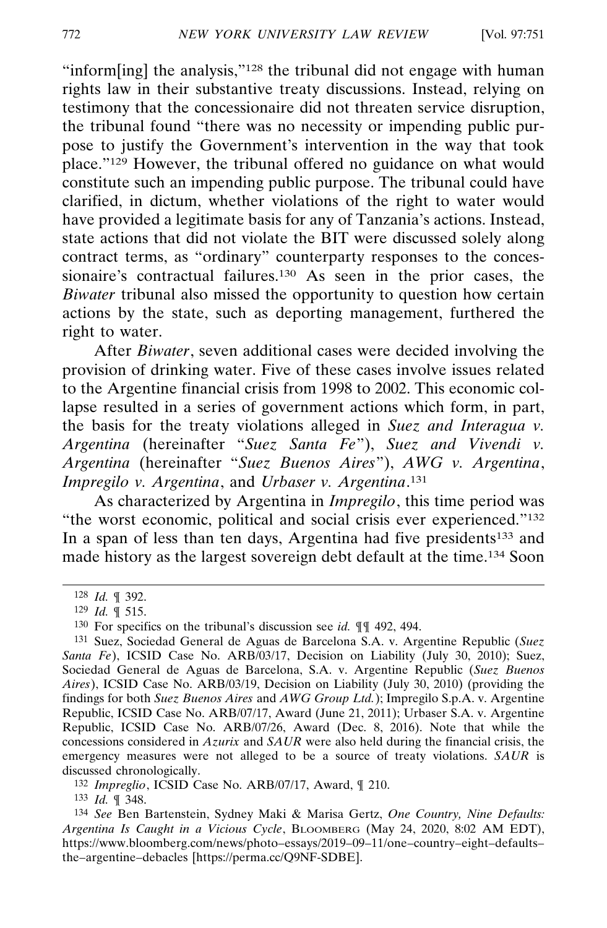"inform[ing] the analysis,"128 the tribunal did not engage with human rights law in their substantive treaty discussions. Instead, relying on testimony that the concessionaire did not threaten service disruption, the tribunal found "there was no necessity or impending public purpose to justify the Government's intervention in the way that took place."129 However, the tribunal offered no guidance on what would constitute such an impending public purpose. The tribunal could have clarified, in dictum, whether violations of the right to water would have provided a legitimate basis for any of Tanzania's actions. Instead, state actions that did not violate the BIT were discussed solely along contract terms, as "ordinary" counterparty responses to the concessionaire's contractual failures.<sup>130</sup> As seen in the prior cases, the *Biwater* tribunal also missed the opportunity to question how certain actions by the state, such as deporting management, furthered the right to water.

After *Biwater*, seven additional cases were decided involving the provision of drinking water. Five of these cases involve issues related to the Argentine financial crisis from 1998 to 2002. This economic collapse resulted in a series of government actions which form, in part, the basis for the treaty violations alleged in *Suez and Interagua v. Argentina* (hereinafter "*Suez Santa Fe*"), *Suez and Vivendi v. Argentina* (hereinafter "*Suez Buenos Aires*"), *AWG v. Argentina*, *Impregilo v. Argentina*, and *Urbaser v. Argentina*. 131

As characterized by Argentina in *Impregilo*, this time period was "the worst economic, political and social crisis ever experienced."<sup>132</sup> In a span of less than ten days, Argentina had five presidents<sup>133</sup> and made history as the largest sovereign debt default at the time.134 Soon

132 *Impreglio*, ICSID Case No. ARB/07/17, Award, ¶ 210.

133 *Id.* ¶ 348.

<sup>128</sup> *Id.* ¶ 392.

<sup>129</sup> *Id.* ¶ 515.

<sup>130</sup> For specifics on the tribunal's discussion see *id.* ¶¶ 492, 494.

<sup>131</sup> Suez, Sociedad General de Aguas de Barcelona S.A. v. Argentine Republic (*Suez Santa Fe*), ICSID Case No. ARB/03/17, Decision on Liability (July 30, 2010); Suez, Sociedad General de Aguas de Barcelona, S.A. v. Argentine Republic (*Suez Buenos Aires*), ICSID Case No. ARB/03/19, Decision on Liability (July 30, 2010) (providing the findings for both *Suez Buenos Aires* and *AWG Group Ltd.*); Impregilo S.p.A. v. Argentine Republic, ICSID Case No. ARB/07/17, Award (June 21, 2011); Urbaser S.A. v. Argentine Republic, ICSID Case No. ARB/07/26, Award (Dec. 8, 2016). Note that while the concessions considered in *Azurix* and *SAUR* were also held during the financial crisis, the emergency measures were not alleged to be a source of treaty violations. *SAUR* is discussed chronologically.

<sup>134</sup> *See* Ben Bartenstein, Sydney Maki & Marisa Gertz, *One Country, Nine Defaults: Argentina Is Caught in a Vicious Cycle*, BLOOMBERG (May 24, 2020, 8:02 AM EDT), https://www.bloomberg.com/news/photo–essays/2019–09–11/one–country–eight–defaults– the–argentine–debacles [https://perma.cc/Q9NF-SDBE].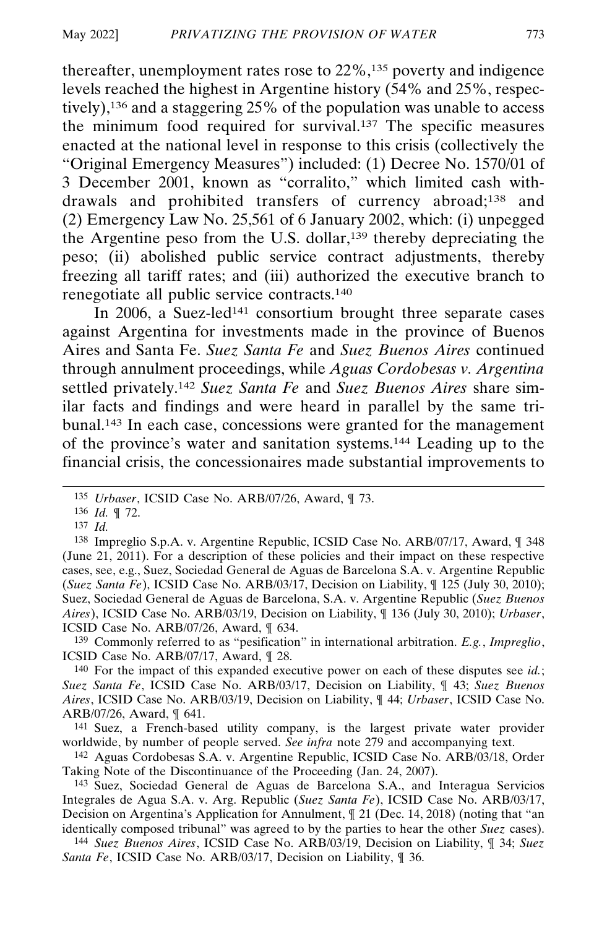thereafter, unemployment rates rose to 22%,135 poverty and indigence levels reached the highest in Argentine history (54% and 25%, respectively),136 and a staggering 25% of the population was unable to access the minimum food required for survival.137 The specific measures enacted at the national level in response to this crisis (collectively the "Original Emergency Measures") included: (1) Decree No. 1570/01 of 3 December 2001, known as "corralito," which limited cash withdrawals and prohibited transfers of currency abroad;138 and (2) Emergency Law No. 25,561 of 6 January 2002, which: (i) unpegged the Argentine peso from the U.S. dollar,139 thereby depreciating the peso; (ii) abolished public service contract adjustments, thereby freezing all tariff rates; and (iii) authorized the executive branch to renegotiate all public service contracts.140

In 2006, a Suez-led<sup>141</sup> consortium brought three separate cases against Argentina for investments made in the province of Buenos Aires and Santa Fe. *Suez Santa Fe* and *Suez Buenos Aires* continued through annulment proceedings, while *Aguas Cordobesas v. Argentina* settled privately.142 *Suez Santa Fe* and *Suez Buenos Aires* share similar facts and findings and were heard in parallel by the same tribunal.143 In each case, concessions were granted for the management of the province's water and sanitation systems.144 Leading up to the financial crisis, the concessionaires made substantial improvements to

139 Commonly referred to as "pesification" in international arbitration. *E.g.*, *Impreglio*, ICSID Case No. ARB/07/17, Award, ¶ 28.

<sup>135</sup> *Urbaser*, ICSID Case No. ARB/07/26, Award, ¶ 73.

<sup>136</sup> *Id.* ¶ 72.

<sup>137</sup> *Id.*

<sup>138</sup> Impreglio S.p.A. v. Argentine Republic, ICSID Case No. ARB/07/17, Award, ¶ 348 (June 21, 2011). For a description of these policies and their impact on these respective cases, see, e.g., Suez, Sociedad General de Aguas de Barcelona S.A. v. Argentine Republic (*Suez Santa Fe*), ICSID Case No. ARB/03/17, Decision on Liability, ¶ 125 (July 30, 2010); Suez, Sociedad General de Aguas de Barcelona, S.A. v. Argentine Republic (*Suez Buenos Aires*), ICSID Case No. ARB/03/19, Decision on Liability, ¶ 136 (July 30, 2010); *Urbaser*, ICSID Case No. ARB/07/26, Award, ¶ 634.

<sup>140</sup> For the impact of this expanded executive power on each of these disputes see *id.*; *Suez Santa Fe*, ICSID Case No. ARB/03/17, Decision on Liability, ¶ 43; *Suez Buenos Aires*, ICSID Case No. ARB/03/19, Decision on Liability, ¶ 44; *Urbaser*, ICSID Case No. ARB/07/26, Award, ¶ 641.

<sup>141</sup> Suez, a French-based utility company, is the largest private water provider worldwide, by number of people served. *See infra* note 279 and accompanying text.

<sup>142</sup> Aguas Cordobesas S.A. v. Argentine Republic, ICSID Case No. ARB/03/18, Order Taking Note of the Discontinuance of the Proceeding (Jan. 24, 2007).

<sup>143</sup> Suez, Sociedad General de Aguas de Barcelona S.A., and Interagua Servicios Integrales de Agua S.A. v. Arg. Republic (*Suez Santa Fe*), ICSID Case No. ARB/03/17, Decision on Argentina's Application for Annulment, ¶ 21 (Dec. 14, 2018) (noting that "an identically composed tribunal" was agreed to by the parties to hear the other *Suez* cases).

<sup>144</sup> *Suez Buenos Aires*, ICSID Case No. ARB/03/19, Decision on Liability, ¶ 34; *Suez Santa Fe*, ICSID Case No. ARB/03/17, Decision on Liability, ¶ 36.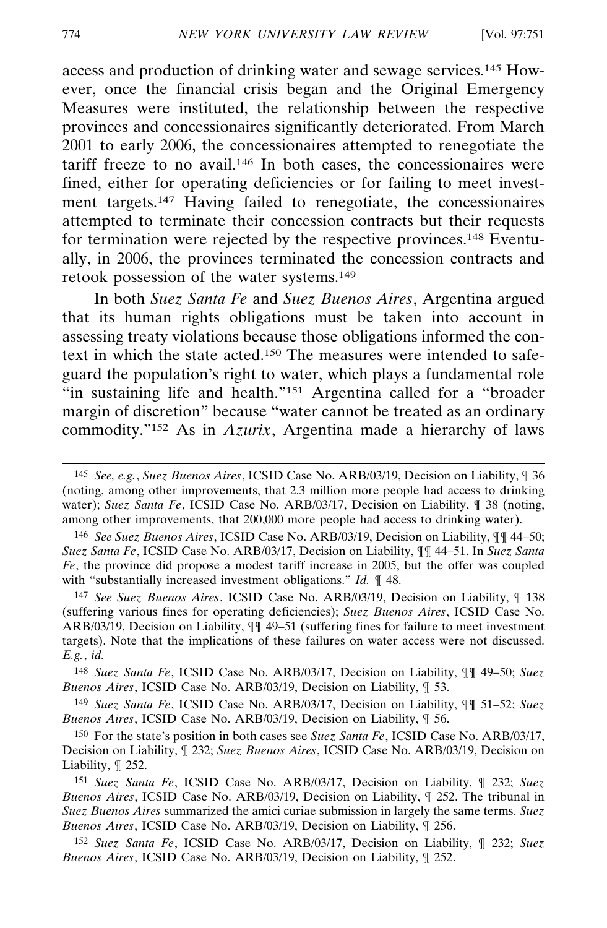access and production of drinking water and sewage services.145 However, once the financial crisis began and the Original Emergency Measures were instituted, the relationship between the respective provinces and concessionaires significantly deteriorated. From March 2001 to early 2006, the concessionaires attempted to renegotiate the tariff freeze to no avail.146 In both cases, the concessionaires were fined, either for operating deficiencies or for failing to meet investment targets.147 Having failed to renegotiate, the concessionaires attempted to terminate their concession contracts but their requests for termination were rejected by the respective provinces.148 Eventually, in 2006, the provinces terminated the concession contracts and retook possession of the water systems.149

In both *Suez Santa Fe* and *Suez Buenos Aires*, Argentina argued that its human rights obligations must be taken into account in assessing treaty violations because those obligations informed the context in which the state acted.150 The measures were intended to safeguard the population's right to water, which plays a fundamental role "in sustaining life and health."151 Argentina called for a "broader margin of discretion" because "water cannot be treated as an ordinary commodity."152 As in *Azurix*, Argentina made a hierarchy of laws

147 *See Suez Buenos Aires*, ICSID Case No. ARB/03/19, Decision on Liability, ¶ 138 (suffering various fines for operating deficiencies); *Suez Buenos Aires*, ICSID Case No. ARB/03/19, Decision on Liability, ¶¶ 49–51 (suffering fines for failure to meet investment targets). Note that the implications of these failures on water access were not discussed. *E.g.*, *id.*

148 *Suez Santa Fe*, ICSID Case No. ARB/03/17, Decision on Liability, ¶¶ 49–50; *Suez Buenos Aires*, ICSID Case No. ARB/03/19, Decision on Liability, ¶ 53.

149 *Suez Santa Fe*, ICSID Case No. ARB/03/17, Decision on Liability, ¶¶ 51–52; *Suez Buenos Aires*, ICSID Case No. ARB/03/19, Decision on Liability, ¶ 56.

150 For the state's position in both cases see *Suez Santa Fe*, ICSID Case No. ARB/03/17, Decision on Liability, ¶ 232; *Suez Buenos Aires*, ICSID Case No. ARB/03/19, Decision on Liability, ¶ 252.

151 *Suez Santa Fe*, ICSID Case No. ARB/03/17, Decision on Liability, ¶ 232; *Suez Buenos Aires*, ICSID Case No. ARB/03/19, Decision on Liability, ¶ 252. The tribunal in *Suez Buenos Aires* summarized the amici curiae submission in largely the same terms. *Suez Buenos Aires*, ICSID Case No. ARB/03/19, Decision on Liability, ¶ 256.

152 *Suez Santa Fe*, ICSID Case No. ARB/03/17, Decision on Liability, ¶ 232; *Suez Buenos Aires*, ICSID Case No. ARB/03/19, Decision on Liability, ¶ 252.

<sup>145</sup> *See, e.g.*, *Suez Buenos Aires*, ICSID Case No. ARB/03/19, Decision on Liability, ¶ 36 (noting, among other improvements, that 2.3 million more people had access to drinking water); *Suez Santa Fe*, ICSID Case No. ARB/03/17, Decision on Liability, ¶ 38 (noting, among other improvements, that 200,000 more people had access to drinking water).

<sup>146</sup> *See Suez Buenos Aires*, ICSID Case No. ARB/03/19, Decision on Liability, ¶¶ 44–50; *Suez Santa Fe*, ICSID Case No. ARB/03/17, Decision on Liability, ¶¶ 44–51. In *Suez Santa Fe*, the province did propose a modest tariff increase in 2005, but the offer was coupled with "substantially increased investment obligations." *Id.* ¶ 48.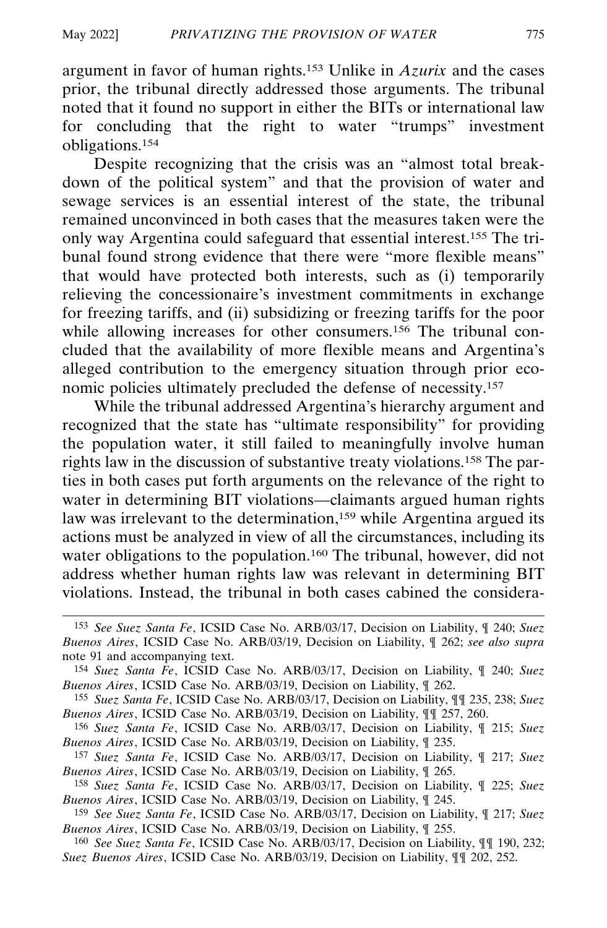argument in favor of human rights.153 Unlike in *Azurix* and the cases prior, the tribunal directly addressed those arguments. The tribunal noted that it found no support in either the BITs or international law for concluding that the right to water "trumps" investment obligations.154

Despite recognizing that the crisis was an "almost total breakdown of the political system" and that the provision of water and sewage services is an essential interest of the state, the tribunal remained unconvinced in both cases that the measures taken were the only way Argentina could safeguard that essential interest.155 The tribunal found strong evidence that there were "more flexible means" that would have protected both interests, such as (i) temporarily relieving the concessionaire's investment commitments in exchange for freezing tariffs, and (ii) subsidizing or freezing tariffs for the poor while allowing increases for other consumers.<sup>156</sup> The tribunal concluded that the availability of more flexible means and Argentina's alleged contribution to the emergency situation through prior economic policies ultimately precluded the defense of necessity.157

While the tribunal addressed Argentina's hierarchy argument and recognized that the state has "ultimate responsibility" for providing the population water, it still failed to meaningfully involve human rights law in the discussion of substantive treaty violations.158 The parties in both cases put forth arguments on the relevance of the right to water in determining BIT violations—claimants argued human rights law was irrelevant to the determination,<sup>159</sup> while Argentina argued its actions must be analyzed in view of all the circumstances, including its water obligations to the population.<sup>160</sup> The tribunal, however, did not address whether human rights law was relevant in determining BIT violations. Instead, the tribunal in both cases cabined the considera-

<sup>153</sup> *See Suez Santa Fe*, ICSID Case No. ARB/03/17, Decision on Liability, ¶ 240; *Suez Buenos Aires*, ICSID Case No. ARB/03/19, Decision on Liability, ¶ 262; *see also supra* note 91 and accompanying text.

<sup>154</sup> *Suez Santa Fe*, ICSID Case No. ARB/03/17, Decision on Liability, ¶ 240; *Suez Buenos Aires*, ICSID Case No. ARB/03/19, Decision on Liability, ¶ 262.

<sup>155</sup> *Suez Santa Fe*, ICSID Case No. ARB/03/17, Decision on Liability, ¶¶ 235, 238; *Suez Buenos Aires*, ICSID Case No. ARB/03/19, Decision on Liability, ¶¶ 257, 260.

<sup>156</sup> *Suez Santa Fe*, ICSID Case No. ARB/03/17, Decision on Liability, ¶ 215; *Suez Buenos Aires*, ICSID Case No. ARB/03/19, Decision on Liability, ¶ 235.

<sup>157</sup> *Suez Santa Fe*, ICSID Case No. ARB/03/17, Decision on Liability, ¶ 217; *Suez Buenos Aires*, ICSID Case No. ARB/03/19, Decision on Liability, ¶ 265.

<sup>158</sup> *Suez Santa Fe*, ICSID Case No. ARB/03/17, Decision on Liability, ¶ 225; *Suez Buenos Aires*, ICSID Case No. ARB/03/19, Decision on Liability, ¶ 245.

<sup>159</sup> *See Suez Santa Fe*, ICSID Case No. ARB/03/17, Decision on Liability, ¶ 217; *Suez Buenos Aires*, ICSID Case No. ARB/03/19, Decision on Liability, ¶ 255.

<sup>160</sup> *See Suez Santa Fe*, ICSID Case No. ARB/03/17, Decision on Liability, ¶¶ 190, 232; *Suez Buenos Aires*, ICSID Case No. ARB/03/19, Decision on Liability, ¶¶ 202, 252.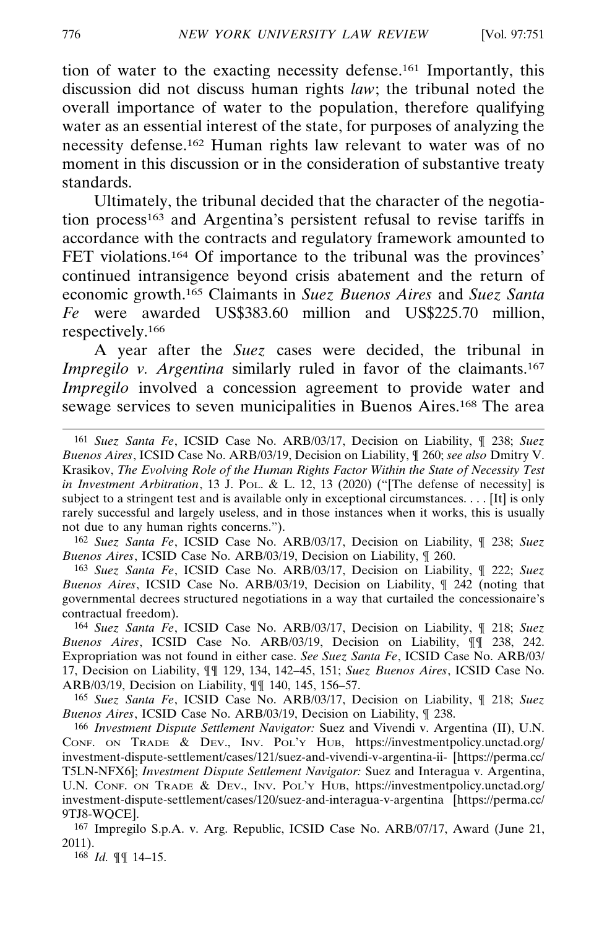tion of water to the exacting necessity defense.161 Importantly, this discussion did not discuss human rights *law*; the tribunal noted the overall importance of water to the population, therefore qualifying water as an essential interest of the state, for purposes of analyzing the necessity defense.162 Human rights law relevant to water was of no moment in this discussion or in the consideration of substantive treaty standards.

Ultimately, the tribunal decided that the character of the negotiation process<sup>163</sup> and Argentina's persistent refusal to revise tariffs in accordance with the contracts and regulatory framework amounted to FET violations.<sup>164</sup> Of importance to the tribunal was the provinces' continued intransigence beyond crisis abatement and the return of economic growth.165 Claimants in *Suez Buenos Aires* and *Suez Santa Fe* were awarded US\$383.60 million and US\$225.70 million, respectively.166

A year after the *Suez* cases were decided, the tribunal in *Impregilo v. Argentina* similarly ruled in favor of the claimants.<sup>167</sup> *Impregilo* involved a concession agreement to provide water and sewage services to seven municipalities in Buenos Aires.168 The area

162 *Suez Santa Fe*, ICSID Case No. ARB/03/17, Decision on Liability, ¶ 238; *Suez Buenos Aires*, ICSID Case No. ARB/03/19, Decision on Liability, ¶ 260.

163 *Suez Santa Fe*, ICSID Case No. ARB/03/17, Decision on Liability, ¶ 222; *Suez Buenos Aires*, ICSID Case No. ARB/03/19, Decision on Liability, ¶ 242 (noting that governmental decrees structured negotiations in a way that curtailed the concessionaire's contractual freedom).

164 *Suez Santa Fe*, ICSID Case No. ARB/03/17, Decision on Liability, ¶ 218; *Suez Buenos Aires*, ICSID Case No. ARB/03/19, Decision on Liability, ¶¶ 238, 242. Expropriation was not found in either case. *See Suez Santa Fe*, ICSID Case No. ARB/03/ 17, Decision on Liability, ¶¶ 129, 134, 142–45, 151; *Suez Buenos Aires*, ICSID Case No. ARB/03/19, Decision on Liability, ¶¶ 140, 145, 156–57.

165 *Suez Santa Fe*, ICSID Case No. ARB/03/17, Decision on Liability, ¶ 218; *Suez Buenos Aires*, ICSID Case No. ARB/03/19, Decision on Liability, ¶ 238.

166 *Investment Dispute Settlement Navigator:* Suez and Vivendi v. Argentina (II), U.N. CONF. ON TRADE & DEV., INV. POL'Y HUB, https://investmentpolicy.unctad.org/ investment-dispute-settlement/cases/121/suez-and-vivendi-v-argentina-ii- [https://perma.cc/ T5LN-NFX6]; *Investment Dispute Settlement Navigator:* Suez and Interagua v. Argentina, U.N. CONF. ON TRADE & DEV., INV. POL'Y HUB, https://investmentpolicy.unctad.org/ investment-dispute-settlement/cases/120/suez-and-interagua-v-argentina [https://perma.cc/ 9TJ8-WQCE].

167 Impregilo S.p.A. v. Arg. Republic, ICSID Case No. ARB/07/17, Award (June 21, 2011).

168 *Id.* ¶¶ 14–15.

<sup>161</sup> *Suez Santa Fe*, ICSID Case No. ARB/03/17, Decision on Liability, ¶ 238; *Suez Buenos Aires*, ICSID Case No. ARB/03/19, Decision on Liability, ¶ 260; *see also* Dmitry V. Krasikov, *The Evolving Role of the Human Rights Factor Within the State of Necessity Test in Investment Arbitration*, 13 J. POL. & L. 12, 13 (2020) ("[The defense of necessity] is subject to a stringent test and is available only in exceptional circumstances. . . . [It] is only rarely successful and largely useless, and in those instances when it works, this is usually not due to any human rights concerns.").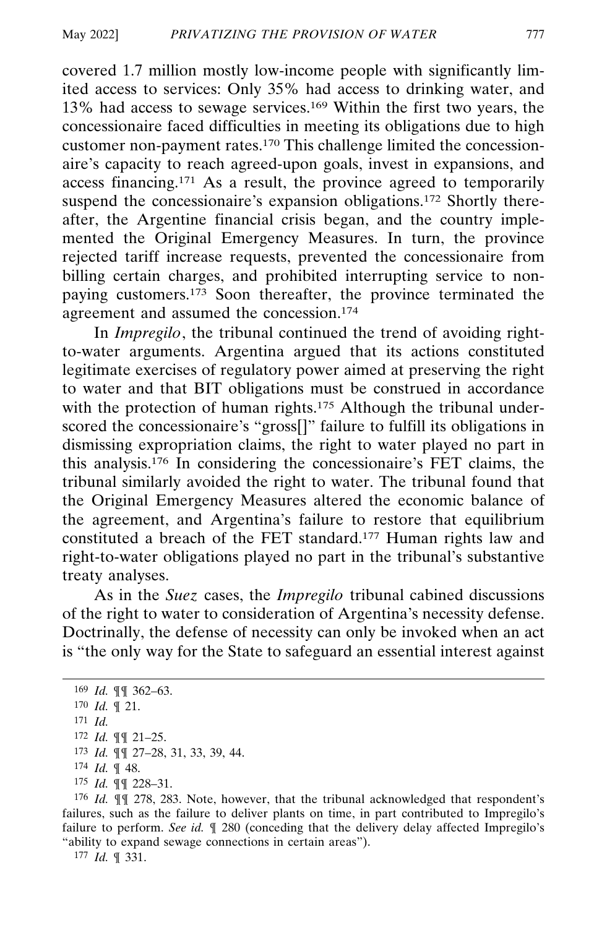covered 1.7 million mostly low-income people with significantly limited access to services: Only 35% had access to drinking water, and 13% had access to sewage services.169 Within the first two years, the concessionaire faced difficulties in meeting its obligations due to high customer non-payment rates.170 This challenge limited the concessionaire's capacity to reach agreed-upon goals, invest in expansions, and access financing.171 As a result, the province agreed to temporarily suspend the concessionaire's expansion obligations.<sup>172</sup> Shortly thereafter, the Argentine financial crisis began, and the country implemented the Original Emergency Measures. In turn, the province rejected tariff increase requests, prevented the concessionaire from billing certain charges, and prohibited interrupting service to nonpaying customers.173 Soon thereafter, the province terminated the agreement and assumed the concession.<sup>174</sup>

In *Impregilo*, the tribunal continued the trend of avoiding rightto-water arguments. Argentina argued that its actions constituted legitimate exercises of regulatory power aimed at preserving the right to water and that BIT obligations must be construed in accordance with the protection of human rights.<sup>175</sup> Although the tribunal underscored the concessionaire's "gross[]" failure to fulfill its obligations in dismissing expropriation claims, the right to water played no part in this analysis.176 In considering the concessionaire's FET claims, the tribunal similarly avoided the right to water. The tribunal found that the Original Emergency Measures altered the economic balance of the agreement, and Argentina's failure to restore that equilibrium constituted a breach of the FET standard.177 Human rights law and right-to-water obligations played no part in the tribunal's substantive treaty analyses.

As in the *Suez* cases, the *Impregilo* tribunal cabined discussions of the right to water to consideration of Argentina's necessity defense. Doctrinally, the defense of necessity can only be invoked when an act is "the only way for the State to safeguard an essential interest against

 *Id.* ¶¶ 362–63. *Id.* ¶ 21. 171 *Id. Id.* ¶¶ 21–25. *Id.* ¶¶ 27–28, 31, 33, 39, 44. *Id.* ¶ 48. *Id.* ¶¶ 228–31.

176 *Id.* ¶¶ 278, 283. Note, however, that the tribunal acknowledged that respondent's failures, such as the failure to deliver plants on time, in part contributed to Impregilo's failure to perform. *See id.* ¶ 280 (conceding that the delivery delay affected Impregilo's "ability to expand sewage connections in certain areas").

177 *Id.* ¶ 331.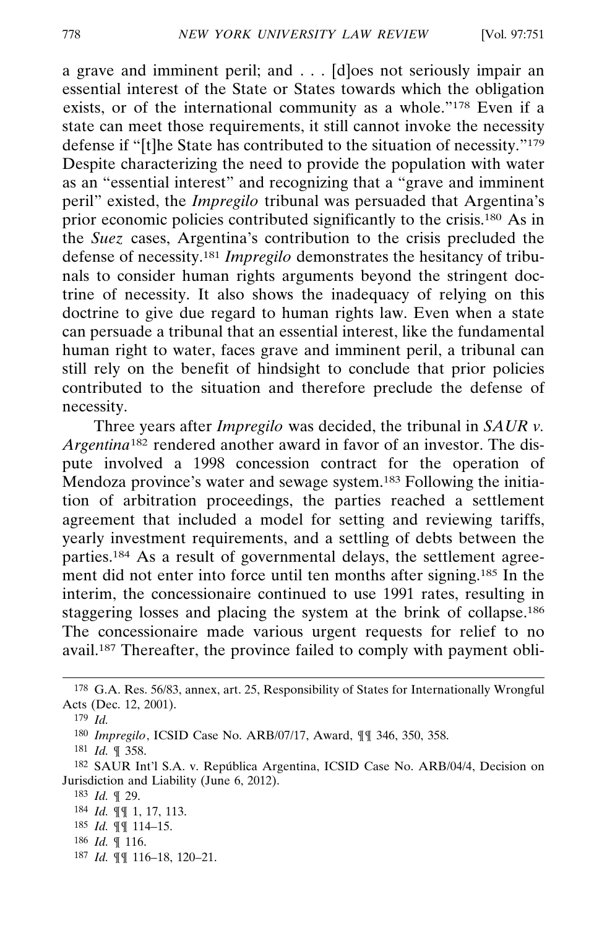a grave and imminent peril; and . . . [d]oes not seriously impair an essential interest of the State or States towards which the obligation exists, or of the international community as a whole."178 Even if a state can meet those requirements, it still cannot invoke the necessity defense if "[t]he State has contributed to the situation of necessity."179 Despite characterizing the need to provide the population with water as an "essential interest" and recognizing that a "grave and imminent peril" existed, the *Impregilo* tribunal was persuaded that Argentina's prior economic policies contributed significantly to the crisis.<sup>180</sup> As in the *Suez* cases, Argentina's contribution to the crisis precluded the defense of necessity.181 *Impregilo* demonstrates the hesitancy of tribunals to consider human rights arguments beyond the stringent doctrine of necessity. It also shows the inadequacy of relying on this doctrine to give due regard to human rights law. Even when a state can persuade a tribunal that an essential interest, like the fundamental human right to water, faces grave and imminent peril, a tribunal can still rely on the benefit of hindsight to conclude that prior policies contributed to the situation and therefore preclude the defense of necessity.

Three years after *Impregilo* was decided, the tribunal in *SAUR v. Argentina*182 rendered another award in favor of an investor. The dispute involved a 1998 concession contract for the operation of Mendoza province's water and sewage system.<sup>183</sup> Following the initiation of arbitration proceedings, the parties reached a settlement agreement that included a model for setting and reviewing tariffs, yearly investment requirements, and a settling of debts between the parties.<sup>184</sup> As a result of governmental delays, the settlement agreement did not enter into force until ten months after signing.185 In the interim, the concessionaire continued to use 1991 rates, resulting in staggering losses and placing the system at the brink of collapse.<sup>186</sup> The concessionaire made various urgent requests for relief to no avail.187 Thereafter, the province failed to comply with payment obli-

187 *Id.* ¶¶ 116–18, 120–21.

<sup>178</sup> G.A. Res. 56/83, annex, art. 25, Responsibility of States for Internationally Wrongful Acts (Dec. 12, 2001).

<sup>179</sup> *Id.*

<sup>180</sup> *Impregilo*, ICSID Case No. ARB/07/17, Award, ¶¶ 346, 350, 358.

<sup>181</sup> *Id.* ¶ 358.

<sup>&</sup>lt;sup>182</sup> SAUR Int'l S.A. v. República Argentina, ICSID Case No. ARB/04/4, Decision on Jurisdiction and Liability (June 6, 2012).

<sup>183</sup> *Id.* ¶ 29.

<sup>184</sup> *Id.* ¶¶ 1, 17, 113.

<sup>185</sup> *Id.* ¶¶ 114–15.

<sup>186</sup> *Id.* ¶ 116.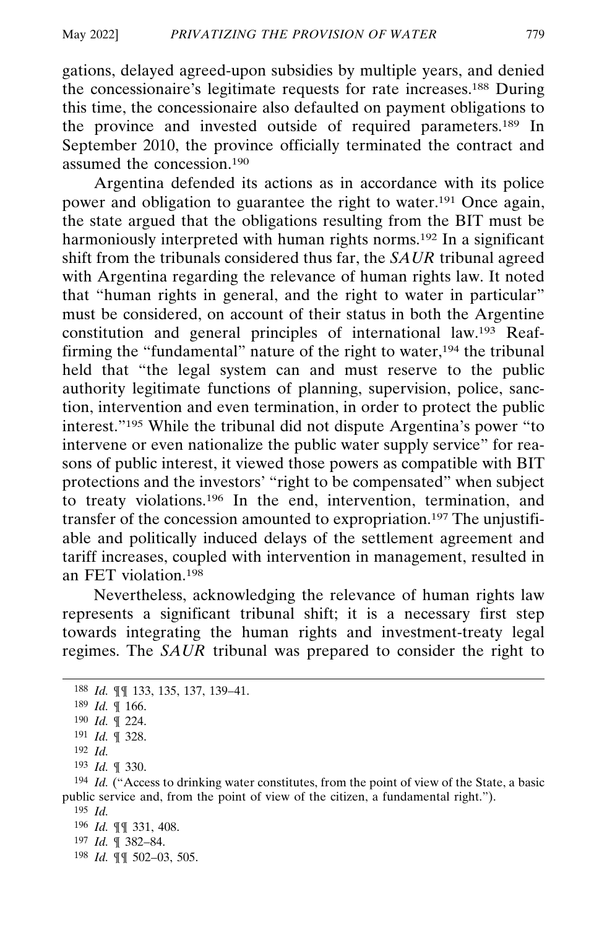gations, delayed agreed-upon subsidies by multiple years, and denied the concessionaire's legitimate requests for rate increases.188 During this time, the concessionaire also defaulted on payment obligations to the province and invested outside of required parameters.189 In September 2010, the province officially terminated the contract and assumed the concession.190

Argentina defended its actions as in accordance with its police power and obligation to guarantee the right to water.191 Once again, the state argued that the obligations resulting from the BIT must be harmoniously interpreted with human rights norms.<sup>192</sup> In a significant shift from the tribunals considered thus far, the *SAUR* tribunal agreed with Argentina regarding the relevance of human rights law. It noted that "human rights in general, and the right to water in particular" must be considered, on account of their status in both the Argentine constitution and general principles of international law.193 Reaffirming the "fundamental" nature of the right to water,<sup>194</sup> the tribunal held that "the legal system can and must reserve to the public authority legitimate functions of planning, supervision, police, sanction, intervention and even termination, in order to protect the public interest."195 While the tribunal did not dispute Argentina's power "to intervene or even nationalize the public water supply service" for reasons of public interest, it viewed those powers as compatible with BIT protections and the investors' "right to be compensated" when subject to treaty violations.196 In the end, intervention, termination, and transfer of the concession amounted to expropriation.197 The unjustifiable and politically induced delays of the settlement agreement and tariff increases, coupled with intervention in management, resulted in an FET violation.198

Nevertheless, acknowledging the relevance of human rights law represents a significant tribunal shift; it is a necessary first step towards integrating the human rights and investment-treaty legal regimes. The *SAUR* tribunal was prepared to consider the right to

- 192 *Id.*
- 193 *Id.* ¶ 330.

194 *Id.* ("Access to drinking water constitutes, from the point of view of the State, a basic public service and, from the point of view of the citizen, a fundamental right.").

197 *Id.* ¶ 382–84.

198 *Id.* ¶¶ 502–03, 505.

<sup>188</sup> *Id.* ¶¶ 133, 135, 137, 139–41.

<sup>189</sup> *Id.* ¶ 166.

<sup>190</sup> *Id.* ¶ 224.

<sup>191</sup> *Id.* ¶ 328.

<sup>195</sup> *Id.*

<sup>196</sup> *Id.* ¶¶ 331, 408.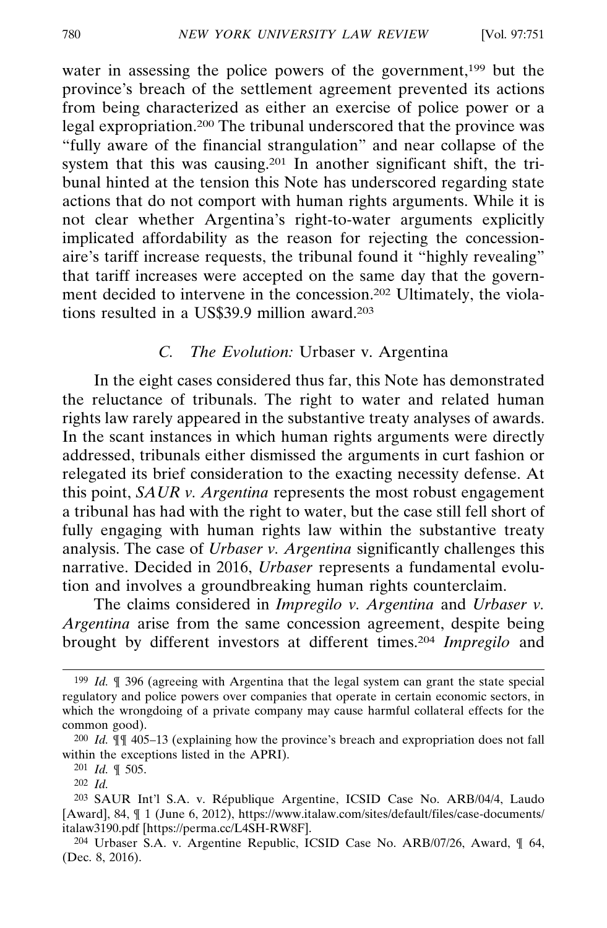water in assessing the police powers of the government,<sup>199</sup> but the province's breach of the settlement agreement prevented its actions from being characterized as either an exercise of police power or a legal expropriation.200 The tribunal underscored that the province was "fully aware of the financial strangulation" and near collapse of the system that this was causing.201 In another significant shift, the tribunal hinted at the tension this Note has underscored regarding state actions that do not comport with human rights arguments. While it is not clear whether Argentina's right-to-water arguments explicitly implicated affordability as the reason for rejecting the concessionaire's tariff increase requests, the tribunal found it "highly revealing" that tariff increases were accepted on the same day that the government decided to intervene in the concession.202 Ultimately, the violations resulted in a US\$39.9 million award.203

### *C. The Evolution:* Urbaser v. Argentina

In the eight cases considered thus far, this Note has demonstrated the reluctance of tribunals. The right to water and related human rights law rarely appeared in the substantive treaty analyses of awards. In the scant instances in which human rights arguments were directly addressed, tribunals either dismissed the arguments in curt fashion or relegated its brief consideration to the exacting necessity defense. At this point, *SAUR v. Argentina* represents the most robust engagement a tribunal has had with the right to water, but the case still fell short of fully engaging with human rights law within the substantive treaty analysis. The case of *Urbaser v. Argentina* significantly challenges this narrative. Decided in 2016, *Urbaser* represents a fundamental evolution and involves a groundbreaking human rights counterclaim.

The claims considered in *Impregilo v. Argentina* and *Urbaser v. Argentina* arise from the same concession agreement, despite being brought by different investors at different times.204 *Impregilo* and

<sup>199</sup> *Id.* ¶ 396 (agreeing with Argentina that the legal system can grant the state special regulatory and police powers over companies that operate in certain economic sectors, in which the wrongdoing of a private company may cause harmful collateral effects for the common good).

<sup>200</sup> *Id.* ¶¶ 405–13 (explaining how the province's breach and expropriation does not fall within the exceptions listed in the APRI).

<sup>201</sup> *Id.* ¶ 505.

<sup>202</sup> *Id.*

<sup>&</sup>lt;sup>203</sup> SAUR Int'l S.A. v. République Argentine, ICSID Case No. ARB/04/4, Laudo [Award], 84, ¶ 1 (June 6, 2012), https://www.italaw.com/sites/default/files/case-documents/ italaw3190.pdf [https://perma.cc/L4SH-RW8F].

<sup>204</sup> Urbaser S.A. v. Argentine Republic, ICSID Case No. ARB/07/26, Award, ¶ 64, (Dec. 8, 2016).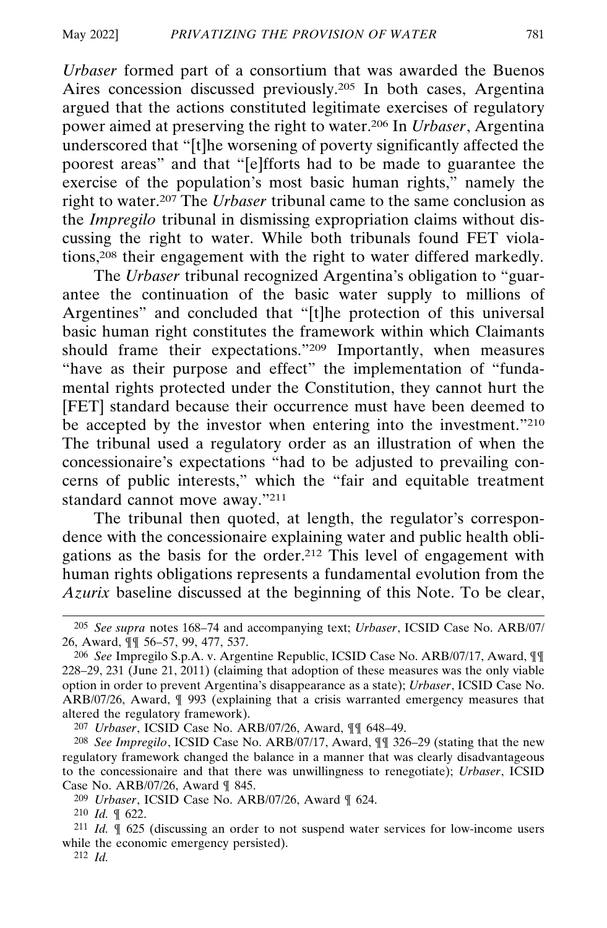*Urbaser* formed part of a consortium that was awarded the Buenos Aires concession discussed previously.205 In both cases, Argentina argued that the actions constituted legitimate exercises of regulatory power aimed at preserving the right to water.206 In *Urbaser*, Argentina underscored that "[t]he worsening of poverty significantly affected the poorest areas" and that "[e]fforts had to be made to guarantee the exercise of the population's most basic human rights," namely the right to water.207 The *Urbaser* tribunal came to the same conclusion as the *Impregilo* tribunal in dismissing expropriation claims without discussing the right to water. While both tribunals found FET violations,208 their engagement with the right to water differed markedly.

The *Urbaser* tribunal recognized Argentina's obligation to "guarantee the continuation of the basic water supply to millions of Argentines" and concluded that "[t]he protection of this universal basic human right constitutes the framework within which Claimants should frame their expectations."209 Importantly, when measures "have as their purpose and effect" the implementation of "fundamental rights protected under the Constitution, they cannot hurt the [FET] standard because their occurrence must have been deemed to be accepted by the investor when entering into the investment."210 The tribunal used a regulatory order as an illustration of when the concessionaire's expectations "had to be adjusted to prevailing concerns of public interests," which the "fair and equitable treatment standard cannot move away."211

The tribunal then quoted, at length, the regulator's correspondence with the concessionaire explaining water and public health obligations as the basis for the order.212 This level of engagement with human rights obligations represents a fundamental evolution from the *Azurix* baseline discussed at the beginning of this Note. To be clear,

<sup>205</sup> *See supra* notes 168–74 and accompanying text; *Urbaser*, ICSID Case No. ARB/07/ 26, Award, ¶¶ 56–57, 99, 477, 537.

<sup>206</sup> *See* Impregilo S.p.A. v. Argentine Republic, ICSID Case No. ARB/07/17, Award, ¶¶ 228–29, 231 (June 21, 2011) (claiming that adoption of these measures was the only viable option in order to prevent Argentina's disappearance as a state); *Urbaser*, ICSID Case No. ARB/07/26, Award, ¶ 993 (explaining that a crisis warranted emergency measures that altered the regulatory framework).

<sup>207</sup> *Urbaser*, ICSID Case No. ARB/07/26, Award, ¶¶ 648–49.

<sup>208</sup> *See Impregilo*, ICSID Case No. ARB/07/17, Award, ¶¶ 326–29 (stating that the new regulatory framework changed the balance in a manner that was clearly disadvantageous to the concessionaire and that there was unwillingness to renegotiate); *Urbaser*, ICSID Case No. ARB/07/26, Award ¶ 845.

<sup>209</sup> *Urbaser*, ICSID Case No. ARB/07/26, Award ¶ 624.

<sup>210</sup> *Id.* ¶ 622.

<sup>211</sup> *Id.* ¶ 625 (discussing an order to not suspend water services for low-income users while the economic emergency persisted).

<sup>212</sup> *Id.*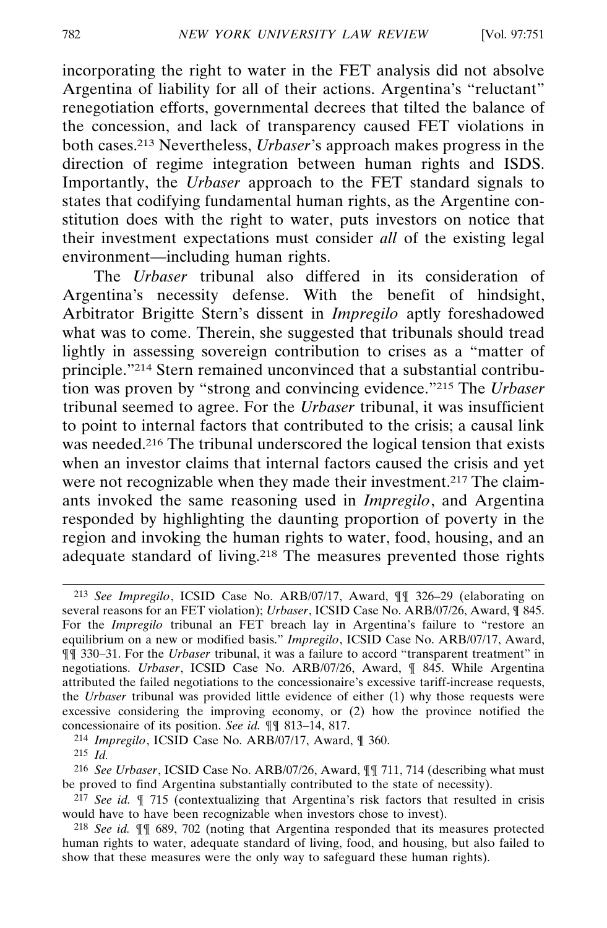incorporating the right to water in the FET analysis did not absolve Argentina of liability for all of their actions. Argentina's "reluctant" renegotiation efforts, governmental decrees that tilted the balance of the concession, and lack of transparency caused FET violations in both cases.213 Nevertheless, *Urbaser*'s approach makes progress in the direction of regime integration between human rights and ISDS. Importantly, the *Urbaser* approach to the FET standard signals to states that codifying fundamental human rights, as the Argentine constitution does with the right to water, puts investors on notice that their investment expectations must consider *all* of the existing legal environment—including human rights.

The *Urbaser* tribunal also differed in its consideration of Argentina's necessity defense. With the benefit of hindsight, Arbitrator Brigitte Stern's dissent in *Impregilo* aptly foreshadowed what was to come. Therein, she suggested that tribunals should tread lightly in assessing sovereign contribution to crises as a "matter of principle."214 Stern remained unconvinced that a substantial contribution was proven by "strong and convincing evidence."215 The *Urbaser* tribunal seemed to agree. For the *Urbaser* tribunal, it was insufficient to point to internal factors that contributed to the crisis; a causal link was needed.<sup>216</sup> The tribunal underscored the logical tension that exists when an investor claims that internal factors caused the crisis and yet were not recognizable when they made their investment.<sup>217</sup> The claimants invoked the same reasoning used in *Impregilo*, and Argentina responded by highlighting the daunting proportion of poverty in the region and invoking the human rights to water, food, housing, and an adequate standard of living.218 The measures prevented those rights

214 *Impregilo*, ICSID Case No. ARB/07/17, Award, ¶ 360.

<sup>213</sup> *See Impregilo*, ICSID Case No. ARB/07/17, Award, ¶¶ 326–29 (elaborating on several reasons for an FET violation); *Urbaser*, ICSID Case No. ARB/07/26, Award, ¶ 845. For the *Impregilo* tribunal an FET breach lay in Argentina's failure to "restore an equilibrium on a new or modified basis." *Impregilo*, ICSID Case No. ARB/07/17, Award, ¶¶ 330–31. For the *Urbaser* tribunal, it was a failure to accord "transparent treatment" in negotiations. *Urbaser*, ICSID Case No. ARB/07/26, Award, ¶ 845. While Argentina attributed the failed negotiations to the concessionaire's excessive tariff-increase requests, the *Urbaser* tribunal was provided little evidence of either (1) why those requests were excessive considering the improving economy, or (2) how the province notified the concessionaire of its position. *See id.* ¶¶ 813–14, 817.

<sup>215</sup> *Id.*

<sup>216</sup> *See Urbaser*, ICSID Case No. ARB/07/26, Award, ¶¶ 711, 714 (describing what must be proved to find Argentina substantially contributed to the state of necessity).

<sup>217</sup> *See id.* ¶ 715 (contextualizing that Argentina's risk factors that resulted in crisis would have to have been recognizable when investors chose to invest).

<sup>218</sup> *See id.* ¶¶ 689, 702 (noting that Argentina responded that its measures protected human rights to water, adequate standard of living, food, and housing, but also failed to show that these measures were the only way to safeguard these human rights).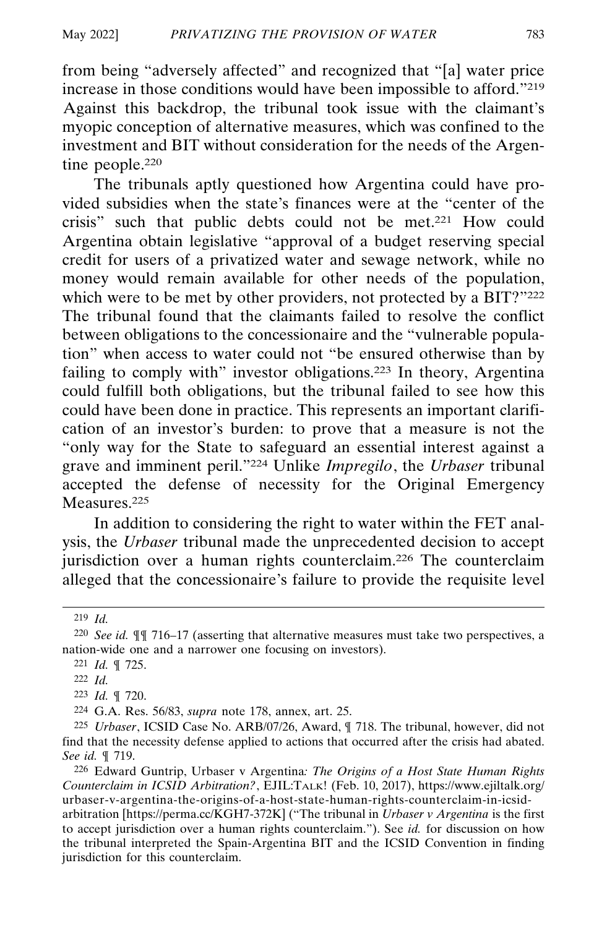from being "adversely affected" and recognized that "[a] water price increase in those conditions would have been impossible to afford."219 Against this backdrop, the tribunal took issue with the claimant's myopic conception of alternative measures, which was confined to the investment and BIT without consideration for the needs of the Argentine people.220

The tribunals aptly questioned how Argentina could have provided subsidies when the state's finances were at the "center of the crisis" such that public debts could not be met.221 How could Argentina obtain legislative "approval of a budget reserving special credit for users of a privatized water and sewage network, while no money would remain available for other needs of the population, which were to be met by other providers, not protected by a BIT?"222 The tribunal found that the claimants failed to resolve the conflict between obligations to the concessionaire and the "vulnerable population" when access to water could not "be ensured otherwise than by failing to comply with" investor obligations.<sup>223</sup> In theory, Argentina could fulfill both obligations, but the tribunal failed to see how this could have been done in practice. This represents an important clarification of an investor's burden: to prove that a measure is not the "only way for the State to safeguard an essential interest against a grave and imminent peril."224 Unlike *Impregilo*, the *Urbaser* tribunal accepted the defense of necessity for the Original Emergency Measures.225

In addition to considering the right to water within the FET analysis, the *Urbaser* tribunal made the unprecedented decision to accept jurisdiction over a human rights counterclaim.226 The counterclaim alleged that the concessionaire's failure to provide the requisite level

226 Edward Guntrip, Urbaser v Argentina*: The Origins of a Host State Human Rights Counterclaim in ICSID Arbitration?*, EJIL:TALK! (Feb. 10, 2017), https://www.ejiltalk.org/ urbaser-v-argentina-the-origins-of-a-host-state-human-rights-counterclaim-in-icsidarbitration [https://perma.cc/KGH7-372K] ("The tribunal in *Urbaser v Argentina* is the first to accept jurisdiction over a human rights counterclaim."). See *id.* for discussion on how the tribunal interpreted the Spain-Argentina BIT and the ICSID Convention in finding jurisdiction for this counterclaim.

<sup>219</sup> *Id.*

<sup>220</sup> *See id.* ¶¶ 716–17 (asserting that alternative measures must take two perspectives, a nation-wide one and a narrower one focusing on investors).

<sup>221</sup> *Id.* ¶ 725.

<sup>222</sup> *Id.*

<sup>223</sup> *Id.* ¶ 720.

<sup>224</sup> G.A. Res. 56/83, *supra* note 178, annex, art. 25.

<sup>225</sup> *Urbaser*, ICSID Case No. ARB/07/26, Award, ¶ 718. The tribunal, however, did not find that the necessity defense applied to actions that occurred after the crisis had abated. *See id.* ¶ 719.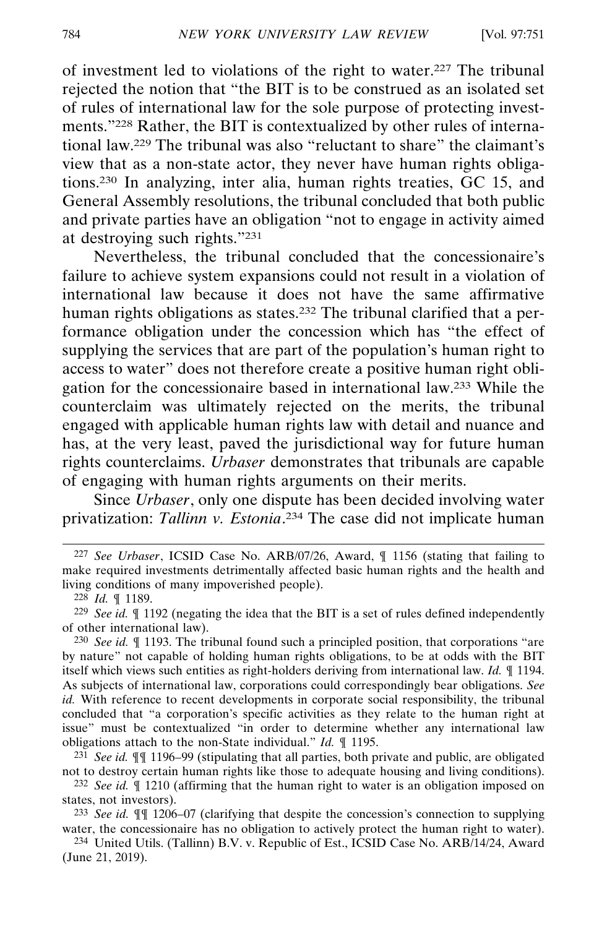of investment led to violations of the right to water.227 The tribunal rejected the notion that "the BIT is to be construed as an isolated set of rules of international law for the sole purpose of protecting investments."228 Rather, the BIT is contextualized by other rules of international law.229 The tribunal was also "reluctant to share" the claimant's view that as a non-state actor, they never have human rights obligations.230 In analyzing, inter alia, human rights treaties, GC 15, and General Assembly resolutions, the tribunal concluded that both public and private parties have an obligation "not to engage in activity aimed at destroying such rights."231

Nevertheless, the tribunal concluded that the concessionaire's failure to achieve system expansions could not result in a violation of international law because it does not have the same affirmative human rights obligations as states.<sup>232</sup> The tribunal clarified that a performance obligation under the concession which has "the effect of supplying the services that are part of the population's human right to access to water" does not therefore create a positive human right obligation for the concessionaire based in international law.233 While the counterclaim was ultimately rejected on the merits, the tribunal engaged with applicable human rights law with detail and nuance and has, at the very least, paved the jurisdictional way for future human rights counterclaims. *Urbaser* demonstrates that tribunals are capable of engaging with human rights arguments on their merits.

Since *Urbaser*, only one dispute has been decided involving water privatization: *Tallinn v. Estonia*. 234 The case did not implicate human

231 *See id.* ¶¶ 1196–99 (stipulating that all parties, both private and public, are obligated not to destroy certain human rights like those to adequate housing and living conditions).

232 *See id.* ¶ 1210 (affirming that the human right to water is an obligation imposed on states, not investors).

233 *See id.* ¶¶ 1206–07 (clarifying that despite the concession's connection to supplying water, the concessionaire has no obligation to actively protect the human right to water).

234 United Utils. (Tallinn) B.V. v. Republic of Est., ICSID Case No. ARB/14/24, Award (June 21, 2019).

<sup>227</sup> *See Urbaser*, ICSID Case No. ARB/07/26, Award, ¶ 1156 (stating that failing to make required investments detrimentally affected basic human rights and the health and living conditions of many impoverished people).

<sup>228</sup> *Id.* ¶ 1189.

<sup>229</sup> *See id.* ¶ 1192 (negating the idea that the BIT is a set of rules defined independently of other international law).

<sup>230</sup> *See id.* ¶ 1193. The tribunal found such a principled position, that corporations "are by nature" not capable of holding human rights obligations, to be at odds with the BIT itself which views such entities as right-holders deriving from international law. *Id.* ¶ 1194. As subjects of international law, corporations could correspondingly bear obligations. *See id.* With reference to recent developments in corporate social responsibility, the tribunal concluded that "a corporation's specific activities as they relate to the human right at issue" must be contextualized "in order to determine whether any international law obligations attach to the non-State individual." *Id.* ¶ 1195.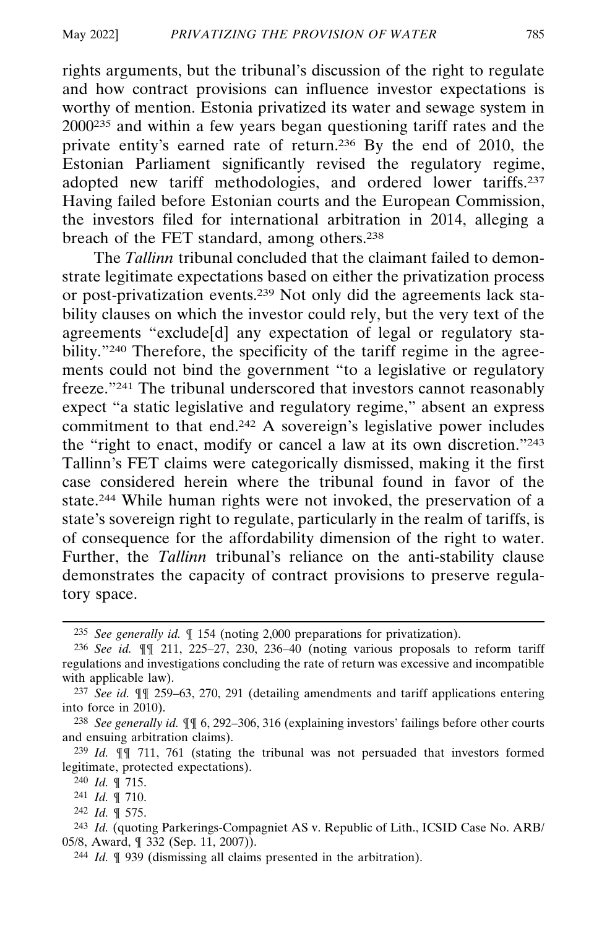rights arguments, but the tribunal's discussion of the right to regulate and how contract provisions can influence investor expectations is worthy of mention. Estonia privatized its water and sewage system in 2000235 and within a few years began questioning tariff rates and the private entity's earned rate of return.236 By the end of 2010, the Estonian Parliament significantly revised the regulatory regime, adopted new tariff methodologies, and ordered lower tariffs.237 Having failed before Estonian courts and the European Commission, the investors filed for international arbitration in 2014, alleging a breach of the FET standard, among others.238

The *Tallinn* tribunal concluded that the claimant failed to demonstrate legitimate expectations based on either the privatization process or post-privatization events.239 Not only did the agreements lack stability clauses on which the investor could rely, but the very text of the agreements "exclude[d] any expectation of legal or regulatory stability."<sup>240</sup> Therefore, the specificity of the tariff regime in the agreements could not bind the government "to a legislative or regulatory freeze."241 The tribunal underscored that investors cannot reasonably expect "a static legislative and regulatory regime," absent an express commitment to that end.242 A sovereign's legislative power includes the "right to enact, modify or cancel a law at its own discretion."243 Tallinn's FET claims were categorically dismissed, making it the first case considered herein where the tribunal found in favor of the state.244 While human rights were not invoked, the preservation of a state's sovereign right to regulate, particularly in the realm of tariffs, is of consequence for the affordability dimension of the right to water. Further, the *Tallinn* tribunal's reliance on the anti-stability clause demonstrates the capacity of contract provisions to preserve regulatory space.

242 *Id.* ¶ 575.

<sup>235</sup> *See generally id.* ¶ 154 (noting 2,000 preparations for privatization).

<sup>236</sup> *See id.* ¶¶ 211, 225–27, 230, 236–40 (noting various proposals to reform tariff regulations and investigations concluding the rate of return was excessive and incompatible with applicable law).

<sup>237</sup> *See id.* ¶¶ 259–63, 270, 291 (detailing amendments and tariff applications entering into force in 2010).

<sup>238</sup> *See generally id.* ¶¶ 6, 292–306, 316 (explaining investors' failings before other courts and ensuing arbitration claims).

<sup>239</sup> *Id.* ¶¶ 711, 761 (stating the tribunal was not persuaded that investors formed legitimate, protected expectations).

<sup>240</sup> *Id.* ¶ 715.

<sup>241</sup> *Id.* ¶ 710.

<sup>243</sup> *Id.* (quoting Parkerings-Compagniet AS v. Republic of Lith., ICSID Case No. ARB/ 05/8, Award, ¶ 332 (Sep. 11, 2007)).

<sup>244</sup> *Id.* ¶ 939 (dismissing all claims presented in the arbitration).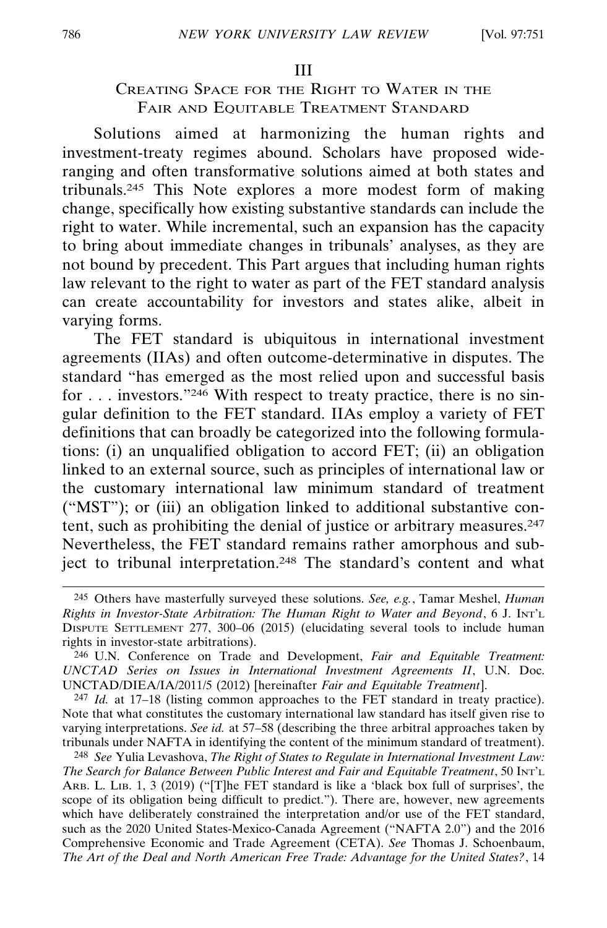### CREATING SPACE FOR THE RIGHT TO WATER IN THE FAIR AND EQUITABLE TREATMENT STANDARD

Solutions aimed at harmonizing the human rights and investment-treaty regimes abound. Scholars have proposed wideranging and often transformative solutions aimed at both states and tribunals.245 This Note explores a more modest form of making change, specifically how existing substantive standards can include the right to water. While incremental, such an expansion has the capacity to bring about immediate changes in tribunals' analyses, as they are not bound by precedent. This Part argues that including human rights law relevant to the right to water as part of the FET standard analysis can create accountability for investors and states alike, albeit in varying forms.

The FET standard is ubiquitous in international investment agreements (IIAs) and often outcome-determinative in disputes. The standard "has emerged as the most relied upon and successful basis for . . . investors."246 With respect to treaty practice, there is no singular definition to the FET standard. IIAs employ a variety of FET definitions that can broadly be categorized into the following formulations: (i) an unqualified obligation to accord FET; (ii) an obligation linked to an external source, such as principles of international law or the customary international law minimum standard of treatment ("MST"); or (iii) an obligation linked to additional substantive content, such as prohibiting the denial of justice or arbitrary measures.<sup>247</sup> Nevertheless, the FET standard remains rather amorphous and subject to tribunal interpretation.<sup>248</sup> The standard's content and what

<sup>245</sup> Others have masterfully surveyed these solutions. *See, e.g.*, Tamar Meshel, *Human Rights in Investor-State Arbitration: The Human Right to Water and Beyond*, 6 J. INT'L DISPUTE SETTLEMENT 277, 300–06 (2015) (elucidating several tools to include human rights in investor-state arbitrations).

<sup>246</sup> U.N. Conference on Trade and Development, *Fair and Equitable Treatment: UNCTAD Series on Issues in International Investment Agreements II*, U.N. Doc. UNCTAD/DIEA/IA/2011/5 (2012) [hereinafter *Fair and Equitable Treatment*].

<sup>247</sup> *Id.* at 17–18 (listing common approaches to the FET standard in treaty practice). Note that what constitutes the customary international law standard has itself given rise to varying interpretations. *See id.* at 57–58 (describing the three arbitral approaches taken by tribunals under NAFTA in identifying the content of the minimum standard of treatment).

<sup>248</sup> *See* Yulia Levashova, *The Right of States to Regulate in International Investment Law: The Search for Balance Between Public Interest and Fair and Equitable Treatment*, 50 INT'L ARB. L. LIB. 1, 3 (2019) ("[T]he FET standard is like a 'black box full of surprises', the scope of its obligation being difficult to predict."). There are, however, new agreements which have deliberately constrained the interpretation and/or use of the FET standard, such as the 2020 United States-Mexico-Canada Agreement ("NAFTA 2.0") and the 2016 Comprehensive Economic and Trade Agreement (CETA). *See* Thomas J. Schoenbaum, *The Art of the Deal and North American Free Trade: Advantage for the United States?*, 14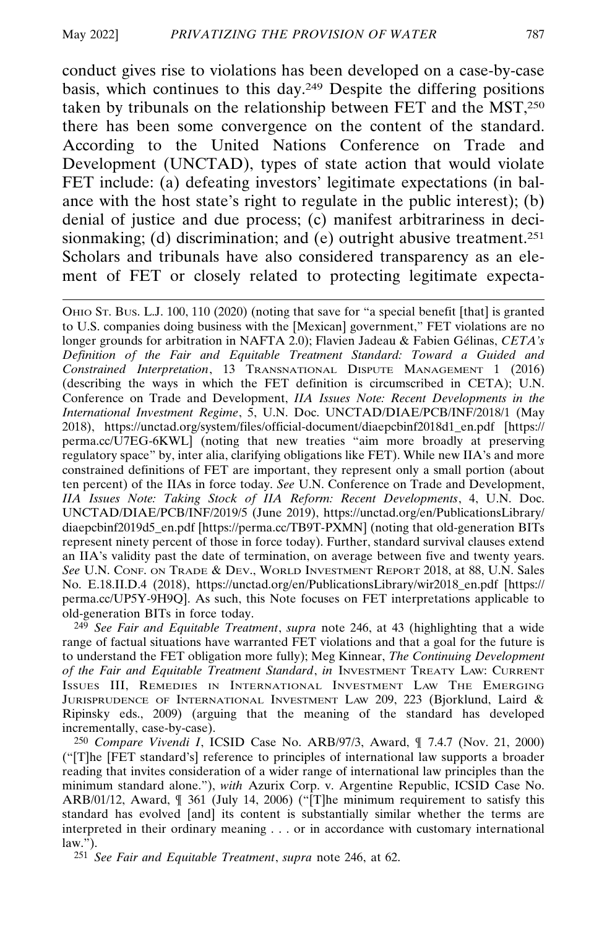conduct gives rise to violations has been developed on a case-by-case basis, which continues to this day.249 Despite the differing positions taken by tribunals on the relationship between FET and the MST,250 there has been some convergence on the content of the standard. According to the United Nations Conference on Trade and Development (UNCTAD), types of state action that would violate FET include: (a) defeating investors' legitimate expectations (in balance with the host state's right to regulate in the public interest); (b) denial of justice and due process; (c) manifest arbitrariness in decisionmaking; (d) discrimination; and (e) outright abusive treatment.<sup>251</sup> Scholars and tribunals have also considered transparency as an element of FET or closely related to protecting legitimate expecta-

OHIO ST. BUS. L.J. 100, 110 (2020) (noting that save for "a special benefit [that] is granted to U.S. companies doing business with the [Mexican] government," FET violations are no longer grounds for arbitration in NAFTA 2.0); Flavien Jadeau & Fabien Gélinas, *CETA's Definition of the Fair and Equitable Treatment Standard: Toward a Guided and Constrained Interpretation*, 13 TRANSNATIONAL DISPUTE MANAGEMENT 1 (2016) (describing the ways in which the FET definition is circumscribed in CETA); U.N. Conference on Trade and Development, *IIA Issues Note: Recent Developments in the International Investment Regime*, 5, U.N. Doc. UNCTAD/DIAE/PCB/INF/2018/1 (May 2018), https://unctad.org/system/files/official-document/diaepcbinf2018d1\_en.pdf [https:// perma.cc/U7EG-6KWL] (noting that new treaties "aim more broadly at preserving regulatory space" by, inter alia, clarifying obligations like FET). While new IIA's and more constrained definitions of FET are important, they represent only a small portion (about ten percent) of the IIAs in force today. *See* U.N. Conference on Trade and Development, *IIA Issues Note: Taking Stock of IIA Reform: Recent Developments*, 4, U.N. Doc. UNCTAD/DIAE/PCB/INF/2019/5 (June 2019), https://unctad.org/en/PublicationsLibrary/ diaepcbinf2019d5\_en.pdf [https://perma.cc/TB9T-PXMN] (noting that old-generation BITs represent ninety percent of those in force today). Further, standard survival clauses extend an IIA's validity past the date of termination, on average between five and twenty years. *See* U.N. CONF. ON TRADE & DEV., WORLD INVESTMENT REPORT 2018, at 88, U.N. Sales No. E.18.II.D.4 (2018), https://unctad.org/en/PublicationsLibrary/wir2018\_en.pdf [https:// perma.cc/UP5Y-9H9Q]. As such, this Note focuses on FET interpretations applicable to old-generation BITs in force today.

249 *See Fair and Equitable Treatment*, *supra* note 246, at 43 (highlighting that a wide range of factual situations have warranted FET violations and that a goal for the future is to understand the FET obligation more fully); Meg Kinnear, *The Continuing Development of the Fair and Equitable Treatment Standard*, *in* INVESTMENT TREATY LAW: CURRENT ISSUES III, REMEDIES IN INTERNATIONAL INVESTMENT LAW THE EMERGING JURISPRUDENCE OF INTERNATIONAL INVESTMENT LAW 209, 223 (Bjorklund, Laird & Ripinsky eds., 2009) (arguing that the meaning of the standard has developed incrementally, case-by-case).

250 *Compare Vivendi I*, ICSID Case No. ARB/97/3, Award, ¶ 7.4.7 (Nov. 21, 2000) ("[T]he [FET standard's] reference to principles of international law supports a broader reading that invites consideration of a wider range of international law principles than the minimum standard alone."), *with* Azurix Corp. v. Argentine Republic, ICSID Case No. ARB/01/12, Award, ¶ 361 (July 14, 2006) ("[T]he minimum requirement to satisfy this standard has evolved [and] its content is substantially similar whether the terms are interpreted in their ordinary meaning . . . or in accordance with customary international  $law.'$ ).

251 *See Fair and Equitable Treatment*, *supra* note 246, at 62.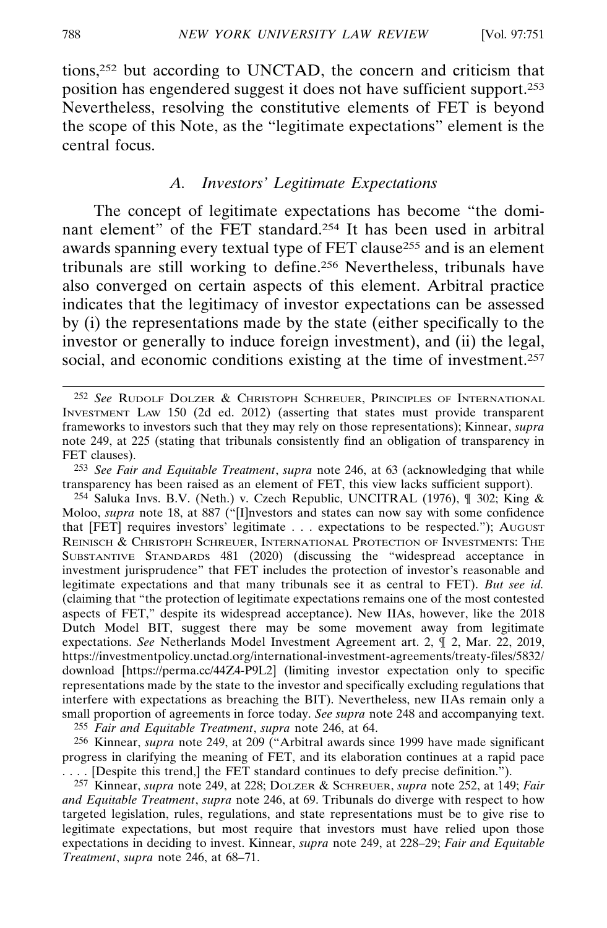tions,252 but according to UNCTAD, the concern and criticism that position has engendered suggest it does not have sufficient support.253 Nevertheless, resolving the constitutive elements of FET is beyond the scope of this Note, as the "legitimate expectations" element is the central focus.

#### *A. Investors' Legitimate Expectations*

The concept of legitimate expectations has become "the dominant element" of the FET standard.254 It has been used in arbitral awards spanning every textual type of FET clause255 and is an element tribunals are still working to define.256 Nevertheless, tribunals have also converged on certain aspects of this element. Arbitral practice indicates that the legitimacy of investor expectations can be assessed by (i) the representations made by the state (either specifically to the investor or generally to induce foreign investment), and (ii) the legal, social, and economic conditions existing at the time of investment.<sup>257</sup>

254 Saluka Invs. B.V. (Neth.) v. Czech Republic, UNCITRAL (1976), ¶ 302; King & Moloo, *supra* note 18, at 887 ("[I]nvestors and states can now say with some confidence that [FET] requires investors' legitimate . . . expectations to be respected."); AUGUST REINISCH & CHRISTOPH SCHREUER, INTERNATIONAL PROTECTION OF INVESTMENTS: THE SUBSTANTIVE STANDARDS 481 (2020) (discussing the "widespread acceptance in investment jurisprudence" that FET includes the protection of investor's reasonable and legitimate expectations and that many tribunals see it as central to FET). *But see id.* (claiming that "the protection of legitimate expectations remains one of the most contested aspects of FET," despite its widespread acceptance). New IIAs, however, like the 2018 Dutch Model BIT, suggest there may be some movement away from legitimate expectations. *See* Netherlands Model Investment Agreement art. 2, ¶ 2, Mar. 22, 2019, https://investmentpolicy.unctad.org/international-investment-agreements/treaty-files/5832/ download [https://perma.cc/44Z4-P9L2] (limiting investor expectation only to specific representations made by the state to the investor and specifically excluding regulations that interfere with expectations as breaching the BIT). Nevertheless, new IIAs remain only a small proportion of agreements in force today. *See supra* note 248 and accompanying text. 255 *Fair and Equitable Treatment*, *supra* note 246, at 64.

256 Kinnear, *supra* note 249, at 209 ("Arbitral awards since 1999 have made significant

progress in clarifying the meaning of FET, and its elaboration continues at a rapid pace ... [Despite this trend,] the FET standard continues to defy precise definition.").

257 Kinnear, *supra* note 249, at 228; DOLZER & SCHREUER, *supra* note 252, at 149; *Fair and Equitable Treatment*, *supra* note 246, at 69. Tribunals do diverge with respect to how targeted legislation, rules, regulations, and state representations must be to give rise to legitimate expectations, but most require that investors must have relied upon those expectations in deciding to invest. Kinnear, *supra* note 249, at 228–29; *Fair and Equitable Treatment*, *supra* note 246, at 68–71.

<sup>252</sup> *See* RUDOLF DOLZER & CHRISTOPH SCHREUER, PRINCIPLES OF INTERNATIONAL INVESTMENT LAW 150 (2d ed. 2012) (asserting that states must provide transparent frameworks to investors such that they may rely on those representations); Kinnear, *supra* note 249, at 225 (stating that tribunals consistently find an obligation of transparency in FET clauses).

<sup>253</sup> *See Fair and Equitable Treatment*, *supra* note 246, at 63 (acknowledging that while transparency has been raised as an element of FET, this view lacks sufficient support).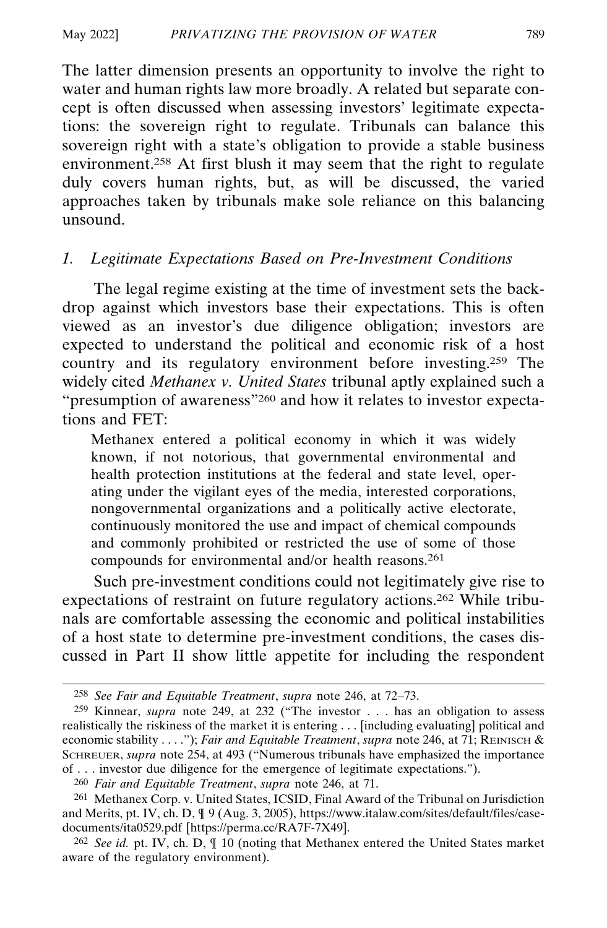The latter dimension presents an opportunity to involve the right to water and human rights law more broadly. A related but separate concept is often discussed when assessing investors' legitimate expectations: the sovereign right to regulate. Tribunals can balance this sovereign right with a state's obligation to provide a stable business environment.258 At first blush it may seem that the right to regulate duly covers human rights, but, as will be discussed, the varied approaches taken by tribunals make sole reliance on this balancing unsound.

#### *1. Legitimate Expectations Based on Pre-Investment Conditions*

The legal regime existing at the time of investment sets the backdrop against which investors base their expectations. This is often viewed as an investor's due diligence obligation; investors are expected to understand the political and economic risk of a host country and its regulatory environment before investing.259 The widely cited *Methanex v. United States* tribunal aptly explained such a "presumption of awareness"260 and how it relates to investor expectations and FET:

Methanex entered a political economy in which it was widely known, if not notorious, that governmental environmental and health protection institutions at the federal and state level, operating under the vigilant eyes of the media, interested corporations, nongovernmental organizations and a politically active electorate, continuously monitored the use and impact of chemical compounds and commonly prohibited or restricted the use of some of those compounds for environmental and/or health reasons.261

Such pre-investment conditions could not legitimately give rise to expectations of restraint on future regulatory actions.262 While tribunals are comfortable assessing the economic and political instabilities of a host state to determine pre-investment conditions, the cases discussed in Part II show little appetite for including the respondent

<sup>258</sup> *See Fair and Equitable Treatment*, *supra* note 246, at 72–73.

<sup>259</sup> Kinnear, *supra* note 249, at 232 ("The investor . . . has an obligation to assess realistically the riskiness of the market it is entering . . . [including evaluating] political and economic stability . . . ."); *Fair and Equitable Treatment*, *supra* note 246, at 71; REINISCH & SCHREUER, *supra* note 254, at 493 ("Numerous tribunals have emphasized the importance of . . . investor due diligence for the emergence of legitimate expectations.").

<sup>260</sup> *Fair and Equitable Treatment*, *supra* note 246, at 71.

<sup>261</sup> Methanex Corp. v. United States, ICSID, Final Award of the Tribunal on Jurisdiction and Merits, pt. IV, ch. D, ¶ 9 (Aug. 3, 2005), https://www.italaw.com/sites/default/files/casedocuments/ita0529.pdf [https://perma.cc/RA7F-7X49].

<sup>262</sup> *See id.* pt. IV, ch. D, ¶ 10 (noting that Methanex entered the United States market aware of the regulatory environment).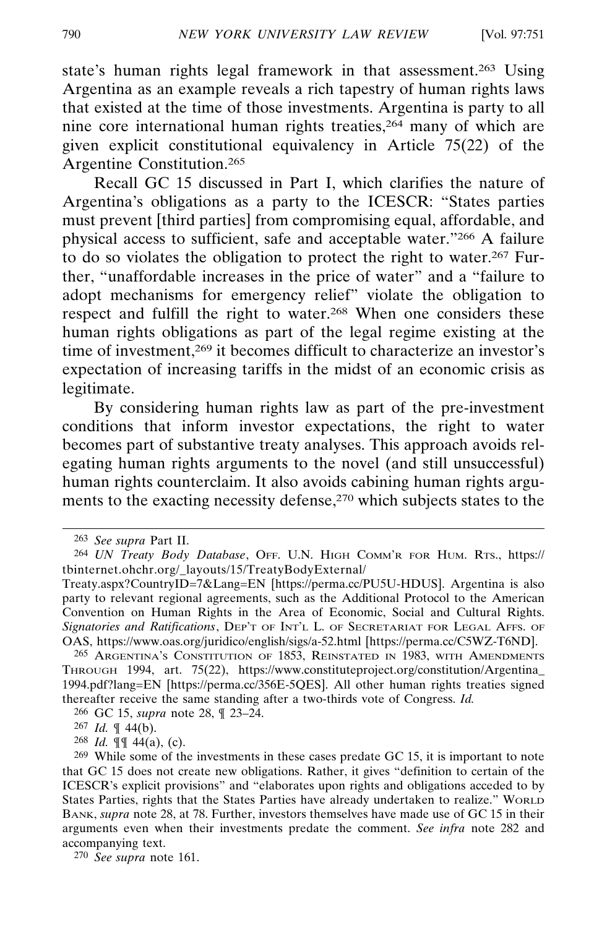state's human rights legal framework in that assessment.263 Using Argentina as an example reveals a rich tapestry of human rights laws that existed at the time of those investments. Argentina is party to all nine core international human rights treaties,264 many of which are given explicit constitutional equivalency in Article 75(22) of the Argentine Constitution.265

Recall GC 15 discussed in Part I, which clarifies the nature of Argentina's obligations as a party to the ICESCR: "States parties must prevent [third parties] from compromising equal, affordable, and physical access to sufficient, safe and acceptable water."266 A failure to do so violates the obligation to protect the right to water.267 Further, "unaffordable increases in the price of water" and a "failure to adopt mechanisms for emergency relief" violate the obligation to respect and fulfill the right to water.268 When one considers these human rights obligations as part of the legal regime existing at the time of investment,269 it becomes difficult to characterize an investor's expectation of increasing tariffs in the midst of an economic crisis as legitimate.

By considering human rights law as part of the pre-investment conditions that inform investor expectations, the right to water becomes part of substantive treaty analyses. This approach avoids relegating human rights arguments to the novel (and still unsuccessful) human rights counterclaim. It also avoids cabining human rights arguments to the exacting necessity defense,<sup>270</sup> which subjects states to the

265 ARGENTINA'S CONSTITUTION OF 1853, REINSTATED IN 1983, WITH AMENDMENTS THROUGH 1994, art. 75(22), https://www.constituteproject.org/constitution/Argentina\_ 1994.pdf?lang=EN [https://perma.cc/356E-5QES]. All other human rights treaties signed thereafter receive the same standing after a two-thirds vote of Congress. *Id.*

266 GC 15, *supra* note 28, ¶ 23–24.

268 *Id.* ¶¶ 44(a), (c).

270 *See supra* note 161.

<sup>263</sup> *See supra* Part II.

<sup>264</sup> *UN Treaty Body Database*, OFF. U.N. HIGH COMM'R FOR HUM. RTS., https:// tbinternet.ohchr.org/\_layouts/15/TreatyBodyExternal/

Treaty.aspx?CountryID=7&Lang=EN [https://perma.cc/PU5U-HDUS]. Argentina is also party to relevant regional agreements, such as the Additional Protocol to the American Convention on Human Rights in the Area of Economic, Social and Cultural Rights. *Signatories and Ratifications*, DEP'T OF INT'L L. OF SECRETARIAT FOR LEGAL AFFS. OF OAS, https://www.oas.org/juridico/english/sigs/a-52.html [https://perma.cc/C5WZ-T6ND].

<sup>267</sup> *Id.* ¶ 44(b).

<sup>269</sup> While some of the investments in these cases predate GC 15, it is important to note that GC 15 does not create new obligations. Rather, it gives "definition to certain of the ICESCR's explicit provisions" and "elaborates upon rights and obligations acceded to by States Parties, rights that the States Parties have already undertaken to realize." WORLD BANK, *supra* note 28, at 78. Further, investors themselves have made use of GC 15 in their arguments even when their investments predate the comment. *See infra* note 282 and accompanying text.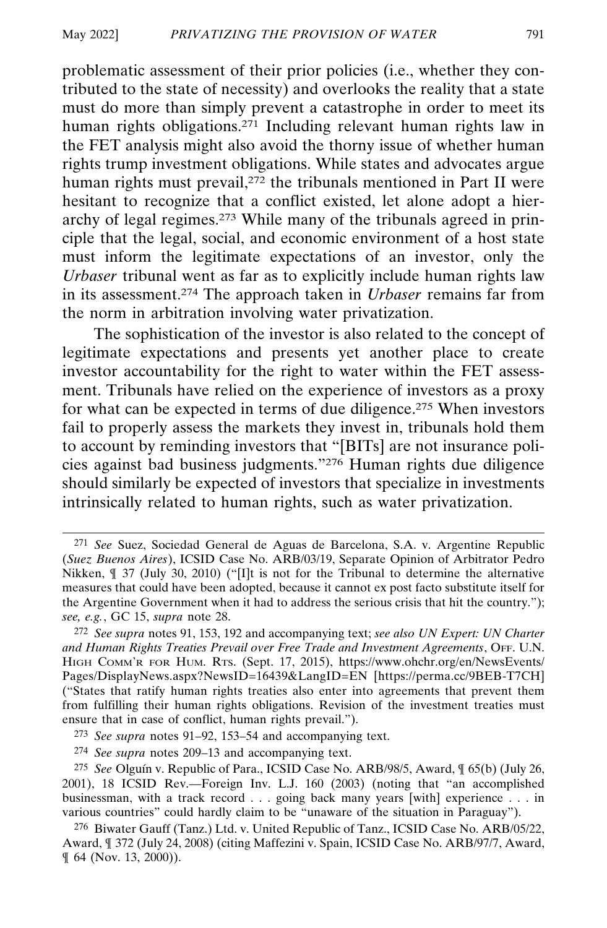problematic assessment of their prior policies (i.e., whether they contributed to the state of necessity) and overlooks the reality that a state must do more than simply prevent a catastrophe in order to meet its human rights obligations.<sup>271</sup> Including relevant human rights law in the FET analysis might also avoid the thorny issue of whether human rights trump investment obligations. While states and advocates argue human rights must prevail,<sup>272</sup> the tribunals mentioned in Part II were hesitant to recognize that a conflict existed, let alone adopt a hierarchy of legal regimes.273 While many of the tribunals agreed in principle that the legal, social, and economic environment of a host state must inform the legitimate expectations of an investor, only the *Urbaser* tribunal went as far as to explicitly include human rights law in its assessment.274 The approach taken in *Urbaser* remains far from the norm in arbitration involving water privatization.

The sophistication of the investor is also related to the concept of legitimate expectations and presents yet another place to create investor accountability for the right to water within the FET assessment. Tribunals have relied on the experience of investors as a proxy for what can be expected in terms of due diligence.275 When investors fail to properly assess the markets they invest in, tribunals hold them to account by reminding investors that "[BITs] are not insurance policies against bad business judgments."276 Human rights due diligence should similarly be expected of investors that specialize in investments intrinsically related to human rights, such as water privatization.

<sup>271</sup> *See* Suez, Sociedad General de Aguas de Barcelona, S.A. v. Argentine Republic (*Suez Buenos Aires*), ICSID Case No. ARB/03/19, Separate Opinion of Arbitrator Pedro Nikken, ¶ 37 (July 30, 2010) ("[I]t is not for the Tribunal to determine the alternative measures that could have been adopted, because it cannot ex post facto substitute itself for the Argentine Government when it had to address the serious crisis that hit the country."); *see, e.g.*, GC 15, *supra* note 28.

<sup>272</sup> *See supra* notes 91, 153, 192 and accompanying text; *see also UN Expert: UN Charter and Human Rights Treaties Prevail over Free Trade and Investment Agreements*, OFF. U.N. HIGH COMM'R FOR HUM. RTS. (Sept. 17, 2015), https://www.ohchr.org/en/NewsEvents/ Pages/DisplayNews.aspx?NewsID=16439&LangID=EN [https://perma.cc/9BEB-T7CH] ("States that ratify human rights treaties also enter into agreements that prevent them from fulfilling their human rights obligations. Revision of the investment treaties must ensure that in case of conflict, human rights prevail.").

<sup>273</sup> *See supra* notes 91–92, 153–54 and accompanying text.

<sup>274</sup> *See supra* notes 209–13 and accompanying text.

<sup>&</sup>lt;sup>275</sup> See Olguín v. Republic of Para., ICSID Case No. ARB/98/5, Award,  $\oint$  65(b) (July 26, 2001), 18 ICSID Rev.—Foreign Inv. L.J. 160 (2003) (noting that "an accomplished businessman, with a track record . . . going back many years [with] experience . . . in various countries" could hardly claim to be "unaware of the situation in Paraguay").

<sup>276</sup> Biwater Gauff (Tanz.) Ltd. v. United Republic of Tanz., ICSID Case No. ARB/05/22, Award, ¶ 372 (July 24, 2008) (citing Maffezini v. Spain, ICSID Case No. ARB/97/7, Award, ¶ 64 (Nov. 13, 2000)).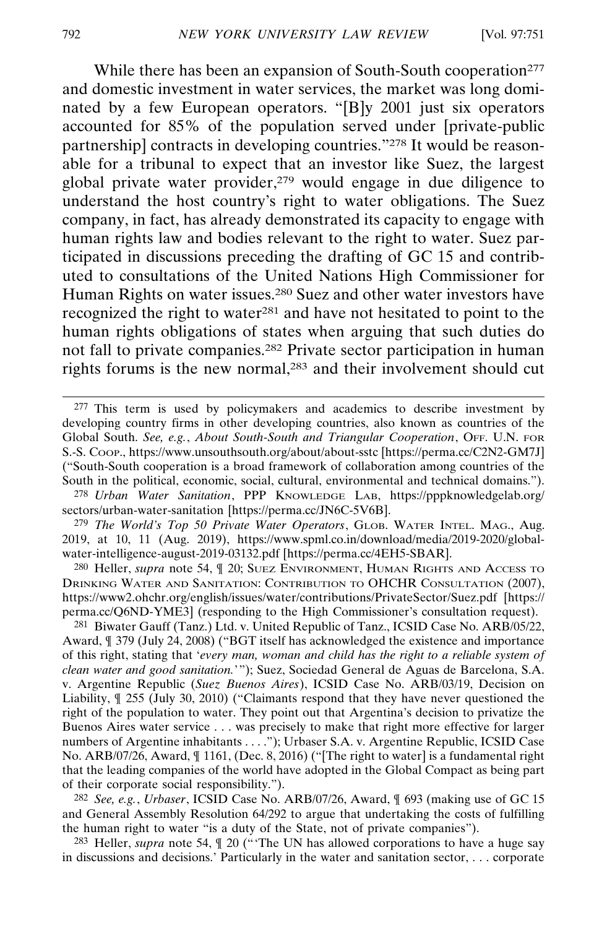While there has been an expansion of South-South cooperation<sup>277</sup> and domestic investment in water services, the market was long dominated by a few European operators. "[B]y 2001 just six operators accounted for 85% of the population served under [private-public partnership] contracts in developing countries."278 It would be reasonable for a tribunal to expect that an investor like Suez, the largest global private water provider, $279$  would engage in due diligence to understand the host country's right to water obligations. The Suez company, in fact, has already demonstrated its capacity to engage with human rights law and bodies relevant to the right to water. Suez participated in discussions preceding the drafting of GC 15 and contributed to consultations of the United Nations High Commissioner for Human Rights on water issues.<sup>280</sup> Suez and other water investors have recognized the right to water281 and have not hesitated to point to the human rights obligations of states when arguing that such duties do not fall to private companies.282 Private sector participation in human rights forums is the new normal,283 and their involvement should cut

279 *The World's Top 50 Private Water Operators*, GLOB. WATER INTEL. MAG., Aug. 2019, at 10, 11 (Aug. 2019), https://www.spml.co.in/download/media/2019-2020/globalwater-intelligence-august-2019-03132.pdf [https://perma.cc/4EH5-SBAR].

280 Heller, *supra* note 54, ¶ 20; SUEZ ENVIRONMENT, HUMAN RIGHTS AND ACCESS TO DRINKING WATER AND SANITATION: CONTRIBUTION TO OHCHR CONSULTATION (2007), https://www2.ohchr.org/english/issues/water/contributions/PrivateSector/Suez.pdf [https:// perma.cc/Q6ND-YME3] (responding to the High Commissioner's consultation request).

281 Biwater Gauff (Tanz.) Ltd. v. United Republic of Tanz., ICSID Case No. ARB/05/22, Award, ¶ 379 (July 24, 2008) ("BGT itself has acknowledged the existence and importance of this right, stating that '*every man, woman and child has the right to a reliable system of clean water and good sanitation.*'"); Suez, Sociedad General de Aguas de Barcelona, S.A. v. Argentine Republic (*Suez Buenos Aires*), ICSID Case No. ARB/03/19, Decision on Liability, ¶ 255 (July 30, 2010) ("Claimants respond that they have never questioned the right of the population to water. They point out that Argentina's decision to privatize the Buenos Aires water service . . . was precisely to make that right more effective for larger numbers of Argentine inhabitants . . . . "); Urbaser S.A. v. Argentine Republic, ICSID Case No. ARB/07/26, Award, ¶ 1161, (Dec. 8, 2016) ("[The right to water] is a fundamental right that the leading companies of the world have adopted in the Global Compact as being part of their corporate social responsibility.").

282 *See, e.g.*, *Urbaser*, ICSID Case No. ARB/07/26, Award, ¶ 693 (making use of GC 15 and General Assembly Resolution 64/292 to argue that undertaking the costs of fulfilling the human right to water "is a duty of the State, not of private companies").

283 Heller, *supra* note 54, ¶ 20 ("'The UN has allowed corporations to have a huge say in discussions and decisions.' Particularly in the water and sanitation sector, . . . corporate

<sup>277</sup> This term is used by policymakers and academics to describe investment by developing country firms in other developing countries, also known as countries of the Global South. *See, e.g.*, *About South-South and Triangular Cooperation*, OFF. U.N. FOR S.-S. COOP., https://www.unsouthsouth.org/about/about-sstc [https://perma.cc/C2N2-GM7J] ("South-South cooperation is a broad framework of collaboration among countries of the South in the political, economic, social, cultural, environmental and technical domains.").

<sup>278</sup> *Urban Water Sanitation*, PPP KNOWLEDGE LAB, https://pppknowledgelab.org/ sectors/urban-water-sanitation [https://perma.cc/JN6C-5V6B].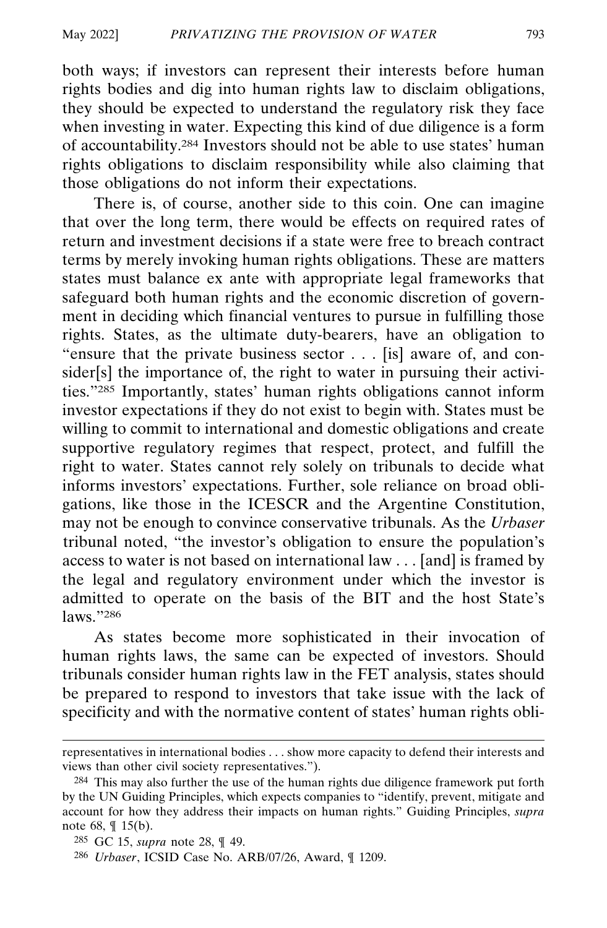both ways; if investors can represent their interests before human rights bodies and dig into human rights law to disclaim obligations, they should be expected to understand the regulatory risk they face when investing in water. Expecting this kind of due diligence is a form of accountability.284 Investors should not be able to use states' human rights obligations to disclaim responsibility while also claiming that those obligations do not inform their expectations.

There is, of course, another side to this coin. One can imagine that over the long term, there would be effects on required rates of return and investment decisions if a state were free to breach contract terms by merely invoking human rights obligations. These are matters states must balance ex ante with appropriate legal frameworks that safeguard both human rights and the economic discretion of government in deciding which financial ventures to pursue in fulfilling those rights. States, as the ultimate duty-bearers, have an obligation to "ensure that the private business sector . . . [is] aware of, and consider[s] the importance of, the right to water in pursuing their activities."285 Importantly, states' human rights obligations cannot inform investor expectations if they do not exist to begin with. States must be willing to commit to international and domestic obligations and create supportive regulatory regimes that respect, protect, and fulfill the right to water. States cannot rely solely on tribunals to decide what informs investors' expectations. Further, sole reliance on broad obligations, like those in the ICESCR and the Argentine Constitution, may not be enough to convince conservative tribunals. As the *Urbaser* tribunal noted, "the investor's obligation to ensure the population's access to water is not based on international law . . . [and] is framed by the legal and regulatory environment under which the investor is admitted to operate on the basis of the BIT and the host State's laws."286

As states become more sophisticated in their invocation of human rights laws, the same can be expected of investors. Should tribunals consider human rights law in the FET analysis, states should be prepared to respond to investors that take issue with the lack of specificity and with the normative content of states' human rights obli-

representatives in international bodies . . . show more capacity to defend their interests and views than other civil society representatives.").

<sup>284</sup> This may also further the use of the human rights due diligence framework put forth by the UN Guiding Principles, which expects companies to "identify, prevent, mitigate and account for how they address their impacts on human rights." Guiding Principles, *supra* note 68, ¶ 15(b).

<sup>285</sup> GC 15, *supra* note 28, ¶ 49.

<sup>286</sup> *Urbaser*, ICSID Case No. ARB/07/26, Award, ¶ 1209.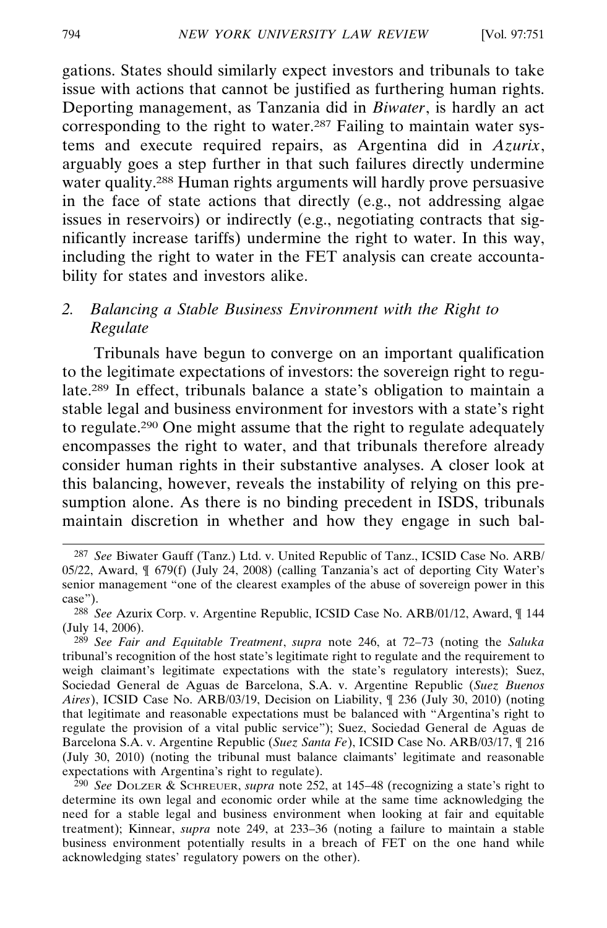gations. States should similarly expect investors and tribunals to take issue with actions that cannot be justified as furthering human rights. Deporting management, as Tanzania did in *Biwater*, is hardly an act corresponding to the right to water.287 Failing to maintain water systems and execute required repairs, as Argentina did in *Azurix*, arguably goes a step further in that such failures directly undermine water quality.<sup>288</sup> Human rights arguments will hardly prove persuasive in the face of state actions that directly (e.g., not addressing algae issues in reservoirs) or indirectly (e.g., negotiating contracts that significantly increase tariffs) undermine the right to water. In this way, including the right to water in the FET analysis can create accountability for states and investors alike.

## *2. Balancing a Stable Business Environment with the Right to Regulate*

Tribunals have begun to converge on an important qualification to the legitimate expectations of investors: the sovereign right to regulate.289 In effect, tribunals balance a state's obligation to maintain a stable legal and business environment for investors with a state's right to regulate.290 One might assume that the right to regulate adequately encompasses the right to water, and that tribunals therefore already consider human rights in their substantive analyses. A closer look at this balancing, however, reveals the instability of relying on this presumption alone. As there is no binding precedent in ISDS, tribunals maintain discretion in whether and how they engage in such bal-

<sup>287</sup> *See* Biwater Gauff (Tanz.) Ltd. v. United Republic of Tanz., ICSID Case No. ARB/ 05/22, Award, ¶ 679(f) (July 24, 2008) (calling Tanzania's act of deporting City Water's senior management "one of the clearest examples of the abuse of sovereign power in this case").

<sup>288</sup> *See* Azurix Corp. v. Argentine Republic, ICSID Case No. ARB/01/12, Award, ¶ 144 (July 14, 2006).

<sup>289</sup> *See Fair and Equitable Treatment*, *supra* note 246, at 72–73 (noting the *Saluka* tribunal's recognition of the host state's legitimate right to regulate and the requirement to weigh claimant's legitimate expectations with the state's regulatory interests); Suez, Sociedad General de Aguas de Barcelona, S.A. v. Argentine Republic (*Suez Buenos Aires*), ICSID Case No. ARB/03/19, Decision on Liability, ¶ 236 (July 30, 2010) (noting that legitimate and reasonable expectations must be balanced with "Argentina's right to regulate the provision of a vital public service"); Suez, Sociedad General de Aguas de Barcelona S.A. v. Argentine Republic (*Suez Santa Fe*), ICSID Case No. ARB/03/17, ¶ 216 (July 30, 2010) (noting the tribunal must balance claimants' legitimate and reasonable expectations with Argentina's right to regulate).

<sup>290</sup> *See* DOLZER & SCHREUER, *supra* note 252, at 145–48 (recognizing a state's right to determine its own legal and economic order while at the same time acknowledging the need for a stable legal and business environment when looking at fair and equitable treatment); Kinnear, *supra* note 249, at 233–36 (noting a failure to maintain a stable business environment potentially results in a breach of FET on the one hand while acknowledging states' regulatory powers on the other).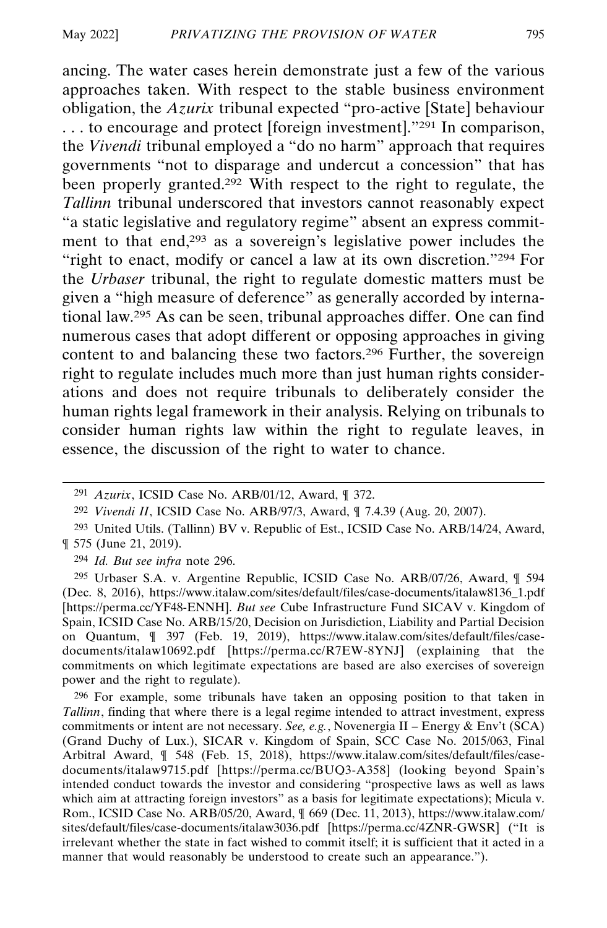ancing. The water cases herein demonstrate just a few of the various approaches taken. With respect to the stable business environment obligation, the *Azurix* tribunal expected "pro-active [State] behaviour . . . to encourage and protect [foreign investment]."291 In comparison, the *Vivendi* tribunal employed a "do no harm" approach that requires governments "not to disparage and undercut a concession" that has been properly granted.292 With respect to the right to regulate, the *Tallinn* tribunal underscored that investors cannot reasonably expect "a static legislative and regulatory regime" absent an express commitment to that end,293 as a sovereign's legislative power includes the "right to enact, modify or cancel a law at its own discretion."294 For the *Urbaser* tribunal, the right to regulate domestic matters must be given a "high measure of deference" as generally accorded by international law.295 As can be seen, tribunal approaches differ. One can find numerous cases that adopt different or opposing approaches in giving content to and balancing these two factors.296 Further, the sovereign right to regulate includes much more than just human rights considerations and does not require tribunals to deliberately consider the human rights legal framework in their analysis. Relying on tribunals to consider human rights law within the right to regulate leaves, in essence, the discussion of the right to water to chance.

294 *Id. But see infra* note 296.

295 Urbaser S.A. v. Argentine Republic, ICSID Case No. ARB/07/26, Award, ¶ 594 (Dec. 8, 2016), https://www.italaw.com/sites/default/files/case-documents/italaw8136\_1.pdf [https://perma.cc/YF48-ENNH]. *But see* Cube Infrastructure Fund SICAV v. Kingdom of Spain, ICSID Case No. ARB/15/20, Decision on Jurisdiction, Liability and Partial Decision on Quantum, ¶ 397 (Feb. 19, 2019), https://www.italaw.com/sites/default/files/casedocuments/italaw10692.pdf [https://perma.cc/R7EW-8YNJ] (explaining that the commitments on which legitimate expectations are based are also exercises of sovereign power and the right to regulate).

296 For example, some tribunals have taken an opposing position to that taken in *Tallinn*, finding that where there is a legal regime intended to attract investment, express commitments or intent are not necessary. *See, e.g.*, Novenergia II – Energy & Env't (SCA) (Grand Duchy of Lux.), SICAR v. Kingdom of Spain, SCC Case No. 2015/063, Final Arbitral Award, ¶ 548 (Feb. 15, 2018), https://www.italaw.com/sites/default/files/casedocuments/italaw9715.pdf [https://perma.cc/BUQ3-A358] (looking beyond Spain's intended conduct towards the investor and considering "prospective laws as well as laws which aim at attracting foreign investors" as a basis for legitimate expectations); Micula v. Rom., ICSID Case No. ARB/05/20, Award, ¶ 669 (Dec. 11, 2013), https://www.italaw.com/ sites/default/files/case-documents/italaw3036.pdf [https://perma.cc/4ZNR-GWSR] ("It is irrelevant whether the state in fact wished to commit itself; it is sufficient that it acted in a manner that would reasonably be understood to create such an appearance.").

<sup>291</sup> *Azurix*, ICSID Case No. ARB/01/12, Award, ¶ 372.

<sup>292</sup> *Vivendi II*, ICSID Case No. ARB/97/3, Award, ¶ 7.4.39 (Aug. 20, 2007).

<sup>293</sup> United Utils. (Tallinn) BV v. Republic of Est., ICSID Case No. ARB/14/24, Award, ¶ 575 (June 21, 2019).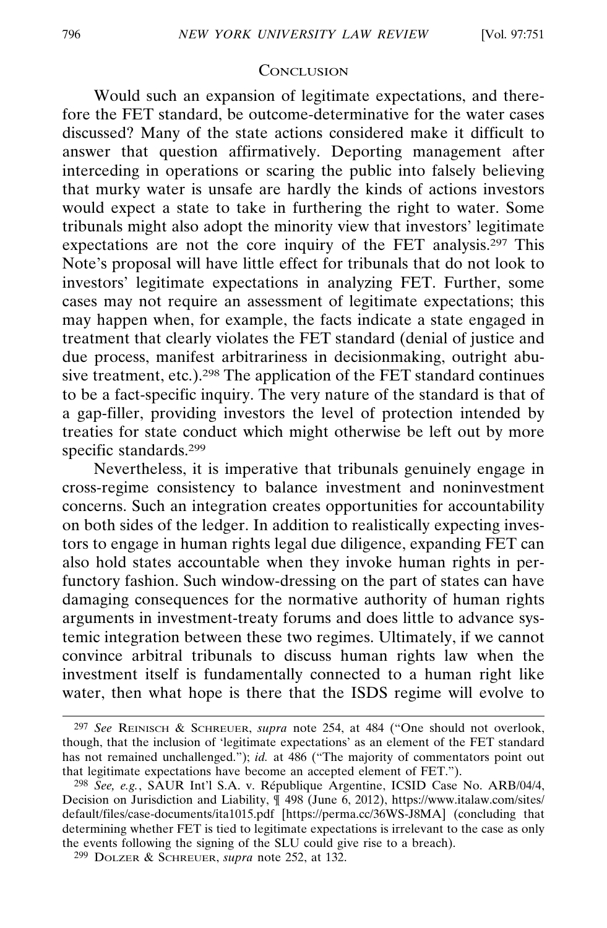#### **CONCLUSION**

Would such an expansion of legitimate expectations, and therefore the FET standard, be outcome-determinative for the water cases discussed? Many of the state actions considered make it difficult to answer that question affirmatively. Deporting management after interceding in operations or scaring the public into falsely believing that murky water is unsafe are hardly the kinds of actions investors would expect a state to take in furthering the right to water. Some tribunals might also adopt the minority view that investors' legitimate expectations are not the core inquiry of the FET analysis.297 This Note's proposal will have little effect for tribunals that do not look to investors' legitimate expectations in analyzing FET. Further, some cases may not require an assessment of legitimate expectations; this may happen when, for example, the facts indicate a state engaged in treatment that clearly violates the FET standard (denial of justice and due process, manifest arbitrariness in decisionmaking, outright abusive treatment, etc.).298 The application of the FET standard continues to be a fact-specific inquiry. The very nature of the standard is that of a gap-filler, providing investors the level of protection intended by treaties for state conduct which might otherwise be left out by more specific standards.299

Nevertheless, it is imperative that tribunals genuinely engage in cross-regime consistency to balance investment and noninvestment concerns. Such an integration creates opportunities for accountability on both sides of the ledger. In addition to realistically expecting investors to engage in human rights legal due diligence, expanding FET can also hold states accountable when they invoke human rights in perfunctory fashion. Such window-dressing on the part of states can have damaging consequences for the normative authority of human rights arguments in investment-treaty forums and does little to advance systemic integration between these two regimes. Ultimately, if we cannot convince arbitral tribunals to discuss human rights law when the investment itself is fundamentally connected to a human right like water, then what hope is there that the ISDS regime will evolve to

<sup>297</sup> *See* REINISCH & SCHREUER, *supra* note 254, at 484 ("One should not overlook, though, that the inclusion of 'legitimate expectations' as an element of the FET standard has not remained unchallenged."); *id.* at 486 ("The majority of commentators point out that legitimate expectations have become an accepted element of FET.").

<sup>&</sup>lt;sup>298</sup> See, e.g., SAUR Int'l S.A. v. République Argentine, ICSID Case No. ARB/04/4, Decision on Jurisdiction and Liability, ¶ 498 (June 6, 2012), https://www.italaw.com/sites/ default/files/case-documents/ita1015.pdf [https://perma.cc/36WS-J8MA] (concluding that determining whether FET is tied to legitimate expectations is irrelevant to the case as only the events following the signing of the SLU could give rise to a breach).

<sup>299</sup> DOLZER & SCHREUER, *supra* note 252, at 132.